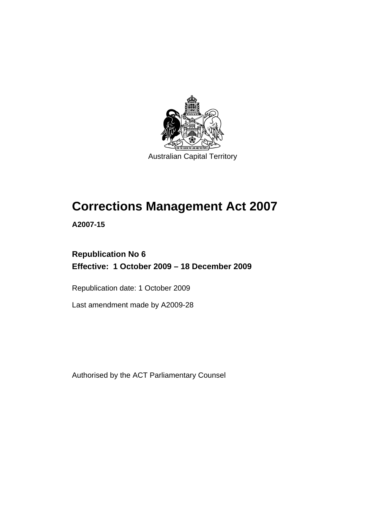

Australian Capital Territory

# **[Corrections Management Act 2007](#page-14-0)**

**A2007-15** 

# **Republication No 6 Effective: 1 October 2009 – 18 December 2009**

Republication date: 1 October 2009

Last amendment made by A2009-28

Authorised by the ACT Parliamentary Counsel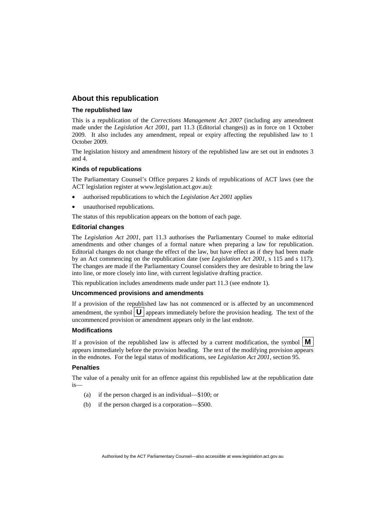#### **About this republication**

#### **The republished law**

This is a republication of the *Corrections Management Act 2007* (including any amendment made under the *Legislation Act 2001*, part 11.3 (Editorial changes)) as in force on 1 October 2009*.* It also includes any amendment, repeal or expiry affecting the republished law to 1 October 2009.

The legislation history and amendment history of the republished law are set out in endnotes 3 and 4.

#### **Kinds of republications**

The Parliamentary Counsel's Office prepares 2 kinds of republications of ACT laws (see the ACT legislation register at www.legislation.act.gov.au):

- authorised republications to which the *Legislation Act 2001* applies
- unauthorised republications.

The status of this republication appears on the bottom of each page.

#### **Editorial changes**

The *Legislation Act 2001*, part 11.3 authorises the Parliamentary Counsel to make editorial amendments and other changes of a formal nature when preparing a law for republication. Editorial changes do not change the effect of the law, but have effect as if they had been made by an Act commencing on the republication date (see *Legislation Act 2001*, s 115 and s 117). The changes are made if the Parliamentary Counsel considers they are desirable to bring the law into line, or more closely into line, with current legislative drafting practice.

This republication includes amendments made under part 11.3 (see endnote 1).

#### **Uncommenced provisions and amendments**

If a provision of the republished law has not commenced or is affected by an uncommenced amendment, the symbol  $\mathbf{U}$  appears immediately before the provision heading. The text of the uncommenced provision  $\overline{or}$  amendment appears only in the last endnote.

#### **Modifications**

If a provision of the republished law is affected by a current modification, the symbol  $\mathbf{M}$ appears immediately before the provision heading. The text of the modifying provision appears in the endnotes. For the legal status of modifications, see *Legislation Act 2001*, section 95.

#### **Penalties**

The value of a penalty unit for an offence against this republished law at the republication date is—

- (a) if the person charged is an individual—\$100; or
- (b) if the person charged is a corporation—\$500.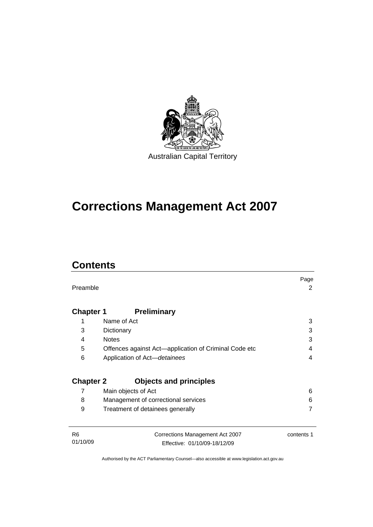

# **[Corrections Management Act 2007](#page-14-0)**

# **Contents**

| Preamble                   |                                                                 | Page<br>2  |
|----------------------------|-----------------------------------------------------------------|------------|
| <b>Chapter 1</b>           | <b>Preliminary</b>                                              |            |
| 1                          | Name of Act                                                     | 3          |
| 3                          | Dictionary                                                      | 3          |
| <b>Notes</b><br>4          |                                                                 | 3          |
| 5                          | Offences against Act-application of Criminal Code etc           | 4          |
| 6                          | Application of Act-detainees                                    | 4          |
| <b>Chapter 2</b>           | <b>Objects and principles</b>                                   |            |
| 7                          | Main objects of Act                                             | 6          |
| 8                          | Management of correctional services                             | 6          |
| 9                          | Treatment of detainees generally                                | 7          |
| R <sub>6</sub><br>01/10/09 | Corrections Management Act 2007<br>Effective: 01/10/09-18/12/09 | contents 1 |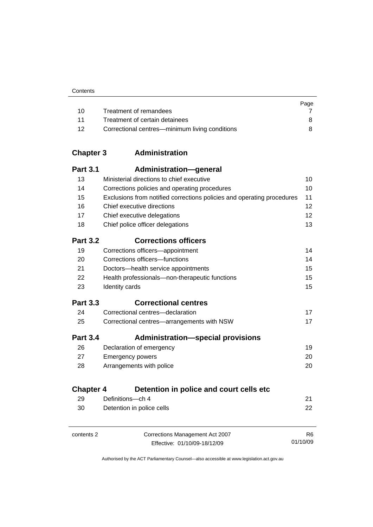|    |                                                | Page |
|----|------------------------------------------------|------|
| 10 | Treatment of remandees                         |      |
| 11 | Treatment of certain detainees                 | 8.   |
| 12 | Correctional centres—minimum living conditions |      |

# **Chapter 3 Administration**

| <b>Part 3.1</b>  | Administration-general                                                 |    |
|------------------|------------------------------------------------------------------------|----|
| 13               | Ministerial directions to chief executive                              | 10 |
| 14               | Corrections policies and operating procedures                          | 10 |
| 15               | Exclusions from notified corrections policies and operating procedures | 11 |
| 16               | Chief executive directions                                             | 12 |
| 17               | Chief executive delegations                                            | 12 |
| 18               | Chief police officer delegations                                       | 13 |
| <b>Part 3.2</b>  | <b>Corrections officers</b>                                            |    |
| 19               | Corrections officers-appointment                                       | 14 |
| 20               | Corrections officers-functions                                         | 14 |
| 21               | Doctors-health service appointments                                    | 15 |
| 22               | Health professionals-non-therapeutic functions                         | 15 |
| 23               | Identity cards                                                         | 15 |
|                  |                                                                        |    |
| <b>Part 3.3</b>  | <b>Correctional centres</b>                                            |    |
| 24               | Correctional centres-declaration                                       | 17 |
| 25               | Correctional centres-arrangements with NSW                             | 17 |
| <b>Part 3.4</b>  | <b>Administration—special provisions</b>                               |    |
| 26               | Declaration of emergency                                               | 19 |
| 27               | <b>Emergency powers</b>                                                | 20 |
| 28               | Arrangements with police                                               | 20 |
| <b>Chapter 4</b> | Detention in police and court cells etc                                |    |
| 29               | Definitions-ch 4                                                       | 21 |

contents 2 Corrections Management Act 2007 Effective: 01/10/09-18/12/09

R6 01/10/09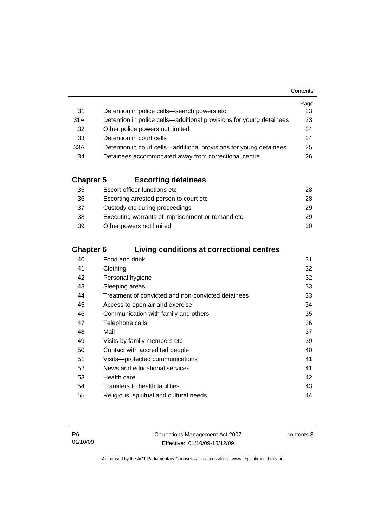|     |                                                                     | Page |
|-----|---------------------------------------------------------------------|------|
| 31  | Detention in police cells-search powers etc                         | 23   |
| 31A | Detention in police cells—additional provisions for young detainees | 23   |
| 32  | Other police powers not limited                                     | 24   |
| 33  | Detention in court cells                                            | 24   |
| 33A | Detention in court cells—additional provisions for young detainees  | 25   |
| 34  | Detainees accommodated away from correctional centre                | 26   |

# **Chapter 5 Escorting detainees**

| 35 | Escort officer functions etc                     | 28 |
|----|--------------------------------------------------|----|
| 36 | Escorting arrested person to court etc.          | 28 |
| 37 | Custody etc during proceedings                   | 29 |
| 38 | Executing warrants of imprisonment or remand etc | 29 |
| 39 | Other powers not limited                         | 30 |

# **Chapter 6 Living conditions at correctional centres**

| 40 | Food and drink                                     | 31 |
|----|----------------------------------------------------|----|
| 41 | Clothing                                           | 32 |
| 42 | Personal hygiene                                   | 32 |
| 43 | Sleeping areas                                     | 33 |
| 44 | Treatment of convicted and non-convicted detainees | 33 |
| 45 | Access to open air and exercise                    | 34 |
| 46 | Communication with family and others               | 35 |
| 47 | Telephone calls                                    | 36 |
| 48 | Mail                                               | 37 |
| 49 | Visits by family members etc                       | 39 |
| 50 | Contact with accredited people                     | 40 |
| 51 | Visits-protected communications                    | 41 |
| 52 | News and educational services                      | 41 |
| 53 | Health care                                        | 42 |
| 54 | Transfers to health facilities                     | 43 |
| 55 | Religious, spiritual and cultural needs            | 44 |
|    |                                                    |    |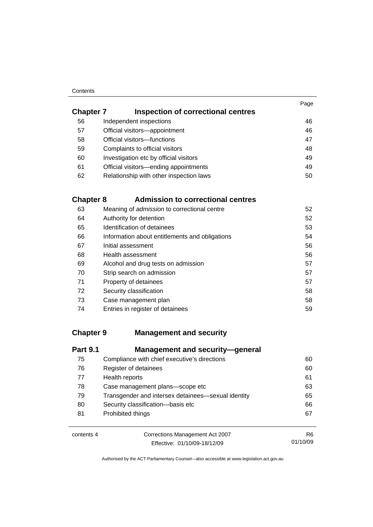#### **Contents**

| <b>Chapter 7</b> | Inspection of correctional centres      | Page |
|------------------|-----------------------------------------|------|
| 56               | Independent inspections                 | 46   |
| 57               | Official visitors-appointment           | 46   |
| 58               | Official visitors-functions             | 47   |
| 59               | Complaints to official visitors         | 48   |
| 60               | Investigation etc by official visitors  | 49   |
| 61               | Official visitors-ending appointments   | 49   |
| 62               | Relationship with other inspection laws | 50   |
|                  |                                         |      |

# **Chapter 8 Admission to correctional centres**

| 63 | Meaning of admission to correctional centre    | 52 |
|----|------------------------------------------------|----|
| 64 | Authority for detention                        | 52 |
| 65 | Identification of detainees                    | 53 |
| 66 | Information about entitlements and obligations | 54 |
| 67 | Initial assessment                             | 56 |
| 68 | Health assessment                              | 56 |
| 69 | Alcohol and drug tests on admission            | 57 |
| 70 | Strip search on admission                      | 57 |
| 71 | Property of detainees                          | 57 |
| 72 | Security classification                        | 58 |
| 73 | Case management plan                           | 58 |
| 74 | Entries in register of detainees               | 59 |

### **Chapter 9 Management and security**

| <b>Part 9.1</b> | <b>Management and security-general</b>             |    |
|-----------------|----------------------------------------------------|----|
| 75              | Compliance with chief executive's directions       | 60 |
| 76              | Register of detainees                              | 60 |
| 77              | Health reports                                     | 61 |
| 78              | Case management plans-scope etc                    | 63 |
| 79              | Transgender and intersex detainees—sexual identity | 65 |
| 80              | Security classification-basis etc                  | 66 |
| 81              | Prohibited things                                  | 67 |

| contents 4 |  |
|------------|--|
|------------|--|

Corrections Management Act 2007 Effective: 01/10/09-18/12/09

R6 01/10/09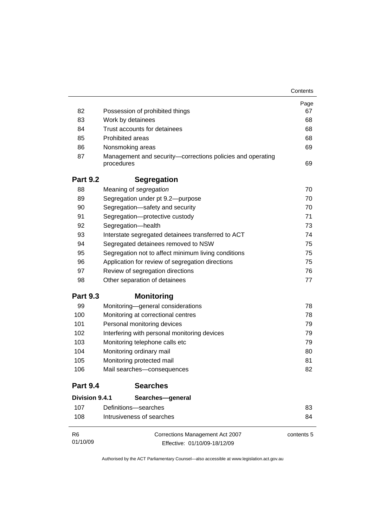|                 |                                                                          | Contents   |
|-----------------|--------------------------------------------------------------------------|------------|
|                 |                                                                          | Page       |
| 82              | Possession of prohibited things                                          | 67         |
| 83              | Work by detainees                                                        | 68         |
| 84              | Trust accounts for detainees                                             | 68         |
| 85              | <b>Prohibited areas</b>                                                  | 68         |
| 86              | Nonsmoking areas                                                         | 69         |
| 87              | Management and security-corrections policies and operating<br>procedures | 69         |
| <b>Part 9.2</b> | <b>Segregation</b>                                                       |            |
| 88              | Meaning of segregation                                                   | 70         |
| 89              | Segregation under pt 9.2-purpose                                         | 70         |
| 90              | Segregation-safety and security                                          | 70         |
| 91              | Segregation-protective custody                                           | 71         |
| 92              | Segregation-health                                                       | 73         |
| 93              | Interstate segregated detainees transferred to ACT                       | 74         |
| 94              | Segregated detainees removed to NSW                                      | 75         |
| 95              | Segregation not to affect minimum living conditions                      | 75         |
| 96              | Application for review of segregation directions                         | 75         |
| 97              | Review of segregation directions                                         | 76         |
| 98              | Other separation of detainees                                            | 77         |
| <b>Part 9.3</b> | <b>Monitoring</b>                                                        |            |
| 99              | Monitoring-general considerations                                        | 78         |
| 100             | Monitoring at correctional centres                                       | 78         |
| 101             | Personal monitoring devices                                              | 79         |
| 102             | Interfering with personal monitoring devices                             | 79         |
| 103             | Monitoring telephone calls etc                                           | 79         |
| 104             | Monitoring ordinary mail                                                 | 80         |
| 105             | Monitoring protected mail                                                | 81         |
| 106             | Mail searches-consequences                                               | 82         |
| <b>Part 9.4</b> | <b>Searches</b>                                                          |            |
| Division 9.4.1  | Searches-general                                                         |            |
| 107             | Definitions-searches                                                     | 83         |
| 108             | Intrusiveness of searches                                                | 84         |
| R6              | Corrections Management Act 2007                                          | contents 5 |
| 01/10/09        | Effective: 01/10/09-18/12/09                                             |            |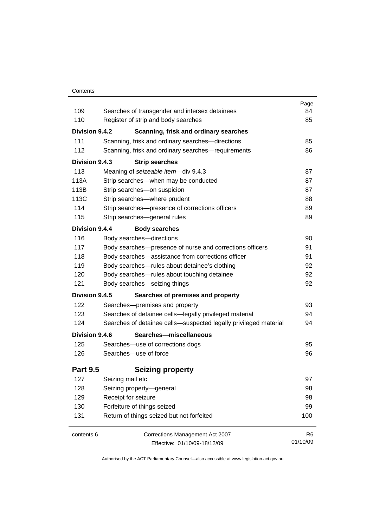#### **Contents**

| 109             |                                                                                       | Page<br>84     |
|-----------------|---------------------------------------------------------------------------------------|----------------|
| 110             | Searches of transgender and intersex detainees<br>Register of strip and body searches | 85             |
| Division 9.4.2  |                                                                                       |                |
|                 | Scanning, frisk and ordinary searches                                                 |                |
| 111<br>112      | Scanning, frisk and ordinary searches-directions                                      | 85             |
|                 | Scanning, frisk and ordinary searches-requirements                                    | 86             |
| Division 9.4.3  | <b>Strip searches</b>                                                                 |                |
| 113             | Meaning of seizeable item-div 9.4.3                                                   | 87             |
| 113A            | Strip searches—when may be conducted                                                  | 87             |
| 113B            | Strip searches-on suspicion                                                           | 87             |
| 113C            | Strip searches-where prudent                                                          | 88             |
| 114             | Strip searches-presence of corrections officers                                       | 89             |
| 115             | Strip searches-general rules                                                          | 89             |
| Division 9.4.4  | <b>Body searches</b>                                                                  |                |
| 116             | Body searches-directions                                                              | 90             |
| 117             | Body searches-presence of nurse and corrections officers                              | 91             |
| 118             | Body searches-assistance from corrections officer                                     | 91             |
| 119             | Body searches-rules about detainee's clothing                                         | 92             |
| 120             | Body searches-rules about touching detainee                                           | 92             |
| 121             | Body searches-seizing things                                                          | 92             |
| Division 9.4.5  | Searches of premises and property                                                     |                |
| 122             | Searches-premises and property                                                        | 93             |
| 123             | Searches of detainee cells-legally privileged material                                | 94             |
| 124             | Searches of detainee cells-suspected legally privileged material                      | 94             |
| Division 9.4.6  | Searches-miscellaneous                                                                |                |
| 125             | Searches-use of corrections dogs                                                      | 95             |
| 126             | Searches-use of force                                                                 | 96             |
| <b>Part 9.5</b> | <b>Seizing property</b>                                                               |                |
| 127             | Seizing mail etc                                                                      | 97             |
| 128             | Seizing property-general                                                              | 98             |
| 129             | Receipt for seizure                                                                   | 98             |
| 130             | Forfeiture of things seized                                                           | 99             |
| 131             | Return of things seized but not forfeited                                             | 100            |
| contents 6      | Corrections Management Act 2007                                                       | R <sub>6</sub> |
|                 | Effective: 01/10/09-18/12/09                                                          | 01/10/09       |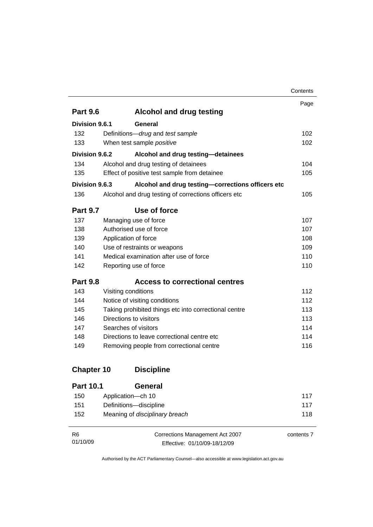|                   |                                                       | Contents |  |  |
|-------------------|-------------------------------------------------------|----------|--|--|
|                   |                                                       | Page     |  |  |
| <b>Part 9.6</b>   | <b>Alcohol and drug testing</b>                       |          |  |  |
| Division 9.6.1    | General                                               |          |  |  |
| 132               | Definitions-drug and test sample                      | 102      |  |  |
| 133               | When test sample positive                             | 102      |  |  |
| Division 9.6.2    | Alcohol and drug testing-detainees                    |          |  |  |
| 134               | Alcohol and drug testing of detainees                 | 104      |  |  |
| 135               | Effect of positive test sample from detainee          | 105      |  |  |
| Division 9.6.3    | Alcohol and drug testing-corrections officers etc     |          |  |  |
| 136               | Alcohol and drug testing of corrections officers etc  | 105      |  |  |
| <b>Part 9.7</b>   | Use of force                                          |          |  |  |
| 137               | Managing use of force                                 | 107      |  |  |
| 138               | Authorised use of force                               |          |  |  |
| 139               | Application of force                                  |          |  |  |
| 140               | Use of restraints or weapons                          |          |  |  |
| 141               | Medical examination after use of force                |          |  |  |
| 142               | Reporting use of force                                | 110      |  |  |
| <b>Part 9.8</b>   | <b>Access to correctional centres</b>                 |          |  |  |
| 143               | Visiting conditions                                   | 112      |  |  |
| 144               | Notice of visiting conditions                         | 112      |  |  |
| 145               | Taking prohibited things etc into correctional centre | 113      |  |  |
| 146               | Directions to visitors                                | 113      |  |  |
| 147               | Searches of visitors                                  | 114      |  |  |
| 148               | Directions to leave correctional centre etc           | 114      |  |  |
| 149               | Removing people from correctional centre              | 116      |  |  |
| <b>Chapter 10</b> | <b>Discipline</b>                                     |          |  |  |

| <b>Part 10.1</b> | General                               |     |
|------------------|---------------------------------------|-----|
| 150              | Application—ch 10                     | 117 |
| 151              | Definitions-discipline                | 117 |
| 152              | Meaning of <i>disciplinary breach</i> | 118 |

| -R6      | Corrections Management Act 2007 | contents 7 |
|----------|---------------------------------|------------|
| 01/10/09 | Effective: 01/10/09-18/12/09    |            |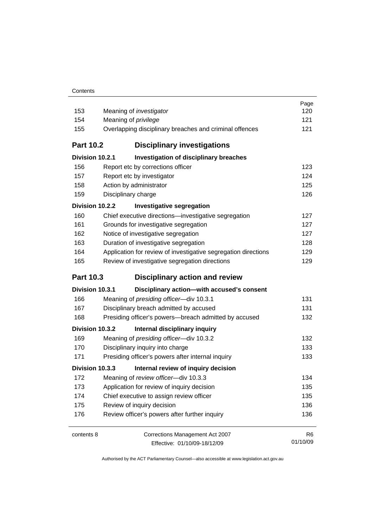| 153              | Meaning of <i>investigator</i>                                 | Page<br>120    |
|------------------|----------------------------------------------------------------|----------------|
| 154              | Meaning of <i>privilege</i>                                    | 121            |
| 155              | Overlapping disciplinary breaches and criminal offences        | 121            |
| <b>Part 10.2</b> | <b>Disciplinary investigations</b>                             |                |
| Division 10.2.1  | <b>Investigation of disciplinary breaches</b>                  |                |
| 156              | Report etc by corrections officer                              | 123            |
| 157              | Report etc by investigator                                     | 124            |
| 158              | Action by administrator                                        | 125            |
| 159              | Disciplinary charge                                            | 126            |
| Division 10.2.2  | <b>Investigative segregation</b>                               |                |
| 160              | Chief executive directions-investigative segregation           | 127            |
| 161              | Grounds for investigative segregation                          | 127            |
| 162              | Notice of investigative segregation                            | 127            |
| 163              | Duration of investigative segregation                          | 128            |
| 164              | Application for review of investigative segregation directions | 129            |
| 165              | Review of investigative segregation directions                 | 129            |
| <b>Part 10.3</b> | <b>Disciplinary action and review</b>                          |                |
| Division 10.3.1  | Disciplinary action-with accused's consent                     |                |
| 166              | Meaning of presiding officer-div 10.3.1                        | 131            |
| 167              | Disciplinary breach admitted by accused                        | 131            |
| 168              | Presiding officer's powers-breach admitted by accused          | 132            |
| Division 10.3.2  | Internal disciplinary inquiry                                  |                |
| 169              | Meaning of presiding officer-div 10.3.2                        | 132            |
| 170              | Disciplinary inquiry into charge                               | 133            |
| 171              | Presiding officer's powers after internal inquiry              | 133            |
| Division 10.3.3  | Internal review of inquiry decision                            |                |
| 172              | Meaning of review officer-div 10.3.3                           | 134            |
| 173              | Application for review of inquiry decision                     | 135            |
| 174              | Chief executive to assign review officer                       | 135            |
| 175              | Review of inquiry decision                                     | 136            |
| 176              | Review officer's powers after further inquiry                  | 136            |
| contents 8       | Corrections Management Act 2007                                | R <sub>6</sub> |
|                  | Effective: 01/10/09-18/12/09                                   | 01/10/09       |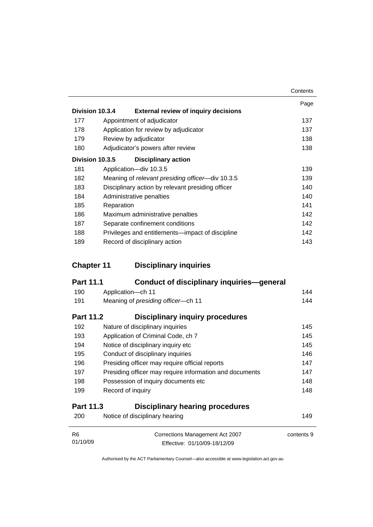|                 |            |                                                   | Contents |
|-----------------|------------|---------------------------------------------------|----------|
| Division 10.3.4 |            | <b>External review of inquiry decisions</b>       | Page     |
| 177             |            | Appointment of adjudicator                        | 137      |
| 178             |            | Application for review by adjudicator             | 137      |
| 179             |            | Review by adjudicator                             | 138      |
| 180             |            | Adjudicator's powers after review                 | 138      |
| Division 10.3.5 |            | <b>Disciplinary action</b>                        |          |
| 181             |            | Application-div 10.3.5                            | 139      |
| 182             |            | Meaning of relevant presiding officer—div 10.3.5  | 139      |
| 183             |            | Disciplinary action by relevant presiding officer | 140      |
| 184             |            | Administrative penalties                          | 140      |
| 185             | Reparation |                                                   | 141      |
| 186             |            | Maximum administrative penalties                  | 142      |
| 187             |            | Separate confinement conditions                   | 142      |
| 188             |            | Privileges and entitlements—impact of discipline  | 142      |
| 189             |            | Record of disciplinary action                     | 143      |
|                 |            |                                                   |          |

# **Chapter 11 Disciplinary inquiries**

| <b>Part 11.1</b> | <b>Conduct of disciplinary inquiries-general</b>        |     |
|------------------|---------------------------------------------------------|-----|
| 190              | Application-ch 11                                       | 144 |
| 191              | Meaning of presiding officer-ch 11                      | 144 |
| <b>Part 11.2</b> | Disciplinary inquiry procedures                         |     |
| 192              | Nature of disciplinary inquiries                        | 145 |
| 193              | Application of Criminal Code, ch 7                      | 145 |
| 194              | Notice of disciplinary inquiry etc                      | 145 |
| 195              | Conduct of disciplinary inquiries                       | 146 |
| 196              | Presiding officer may require official reports          | 147 |
| 197              | Presiding officer may require information and documents | 147 |
| 198              | Possession of inquiry documents etc                     | 148 |
| 199              | Record of inquiry                                       | 148 |
| <b>Part 11.3</b> | <b>Disciplinary hearing procedures</b>                  |     |

| 200      | 149                             |            |
|----------|---------------------------------|------------|
| R6       | Corrections Management Act 2007 | contents 9 |
| 01/10/09 | Effective: 01/10/09-18/12/09    |            |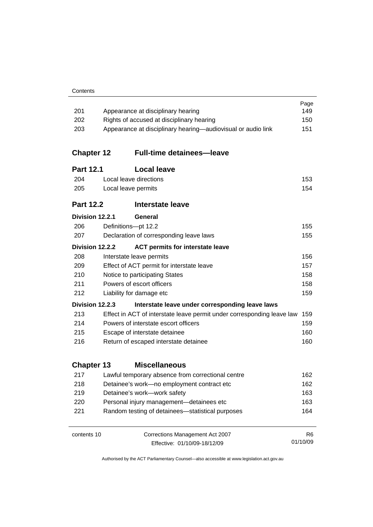| Contents |
|----------|
|----------|

| 201               |                           | Appearance at disciplinary hearing                                     | Page<br>149    |
|-------------------|---------------------------|------------------------------------------------------------------------|----------------|
| 202               |                           | Rights of accused at disciplinary hearing                              | 150            |
| 203               |                           | Appearance at disciplinary hearing-audiovisual or audio link           | 151            |
|                   |                           |                                                                        |                |
| <b>Chapter 12</b> |                           | <b>Full-time detainees-leave</b>                                       |                |
| <b>Part 12.1</b>  |                           | <b>Local leave</b>                                                     |                |
| 204               |                           | Local leave directions                                                 | 153            |
| 205               |                           | Local leave permits                                                    | 154            |
| <b>Part 12.2</b>  |                           | Interstate leave                                                       |                |
| Division 12.2.1   |                           | General                                                                |                |
| 206               |                           | Definitions-pt 12.2                                                    | 155            |
| 207               |                           | Declaration of corresponding leave laws                                | 155            |
| Division 12.2.2   |                           | <b>ACT permits for interstate leave</b>                                |                |
| 208               |                           | Interstate leave permits                                               | 156            |
| 209               |                           | Effect of ACT permit for interstate leave                              | 157            |
| 210               |                           | Notice to participating States                                         | 158            |
| 211               | Powers of escort officers |                                                                        | 158            |
| 212               |                           | Liability for damage etc                                               | 159            |
| Division 12.2.3   |                           | Interstate leave under corresponding leave laws                        |                |
| 213               |                           | Effect in ACT of interstate leave permit under corresponding leave law | 159            |
| 214               |                           | Powers of interstate escort officers                                   | 159            |
| 215               |                           | Escape of interstate detainee                                          | 160            |
| 216               |                           | Return of escaped interstate detainee                                  | 160            |
| <b>Chapter 13</b> |                           | <b>Miscellaneous</b>                                                   |                |
| 217               |                           | Lawful temporary absence from correctional centre                      | 162            |
| 218               |                           | Detainee's work-no employment contract etc                             | 162            |
| 219               |                           | Detainee's work-work safety                                            | 163            |
| 220               |                           | Personal injury management-detainees etc                               | 163            |
| 221               |                           | Random testing of detainees-statistical purposes                       | 164            |
| contents 10       |                           | Corrections Management Act 2007                                        | R <sub>6</sub> |
|                   |                           | Effective: 01/10/09-18/12/09                                           | 01/10/09       |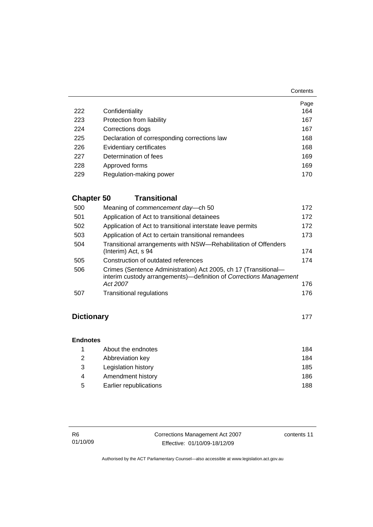**Contents** 

|     |                                              | Page |
|-----|----------------------------------------------|------|
| 222 | Confidentiality                              | 164  |
| 223 | Protection from liability                    | 167  |
| 224 | Corrections dogs                             | 167  |
| 225 | Declaration of corresponding corrections law | 168  |
| 226 | Evidentiary certificates                     | 168  |
| 227 | Determination of fees                        | 169  |
| 228 | Approved forms                               | 169  |
| 229 | Regulation-making power                      | 170  |

# **Chapter 50 Transitional**

| 500 | Meaning of commencement day-ch 50                                                                                                                 | 172 |
|-----|---------------------------------------------------------------------------------------------------------------------------------------------------|-----|
| 501 | Application of Act to transitional detainees                                                                                                      | 172 |
| 502 | Application of Act to transitional interstate leave permits                                                                                       | 172 |
| 503 | Application of Act to certain transitional remandees                                                                                              | 173 |
| 504 | Transitional arrangements with NSW-Rehabilitation of Offenders<br>(Interim) Act, s 94                                                             | 174 |
| 505 | Construction of outdated references                                                                                                               | 174 |
| 506 | Crimes (Sentence Administration) Act 2005, ch 17 (Transitional-<br>interim custody arrangements)—definition of Corrections Management<br>Act 2007 | 176 |
| 507 | <b>Transitional regulations</b>                                                                                                                   | 176 |

# **Dictionary** [177](#page-190-0)

#### **Endnotes**

|   | About the endnotes     | 184 |
|---|------------------------|-----|
| 2 | Abbreviation key       | 184 |
| 3 | Legislation history    | 185 |
| 4 | Amendment history      | 186 |
| 5 | Earlier republications | 188 |

| R6       | Corrections Management Act 2007 | contents 11 |
|----------|---------------------------------|-------------|
| 01/10/09 | Effective: 01/10/09-18/12/09    |             |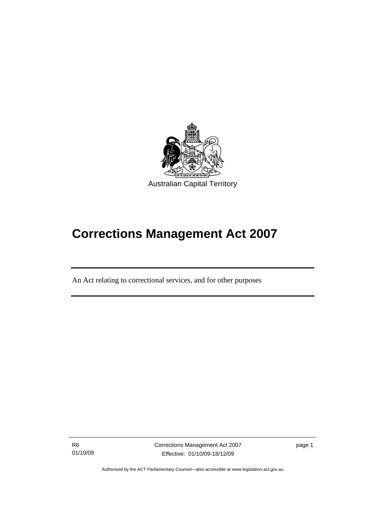<span id="page-14-0"></span>

# **Corrections Management Act 2007**

An Act relating to correctional services, and for other purposes

R6 01/10/09

I

Corrections Management Act 2007 Effective: 01/10/09-18/12/09

page 1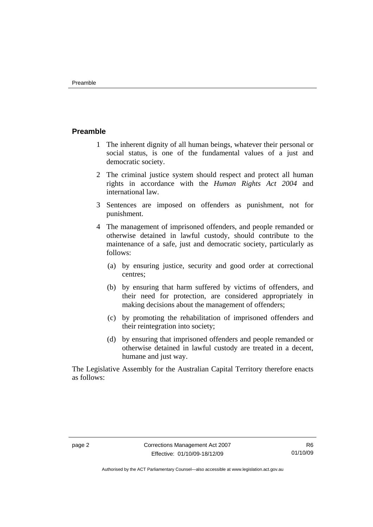#### <span id="page-15-0"></span>**Preamble**

- 1 The inherent dignity of all human beings, whatever their personal or social status, is one of the fundamental values of a just and democratic society.
- 2 The criminal justice system should respect and protect all human rights in accordance with the *Human Rights Act 2004* and international law.
- 3 Sentences are imposed on offenders as punishment, not for punishment.
- 4 The management of imprisoned offenders, and people remanded or otherwise detained in lawful custody, should contribute to the maintenance of a safe, just and democratic society, particularly as follows:
	- (a) by ensuring justice, security and good order at correctional centres;
	- (b) by ensuring that harm suffered by victims of offenders, and their need for protection, are considered appropriately in making decisions about the management of offenders;
	- (c) by promoting the rehabilitation of imprisoned offenders and their reintegration into society;
	- (d) by ensuring that imprisoned offenders and people remanded or otherwise detained in lawful custody are treated in a decent, humane and just way.

The Legislative Assembly for the Australian Capital Territory therefore enacts as follows: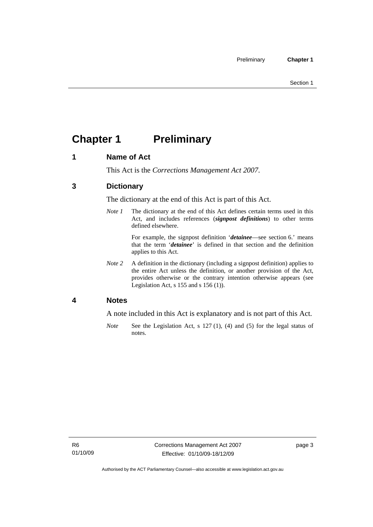# <span id="page-16-0"></span>**Chapter 1** Preliminary

#### **1 Name of Act**

This Act is the *Corrections Management Act 2007*.

#### **3 Dictionary**

The dictionary at the end of this Act is part of this Act.

*Note 1* The dictionary at the end of this Act defines certain terms used in this Act, and includes references (*signpost definitions*) to other terms defined elsewhere.

> For example, the signpost definition '*detainee*—see section 6.' means that the term '*detainee*' is defined in that section and the definition applies to this Act.

*Note 2* A definition in the dictionary (including a signpost definition) applies to the entire Act unless the definition, or another provision of the Act, provides otherwise or the contrary intention otherwise appears (see Legislation Act,  $s$  155 and  $s$  156 (1)).

#### **4 Notes**

A note included in this Act is explanatory and is not part of this Act.

*Note* See the Legislation Act, s 127 (1), (4) and (5) for the legal status of notes.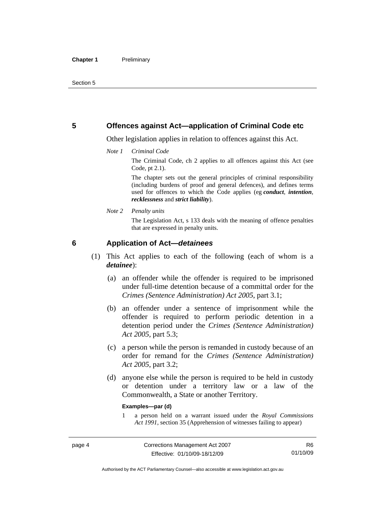#### <span id="page-17-0"></span>**5 Offences against Act—application of Criminal Code etc**

Other legislation applies in relation to offences against this Act.

*Note 1 Criminal Code*

The Criminal Code, ch 2 applies to all offences against this Act (see Code, pt 2.1).

The chapter sets out the general principles of criminal responsibility (including burdens of proof and general defences), and defines terms used for offences to which the Code applies (eg *conduct*, *intention*, *recklessness* and *strict liability*).

*Note 2 Penalty units* 

The Legislation Act, s 133 deals with the meaning of offence penalties that are expressed in penalty units.

#### **6 Application of Act—***detainees*

- (1) This Act applies to each of the following (each of whom is a *detainee*):
	- (a) an offender while the offender is required to be imprisoned under full-time detention because of a committal order for the *Crimes (Sentence Administration) Act 2005*, part 3.1;
	- (b) an offender under a sentence of imprisonment while the offender is required to perform periodic detention in a detention period under the *Crimes (Sentence Administration) Act 2005,* part 5.3;
	- (c) a person while the person is remanded in custody because of an order for remand for the *Crimes (Sentence Administration) Act 2005*, part 3.2;
	- (d) anyone else while the person is required to be held in custody or detention under a territory law or a law of the Commonwealth, a State or another Territory.

#### **Examples—par (d)**

1 a person held on a warrant issued under the *Royal Commissions Act 1991*, section 35 (Apprehension of witnesses failing to appear)

Authorised by the ACT Parliamentary Counsel—also accessible at www.legislation.act.gov.au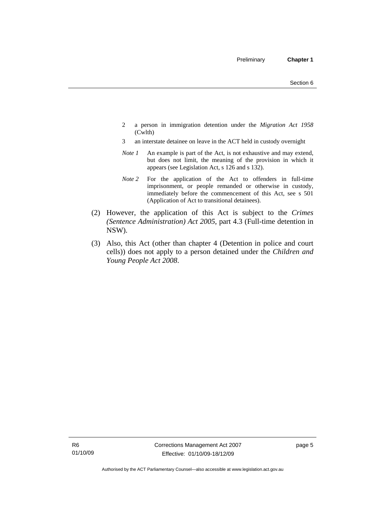- 2 a person in immigration detention under the *Migration Act 1958*  (Cwlth)
- 3 an interstate detainee on leave in the ACT held in custody overnight
- *Note 1* An example is part of the Act, is not exhaustive and may extend, but does not limit, the meaning of the provision in which it appears (see Legislation Act, s 126 and s 132).
- *Note 2* For the application of the Act to offenders in full-time imprisonment, or people remanded or otherwise in custody, immediately before the commencement of this Act, see s 501 (Application of Act to transitional detainees).
- (2) However, the application of this Act is subject to the *Crimes (Sentence Administration) Act 2005*, part 4.3 (Full-time detention in NSW).
- (3) Also, this Act (other than chapter 4 (Detention in police and court cells)) does not apply to a person detained under the *Children and Young People Act 2008*.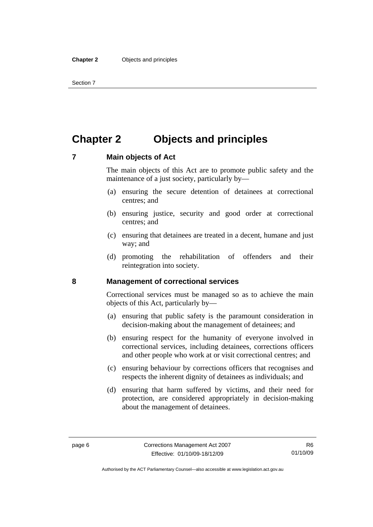# <span id="page-19-0"></span>**Chapter 2 Objects and principles**

#### **7 Main objects of Act**

The main objects of this Act are to promote public safety and the maintenance of a just society, particularly by—

- (a) ensuring the secure detention of detainees at correctional centres; and
- (b) ensuring justice, security and good order at correctional centres; and
- (c) ensuring that detainees are treated in a decent, humane and just way; and
- (d) promoting the rehabilitation of offenders and their reintegration into society.

#### **8 Management of correctional services**

Correctional services must be managed so as to achieve the main objects of this Act, particularly by—

- (a) ensuring that public safety is the paramount consideration in decision-making about the management of detainees; and
- (b) ensuring respect for the humanity of everyone involved in correctional services, including detainees, corrections officers and other people who work at or visit correctional centres; and
- (c) ensuring behaviour by corrections officers that recognises and respects the inherent dignity of detainees as individuals; and
- (d) ensuring that harm suffered by victims, and their need for protection, are considered appropriately in decision-making about the management of detainees.

Authorised by the ACT Parliamentary Counsel—also accessible at www.legislation.act.gov.au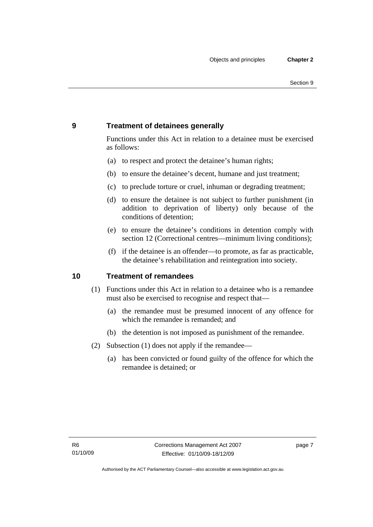### <span id="page-20-0"></span>**9 Treatment of detainees generally**

Functions under this Act in relation to a detainee must be exercised as follows:

- (a) to respect and protect the detainee's human rights;
- (b) to ensure the detainee's decent, humane and just treatment;
- (c) to preclude torture or cruel, inhuman or degrading treatment;
- (d) to ensure the detainee is not subject to further punishment (in addition to deprivation of liberty) only because of the conditions of detention;
- (e) to ensure the detainee's conditions in detention comply with section 12 (Correctional centres—minimum living conditions);
- (f) if the detainee is an offender—to promote, as far as practicable, the detainee's rehabilitation and reintegration into society.

#### **10 Treatment of remandees**

- (1) Functions under this Act in relation to a detainee who is a remandee must also be exercised to recognise and respect that—
	- (a) the remandee must be presumed innocent of any offence for which the remandee is remanded; and
	- (b) the detention is not imposed as punishment of the remandee.
- (2) Subsection (1) does not apply if the remandee—
	- (a) has been convicted or found guilty of the offence for which the remandee is detained; or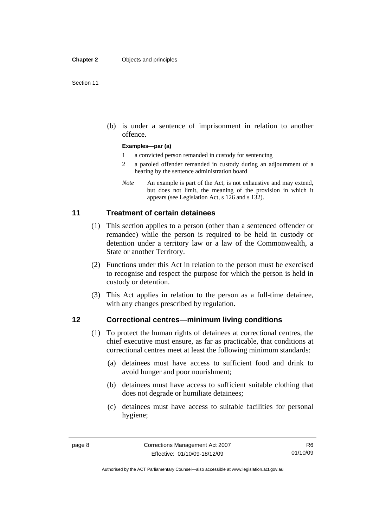<span id="page-21-0"></span> (b) is under a sentence of imprisonment in relation to another offence.

#### **Examples—par (a)**

- 1 a convicted person remanded in custody for sentencing
- 2 a paroled offender remanded in custody during an adjournment of a hearing by the sentence administration board
- *Note* An example is part of the Act, is not exhaustive and may extend, but does not limit, the meaning of the provision in which it appears (see Legislation Act, s 126 and s 132).

#### **11 Treatment of certain detainees**

- (1) This section applies to a person (other than a sentenced offender or remandee) while the person is required to be held in custody or detention under a territory law or a law of the Commonwealth, a State or another Territory.
- (2) Functions under this Act in relation to the person must be exercised to recognise and respect the purpose for which the person is held in custody or detention.
- (3) This Act applies in relation to the person as a full-time detainee, with any changes prescribed by regulation.

#### **12 Correctional centres—minimum living conditions**

- (1) To protect the human rights of detainees at correctional centres, the chief executive must ensure, as far as practicable, that conditions at correctional centres meet at least the following minimum standards:
	- (a) detainees must have access to sufficient food and drink to avoid hunger and poor nourishment;
	- (b) detainees must have access to sufficient suitable clothing that does not degrade or humiliate detainees;
	- (c) detainees must have access to suitable facilities for personal hygiene;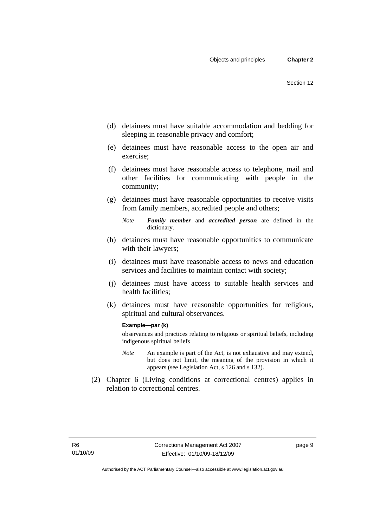- (d) detainees must have suitable accommodation and bedding for sleeping in reasonable privacy and comfort;
- (e) detainees must have reasonable access to the open air and exercise;
- (f) detainees must have reasonable access to telephone, mail and other facilities for communicating with people in the community;
- (g) detainees must have reasonable opportunities to receive visits from family members, accredited people and others;
	- *Note Family member* and *accredited person* are defined in the dictionary.
- (h) detainees must have reasonable opportunities to communicate with their lawyers;
- (i) detainees must have reasonable access to news and education services and facilities to maintain contact with society;
- (j) detainees must have access to suitable health services and health facilities;
- (k) detainees must have reasonable opportunities for religious, spiritual and cultural observances.

#### **Example—par (k)**

observances and practices relating to religious or spiritual beliefs, including indigenous spiritual beliefs

- *Note* An example is part of the Act, is not exhaustive and may extend, but does not limit, the meaning of the provision in which it appears (see Legislation Act, s 126 and s 132).
- (2) Chapter 6 (Living conditions at correctional centres) applies in relation to correctional centres.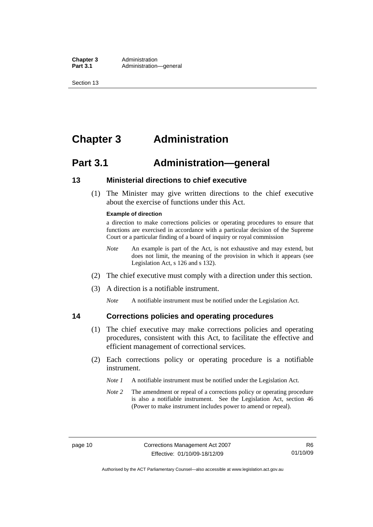<span id="page-23-0"></span>**Chapter 3** Administration<br>**Part 3.1** Administration Administration—general

Section 13

# **Chapter 3 Administration**

# **Part 3.1 Administration—general**

#### **13 Ministerial directions to chief executive**

 (1) The Minister may give written directions to the chief executive about the exercise of functions under this Act.

#### **Example of direction**

a direction to make corrections policies or operating procedures to ensure that functions are exercised in accordance with a particular decision of the Supreme Court or a particular finding of a board of inquiry or royal commission

- *Note* An example is part of the Act, is not exhaustive and may extend, but does not limit, the meaning of the provision in which it appears (see Legislation Act, s 126 and s 132).
- (2) The chief executive must comply with a direction under this section.
- (3) A direction is a notifiable instrument.

*Note* A notifiable instrument must be notified under the Legislation Act.

#### **14 Corrections policies and operating procedures**

- (1) The chief executive may make corrections policies and operating procedures, consistent with this Act, to facilitate the effective and efficient management of correctional services.
- (2) Each corrections policy or operating procedure is a notifiable instrument.
	- *Note 1* A notifiable instrument must be notified under the Legislation Act.
	- *Note 2* The amendment or repeal of a corrections policy or operating procedure is also a notifiable instrument. See the Legislation Act, section 46 (Power to make instrument includes power to amend or repeal).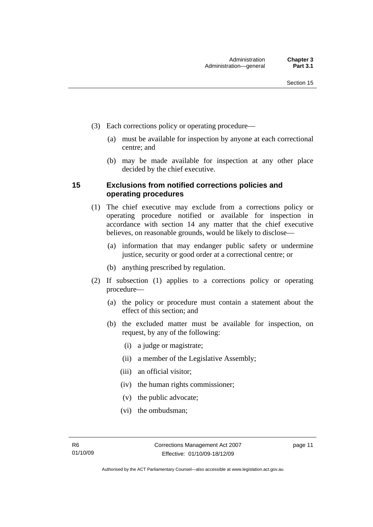- <span id="page-24-0"></span> (3) Each corrections policy or operating procedure—
	- (a) must be available for inspection by anyone at each correctional centre; and
	- (b) may be made available for inspection at any other place decided by the chief executive.

#### **15 Exclusions from notified corrections policies and operating procedures**

- (1) The chief executive may exclude from a corrections policy or operating procedure notified or available for inspection in accordance with section 14 any matter that the chief executive believes, on reasonable grounds, would be likely to disclose—
	- (a) information that may endanger public safety or undermine justice, security or good order at a correctional centre; or
	- (b) anything prescribed by regulation.
- (2) If subsection (1) applies to a corrections policy or operating procedure—
	- (a) the policy or procedure must contain a statement about the effect of this section; and
	- (b) the excluded matter must be available for inspection, on request, by any of the following:
		- (i) a judge or magistrate;
		- (ii) a member of the Legislative Assembly;
		- (iii) an official visitor;
		- (iv) the human rights commissioner;
		- (v) the public advocate;
		- (vi) the ombudsman;

page 11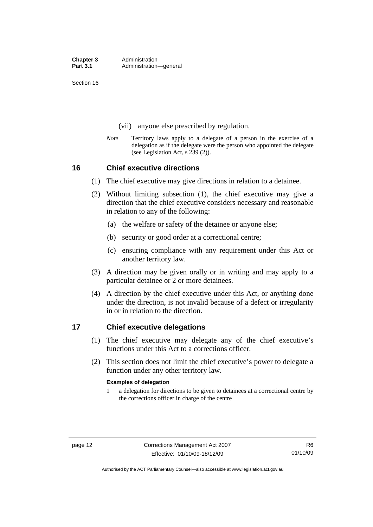<span id="page-25-0"></span>Section 16

- (vii) anyone else prescribed by regulation.
- *Note* Territory laws apply to a delegate of a person in the exercise of a delegation as if the delegate were the person who appointed the delegate (see Legislation Act, s 239 (2)).

#### **16 Chief executive directions**

- (1) The chief executive may give directions in relation to a detainee.
- (2) Without limiting subsection (1), the chief executive may give a direction that the chief executive considers necessary and reasonable in relation to any of the following:
	- (a) the welfare or safety of the detainee or anyone else;
	- (b) security or good order at a correctional centre;
	- (c) ensuring compliance with any requirement under this Act or another territory law.
- (3) A direction may be given orally or in writing and may apply to a particular detainee or 2 or more detainees.
- (4) A direction by the chief executive under this Act, or anything done under the direction, is not invalid because of a defect or irregularity in or in relation to the direction.

#### **17 Chief executive delegations**

- (1) The chief executive may delegate any of the chief executive's functions under this Act to a corrections officer.
- (2) This section does not limit the chief executive's power to delegate a function under any other territory law.

#### **Examples of delegation**

1 a delegation for directions to be given to detainees at a correctional centre by the corrections officer in charge of the centre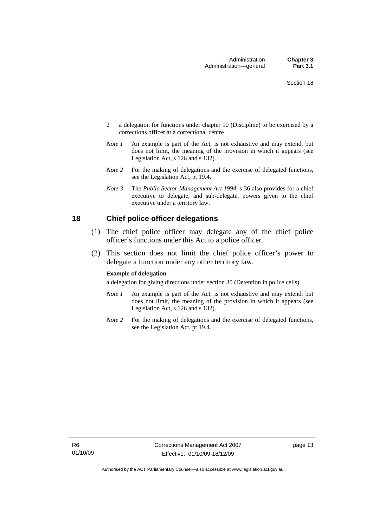- <span id="page-26-0"></span>2 a delegation for functions under chapter 10 (Discipline) to be exercised by a corrections officer at a correctional centre
- *Note 1* An example is part of the Act, is not exhaustive and may extend, but does not limit, the meaning of the provision in which it appears (see Legislation Act, s 126 and s 132).
- *Note* 2 For the making of delegations and the exercise of delegated functions, see the Legislation Act, pt 19.4.
- *Note 3* The *Public Sector Management Act 1994*, s 36 also provides for a chief executive to delegate, and sub-delegate, powers given to the chief executive under a territory law.

#### **18 Chief police officer delegations**

- (1) The chief police officer may delegate any of the chief police officer's functions under this Act to a police officer.
- (2) This section does not limit the chief police officer's power to delegate a function under any other territory law.

#### **Example of delegation**

a delegation for giving directions under section 30 (Detention in police cells).

- *Note 1* An example is part of the Act, is not exhaustive and may extend, but does not limit, the meaning of the provision in which it appears (see Legislation Act, s 126 and s 132).
- *Note* 2 For the making of delegations and the exercise of delegated functions, see the Legislation Act, pt 19.4.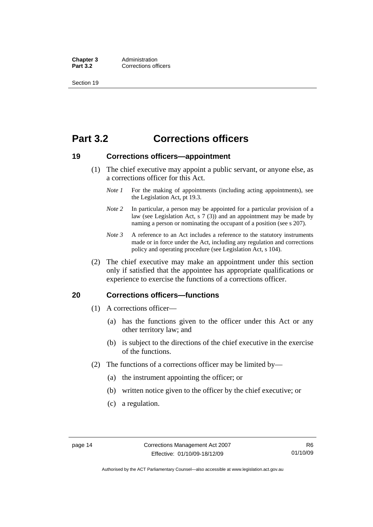<span id="page-27-0"></span>**Chapter 3** Administration<br>**Part 3.2** Corrections off **Corrections officers** 

Section 19

# **Part 3.2 Corrections officers**

#### **19 Corrections officers—appointment**

- (1) The chief executive may appoint a public servant, or anyone else, as a corrections officer for this Act.
	- *Note 1* For the making of appointments (including acting appointments), see the Legislation Act, pt 19.3.
	- *Note 2* In particular, a person may be appointed for a particular provision of a law (see Legislation Act,  $s \, 7 \, (3)$ ) and an appointment may be made by naming a person or nominating the occupant of a position (see s 207).
	- *Note 3* A reference to an Act includes a reference to the statutory instruments made or in force under the Act, including any regulation and corrections policy and operating procedure (see Legislation Act, s 104).
- (2) The chief executive may make an appointment under this section only if satisfied that the appointee has appropriate qualifications or experience to exercise the functions of a corrections officer.

#### **20 Corrections officers—functions**

- (1) A corrections officer—
	- (a) has the functions given to the officer under this Act or any other territory law; and
	- (b) is subject to the directions of the chief executive in the exercise of the functions.
- (2) The functions of a corrections officer may be limited by—
	- (a) the instrument appointing the officer; or
	- (b) written notice given to the officer by the chief executive; or
	- (c) a regulation.

Authorised by the ACT Parliamentary Counsel—also accessible at www.legislation.act.gov.au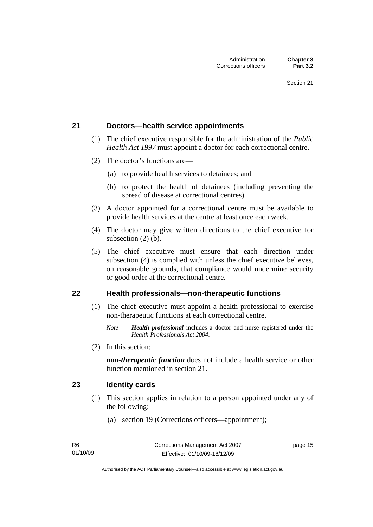#### <span id="page-28-0"></span>**21 Doctors—health service appointments**

- (1) The chief executive responsible for the administration of the *Public Health Act 1997* must appoint a doctor for each correctional centre.
- (2) The doctor's functions are—
	- (a) to provide health services to detainees; and
	- (b) to protect the health of detainees (including preventing the spread of disease at correctional centres).
- (3) A doctor appointed for a correctional centre must be available to provide health services at the centre at least once each week.
- (4) The doctor may give written directions to the chief executive for subsection (2) (b).
- (5) The chief executive must ensure that each direction under subsection (4) is complied with unless the chief executive believes, on reasonable grounds, that compliance would undermine security or good order at the correctional centre.

#### **22 Health professionals—non-therapeutic functions**

- (1) The chief executive must appoint a health professional to exercise non-therapeutic functions at each correctional centre.
	- *Note Health professional* includes a doctor and nurse registered under the *Health Professionals Act 2004*.
- (2) In this section:

*non-therapeutic function* does not include a health service or other function mentioned in section 21.

#### **23 Identity cards**

- (1) This section applies in relation to a person appointed under any of the following:
	- (a) section 19 (Corrections officers—appointment);

page 15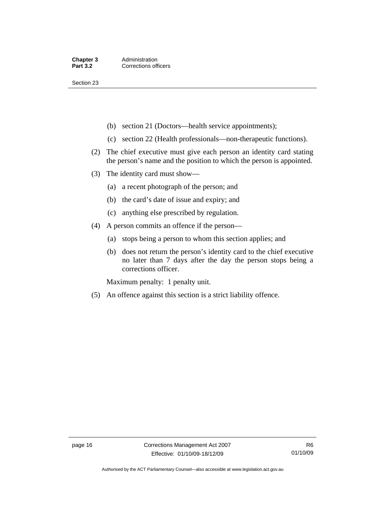Section 23

- (b) section 21 (Doctors—health service appointments);
- (c) section 22 (Health professionals—non-therapeutic functions).
- (2) The chief executive must give each person an identity card stating the person's name and the position to which the person is appointed.
- (3) The identity card must show—
	- (a) a recent photograph of the person; and
	- (b) the card's date of issue and expiry; and
	- (c) anything else prescribed by regulation.
- (4) A person commits an offence if the person—
	- (a) stops being a person to whom this section applies; and
	- (b) does not return the person's identity card to the chief executive no later than 7 days after the day the person stops being a corrections officer.

Maximum penalty: 1 penalty unit.

(5) An offence against this section is a strict liability offence.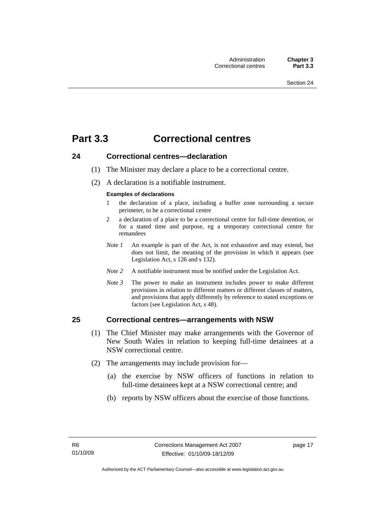# <span id="page-30-0"></span>**Part 3.3 Correctional centres**

#### **24 Correctional centres—declaration**

- (1) The Minister may declare a place to be a correctional centre.
- (2) A declaration is a notifiable instrument.

#### **Examples of declarations**

- 1 the declaration of a place, including a buffer zone surrounding a secure perimeter, to be a correctional centre
- 2 a declaration of a place to be a correctional centre for full-time detention, or for a stated time and purpose, eg a temporary correctional centre for remandees
- *Note 1* An example is part of the Act, is not exhaustive and may extend, but does not limit, the meaning of the provision in which it appears (see Legislation Act, s 126 and s 132).
- *Note 2* A notifiable instrument must be notified under the Legislation Act.
- *Note 3* The power to make an instrument includes power to make different provisions in relation to different matters or different classes of matters, and provisions that apply differently by reference to stated exceptions or factors (see Legislation Act, s 48).

#### **25 Correctional centres—arrangements with NSW**

- (1) The Chief Minister may make arrangements with the Governor of New South Wales in relation to keeping full-time detainees at a NSW correctional centre.
- (2) The arrangements may include provision for—
	- (a) the exercise by NSW officers of functions in relation to full-time detainees kept at a NSW correctional centre; and
	- (b) reports by NSW officers about the exercise of those functions.

page 17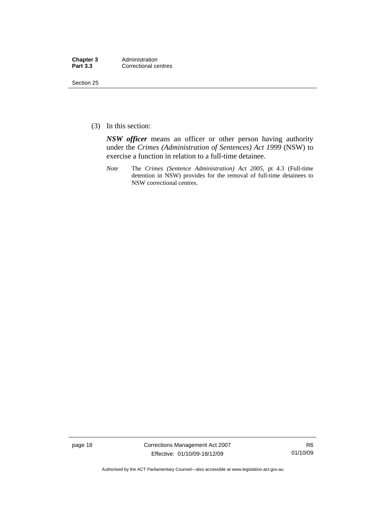| Chapter 3       | Administration       |
|-----------------|----------------------|
| <b>Part 3.3</b> | Correctional centres |

Section 25

(3) In this section:

*NSW officer* means an officer or other person having authority under the *Crimes (Administration of Sentences) Act 1999* (NSW) to exercise a function in relation to a full-time detainee.

*Note* The *Crimes (Sentence Administration) Act 2005*, pt 4.3 (Full-time detention in NSW) provides for the removal of full-time detainees to NSW correctional centres.

page 18 Corrections Management Act 2007 Effective: 01/10/09-18/12/09

R6 01/10/09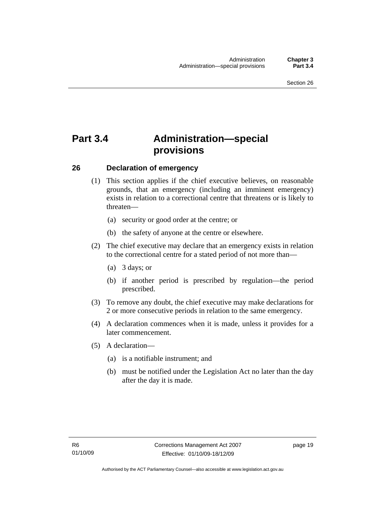# <span id="page-32-0"></span>**Part 3.4 Administration—special provisions**

#### **26 Declaration of emergency**

- (1) This section applies if the chief executive believes, on reasonable grounds, that an emergency (including an imminent emergency) exists in relation to a correctional centre that threatens or is likely to threaten—
	- (a) security or good order at the centre; or
	- (b) the safety of anyone at the centre or elsewhere.
- (2) The chief executive may declare that an emergency exists in relation to the correctional centre for a stated period of not more than—
	- (a) 3 days; or
	- (b) if another period is prescribed by regulation—the period prescribed.
- (3) To remove any doubt, the chief executive may make declarations for 2 or more consecutive periods in relation to the same emergency.
- (4) A declaration commences when it is made, unless it provides for a later commencement.
- (5) A declaration—
	- (a) is a notifiable instrument; and
	- (b) must be notified under the Legislation Act no later than the day after the day it is made.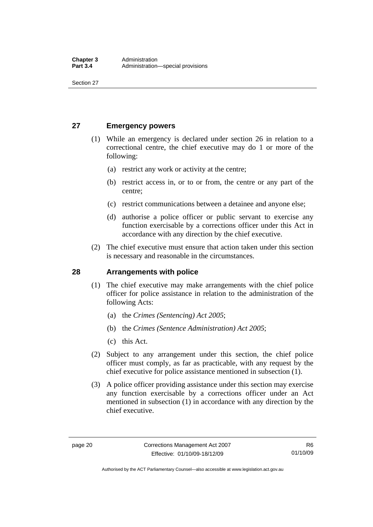<span id="page-33-0"></span>Section 27

#### **27 Emergency powers**

- (1) While an emergency is declared under section 26 in relation to a correctional centre, the chief executive may do 1 or more of the following:
	- (a) restrict any work or activity at the centre;
	- (b) restrict access in, or to or from, the centre or any part of the centre;
	- (c) restrict communications between a detainee and anyone else;
	- (d) authorise a police officer or public servant to exercise any function exercisable by a corrections officer under this Act in accordance with any direction by the chief executive.
- (2) The chief executive must ensure that action taken under this section is necessary and reasonable in the circumstances.

#### **28 Arrangements with police**

- (1) The chief executive may make arrangements with the chief police officer for police assistance in relation to the administration of the following Acts:
	- (a) the *Crimes (Sentencing) Act 2005*;
	- (b) the *Crimes (Sentence Administration) Act 2005*;
	- (c) this Act.
- (2) Subject to any arrangement under this section, the chief police officer must comply, as far as practicable, with any request by the chief executive for police assistance mentioned in subsection (1).
- (3) A police officer providing assistance under this section may exercise any function exercisable by a corrections officer under an Act mentioned in subsection (1) in accordance with any direction by the chief executive.

Authorised by the ACT Parliamentary Counsel—also accessible at www.legislation.act.gov.au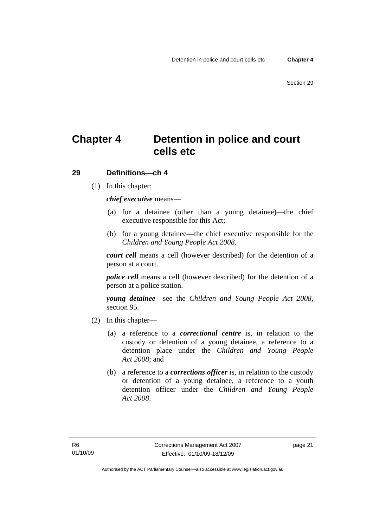# <span id="page-34-0"></span>**Chapter 4 Detention in police and court cells etc**

#### **29 Definitions—ch 4**

(1) In this chapter:

*chief executive* means—

- (a) for a detainee (other than a young detainee)—the chief executive responsible for this Act;
- (b) for a young detainee—the chief executive responsible for the *Children and Young People Act 2008*.

*court cell* means a cell (however described) for the detention of a person at a court.

*police cell* means a cell (however described) for the detention of a person at a police station.

*young detainee*—see the *Children and Young People Act 2008*, section 95.

- (2) In this chapter—
	- (a) a reference to a *correctional centre* is, in relation to the custody or detention of a young detainee, a reference to a detention place under the *Children and Young People Act 2008*; and
	- (b) a reference to a *corrections officer* is, in relation to the custody or detention of a young detainee, a reference to a youth detention officer under the *Children and Young People Act 2008*.

page 21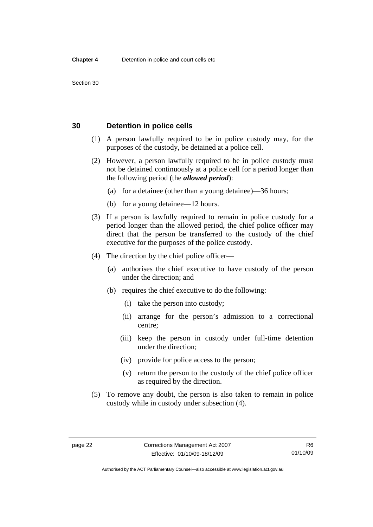<span id="page-35-0"></span>Section 30

#### **30 Detention in police cells**

- (1) A person lawfully required to be in police custody may, for the purposes of the custody, be detained at a police cell.
- (2) However, a person lawfully required to be in police custody must not be detained continuously at a police cell for a period longer than the following period (the *allowed period*):
	- (a) for a detainee (other than a young detainee)—36 hours;
	- (b) for a young detainee—12 hours.
- (3) If a person is lawfully required to remain in police custody for a period longer than the allowed period, the chief police officer may direct that the person be transferred to the custody of the chief executive for the purposes of the police custody.
- (4) The direction by the chief police officer—
	- (a) authorises the chief executive to have custody of the person under the direction; and
	- (b) requires the chief executive to do the following:
		- (i) take the person into custody;
		- (ii) arrange for the person's admission to a correctional centre;
		- (iii) keep the person in custody under full-time detention under the direction;
		- (iv) provide for police access to the person;
		- (v) return the person to the custody of the chief police officer as required by the direction.
- (5) To remove any doubt, the person is also taken to remain in police custody while in custody under subsection (4).

Authorised by the ACT Parliamentary Counsel—also accessible at www.legislation.act.gov.au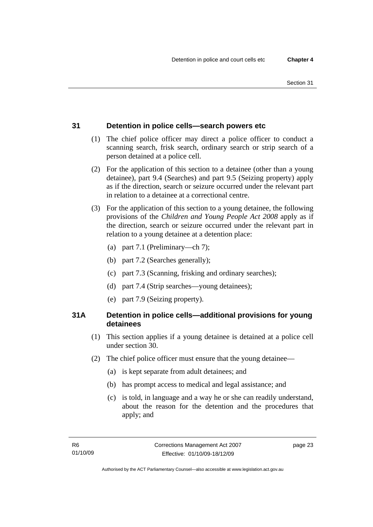# **31 Detention in police cells—search powers etc**

- (1) The chief police officer may direct a police officer to conduct a scanning search, frisk search, ordinary search or strip search of a person detained at a police cell.
- (2) For the application of this section to a detainee (other than a young detainee), part 9.4 (Searches) and part 9.5 (Seizing property) apply as if the direction, search or seizure occurred under the relevant part in relation to a detainee at a correctional centre.
- (3) For the application of this section to a young detainee, the following provisions of the *Children and Young People Act 2008* apply as if the direction, search or seizure occurred under the relevant part in relation to a young detainee at a detention place:
	- (a) part 7.1 (Preliminary—ch 7);
	- (b) part 7.2 (Searches generally);
	- (c) part 7.3 (Scanning, frisking and ordinary searches);
	- (d) part 7.4 (Strip searches—young detainees);
	- (e) part 7.9 (Seizing property).

# **31A Detention in police cells—additional provisions for young detainees**

- (1) This section applies if a young detainee is detained at a police cell under section 30.
- (2) The chief police officer must ensure that the young detainee—
	- (a) is kept separate from adult detainees; and
	- (b) has prompt access to medical and legal assistance; and
	- (c) is told, in language and a way he or she can readily understand, about the reason for the detention and the procedures that apply; and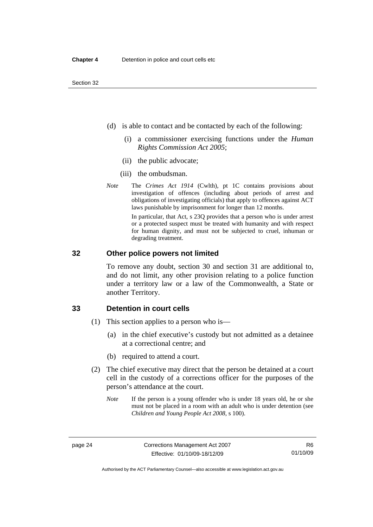- (d) is able to contact and be contacted by each of the following:
	- (i) a commissioner exercising functions under the *Human Rights Commission Act 2005*;
	- (ii) the public advocate;
	- (iii) the ombudsman.
- *Note* The *Crimes Act 1914* (Cwlth), pt 1C contains provisions about investigation of offences (including about periods of arrest and obligations of investigating officials) that apply to offences against ACT laws punishable by imprisonment for longer than 12 months.

In particular, that Act, s 23Q provides that a person who is under arrest or a protected suspect must be treated with humanity and with respect for human dignity, and must not be subjected to cruel, inhuman or degrading treatment.

#### **32 Other police powers not limited**

To remove any doubt, section 30 and section 31 are additional to, and do not limit, any other provision relating to a police function under a territory law or a law of the Commonwealth, a State or another Territory.

#### **33 Detention in court cells**

- (1) This section applies to a person who is—
	- (a) in the chief executive's custody but not admitted as a detainee at a correctional centre; and
	- (b) required to attend a court.
- (2) The chief executive may direct that the person be detained at a court cell in the custody of a corrections officer for the purposes of the person's attendance at the court.
	- *Note* If the person is a young offender who is under 18 years old, he or she must not be placed in a room with an adult who is under detention (see *Children and Young People Act 2008*, s 100).

Authorised by the ACT Parliamentary Counsel—also accessible at www.legislation.act.gov.au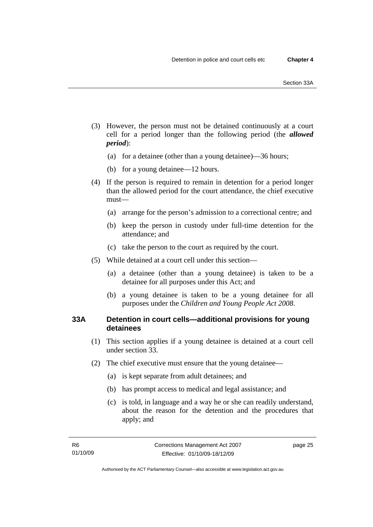- (3) However, the person must not be detained continuously at a court cell for a period longer than the following period (the *allowed period*):
	- (a) for a detainee (other than a young detainee)—36 hours;
	- (b) for a young detainee—12 hours.
- (4) If the person is required to remain in detention for a period longer than the allowed period for the court attendance, the chief executive must—
	- (a) arrange for the person's admission to a correctional centre; and
	- (b) keep the person in custody under full-time detention for the attendance; and
	- (c) take the person to the court as required by the court.
- (5) While detained at a court cell under this section—
	- (a) a detainee (other than a young detainee) is taken to be a detainee for all purposes under this Act; and
	- (b) a young detainee is taken to be a young detainee for all purposes under the *Children and Young People Act 2008*.

# **33A Detention in court cells—additional provisions for young detainees**

- (1) This section applies if a young detainee is detained at a court cell under section 33.
- (2) The chief executive must ensure that the young detainee—
	- (a) is kept separate from adult detainees; and
	- (b) has prompt access to medical and legal assistance; and
	- (c) is told, in language and a way he or she can readily understand, about the reason for the detention and the procedures that apply; and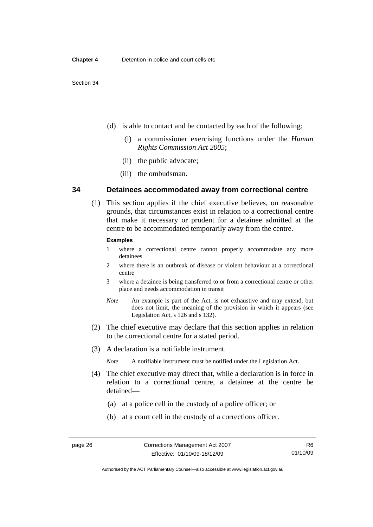- (d) is able to contact and be contacted by each of the following:
	- (i) a commissioner exercising functions under the *Human Rights Commission Act 2005*;
	- (ii) the public advocate;
	- (iii) the ombudsman.

#### **34 Detainees accommodated away from correctional centre**

 (1) This section applies if the chief executive believes, on reasonable grounds, that circumstances exist in relation to a correctional centre that make it necessary or prudent for a detainee admitted at the centre to be accommodated temporarily away from the centre.

#### **Examples**

- 1 where a correctional centre cannot properly accommodate any more detainees
- 2 where there is an outbreak of disease or violent behaviour at a correctional centre
- 3 where a detainee is being transferred to or from a correctional centre or other place and needs accommodation in transit
- *Note* An example is part of the Act, is not exhaustive and may extend, but does not limit, the meaning of the provision in which it appears (see Legislation Act, s 126 and s 132).
- (2) The chief executive may declare that this section applies in relation to the correctional centre for a stated period.
- (3) A declaration is a notifiable instrument.
	- *Note* A notifiable instrument must be notified under the Legislation Act.
- (4) The chief executive may direct that, while a declaration is in force in relation to a correctional centre, a detainee at the centre be detained—
	- (a) at a police cell in the custody of a police officer; or
	- (b) at a court cell in the custody of a corrections officer.

Authorised by the ACT Parliamentary Counsel—also accessible at www.legislation.act.gov.au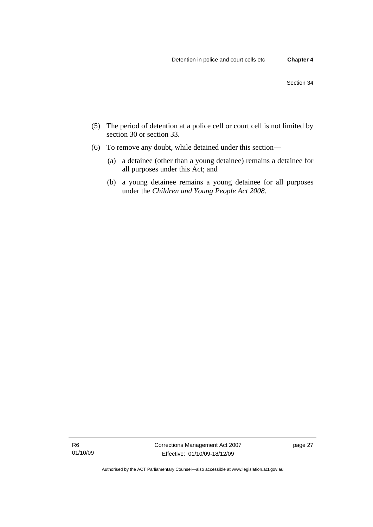- (5) The period of detention at a police cell or court cell is not limited by section 30 or section 33.
- (6) To remove any doubt, while detained under this section—
	- (a) a detainee (other than a young detainee) remains a detainee for all purposes under this Act; and
	- (b) a young detainee remains a young detainee for all purposes under the *Children and Young People Act 2008*.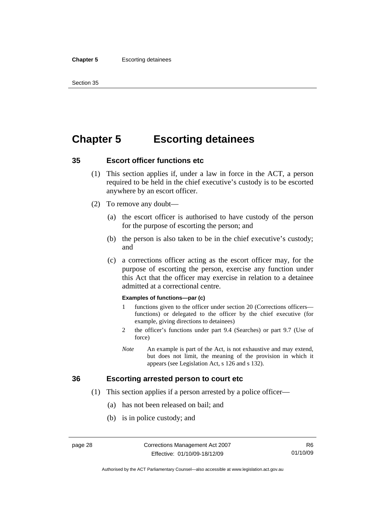# **Chapter 5 Escorting detainees**

#### **35 Escort officer functions etc**

- (1) This section applies if, under a law in force in the ACT, a person required to be held in the chief executive's custody is to be escorted anywhere by an escort officer.
- (2) To remove any doubt—
	- (a) the escort officer is authorised to have custody of the person for the purpose of escorting the person; and
	- (b) the person is also taken to be in the chief executive's custody; and
	- (c) a corrections officer acting as the escort officer may, for the purpose of escorting the person, exercise any function under this Act that the officer may exercise in relation to a detainee admitted at a correctional centre.

#### **Examples of functions—par (c)**

- 1 functions given to the officer under section 20 (Corrections officers functions) or delegated to the officer by the chief executive (for example, giving directions to detainees)
- 2 the officer's functions under part 9.4 (Searches) or part 9.7 (Use of force)
- *Note* An example is part of the Act, is not exhaustive and may extend, but does not limit, the meaning of the provision in which it appears (see Legislation Act, s 126 and s 132).

#### **36 Escorting arrested person to court etc**

- (1) This section applies if a person arrested by a police officer—
	- (a) has not been released on bail; and
	- (b) is in police custody; and

Authorised by the ACT Parliamentary Counsel—also accessible at www.legislation.act.gov.au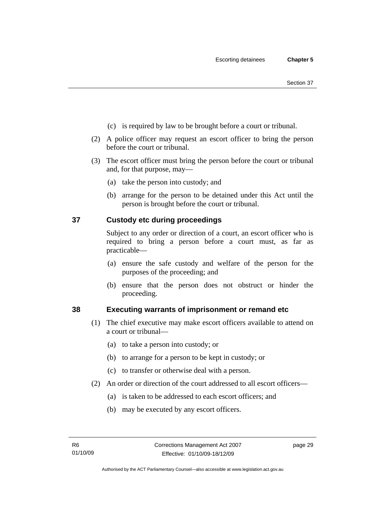- (c) is required by law to be brought before a court or tribunal.
- (2) A police officer may request an escort officer to bring the person before the court or tribunal.
- (3) The escort officer must bring the person before the court or tribunal and, for that purpose, may—
	- (a) take the person into custody; and
	- (b) arrange for the person to be detained under this Act until the person is brought before the court or tribunal.

# **37 Custody etc during proceedings**

Subject to any order or direction of a court, an escort officer who is required to bring a person before a court must, as far as practicable—

- (a) ensure the safe custody and welfare of the person for the purposes of the proceeding; and
- (b) ensure that the person does not obstruct or hinder the proceeding.

#### **38 Executing warrants of imprisonment or remand etc**

- (1) The chief executive may make escort officers available to attend on a court or tribunal—
	- (a) to take a person into custody; or
	- (b) to arrange for a person to be kept in custody; or
	- (c) to transfer or otherwise deal with a person.
- (2) An order or direction of the court addressed to all escort officers—
	- (a) is taken to be addressed to each escort officers; and
	- (b) may be executed by any escort officers.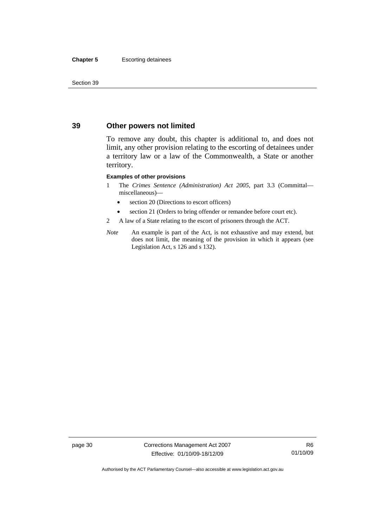#### **Chapter 5** Escorting detainees

Section 39

## **39 Other powers not limited**

To remove any doubt, this chapter is additional to, and does not limit, any other provision relating to the escorting of detainees under a territory law or a law of the Commonwealth, a State or another territory.

#### **Examples of other provisions**

- 1 The *Crimes Sentence (Administration) Act 2005*, part 3.3 (Committal miscellaneous)—
	- section 20 (Directions to escort officers)
	- section 21 (Orders to bring offender or remandee before court etc).
- 2 A law of a State relating to the escort of prisoners through the ACT.
- *Note* An example is part of the Act, is not exhaustive and may extend, but does not limit, the meaning of the provision in which it appears (see Legislation Act, s 126 and s 132).

page 30 Corrections Management Act 2007 Effective: 01/10/09-18/12/09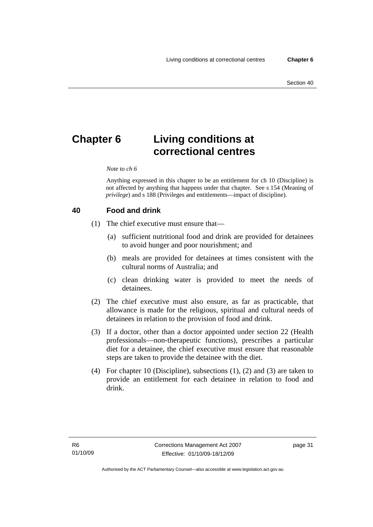# **Chapter 6 Living conditions at correctional centres**

#### *Note to ch 6*

Anything expressed in this chapter to be an entitlement for ch 10 (Discipline) is not affected by anything that happens under that chapter. See s 154 (Meaning of *privilege*) and s 188 (Privileges and entitlements—impact of discipline).

#### **40 Food and drink**

- (1) The chief executive must ensure that—
	- (a) sufficient nutritional food and drink are provided for detainees to avoid hunger and poor nourishment; and
	- (b) meals are provided for detainees at times consistent with the cultural norms of Australia; and
	- (c) clean drinking water is provided to meet the needs of detainees.
- (2) The chief executive must also ensure, as far as practicable, that allowance is made for the religious, spiritual and cultural needs of detainees in relation to the provision of food and drink.
- (3) If a doctor, other than a doctor appointed under section 22 (Health professionals—non-therapeutic functions), prescribes a particular diet for a detainee, the chief executive must ensure that reasonable steps are taken to provide the detainee with the diet.
- (4) For chapter 10 (Discipline), subsections (1), (2) and (3) are taken to provide an entitlement for each detainee in relation to food and drink.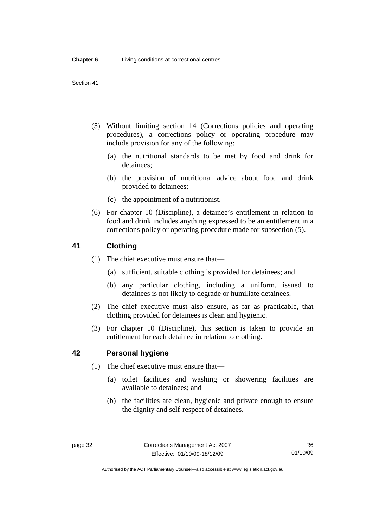- (5) Without limiting section 14 (Corrections policies and operating procedures), a corrections policy or operating procedure may include provision for any of the following:
	- (a) the nutritional standards to be met by food and drink for detainees;
	- (b) the provision of nutritional advice about food and drink provided to detainees;
	- (c) the appointment of a nutritionist.
- (6) For chapter 10 (Discipline), a detainee's entitlement in relation to food and drink includes anything expressed to be an entitlement in a corrections policy or operating procedure made for subsection (5).

# **41 Clothing**

- (1) The chief executive must ensure that—
	- (a) sufficient, suitable clothing is provided for detainees; and
	- (b) any particular clothing, including a uniform, issued to detainees is not likely to degrade or humiliate detainees.
- (2) The chief executive must also ensure, as far as practicable, that clothing provided for detainees is clean and hygienic.
- (3) For chapter 10 (Discipline), this section is taken to provide an entitlement for each detainee in relation to clothing.

#### **42 Personal hygiene**

- (1) The chief executive must ensure that—
	- (a) toilet facilities and washing or showering facilities are available to detainees; and
	- (b) the facilities are clean, hygienic and private enough to ensure the dignity and self-respect of detainees.

Authorised by the ACT Parliamentary Counsel—also accessible at www.legislation.act.gov.au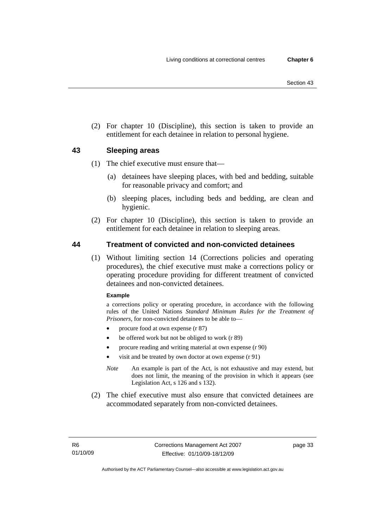(2) For chapter 10 (Discipline), this section is taken to provide an entitlement for each detainee in relation to personal hygiene.

# **43 Sleeping areas**

- (1) The chief executive must ensure that—
	- (a) detainees have sleeping places, with bed and bedding, suitable for reasonable privacy and comfort; and
	- (b) sleeping places, including beds and bedding, are clean and hygienic.
- (2) For chapter 10 (Discipline), this section is taken to provide an entitlement for each detainee in relation to sleeping areas.

# **44 Treatment of convicted and non-convicted detainees**

 (1) Without limiting section 14 (Corrections policies and operating procedures), the chief executive must make a corrections policy or operating procedure providing for different treatment of convicted detainees and non-convicted detainees.

#### **Example**

a corrections policy or operating procedure, in accordance with the following rules of the United Nations *Standard Minimum Rules for the Treatment of Prisoners*, for non-convicted detainees to be able to—

- procure food at own expense (r 87)
- be offered work but not be obliged to work (r 89)
- procure reading and writing material at own expense (r 90)
- visit and be treated by own doctor at own expense (r 91)
- *Note* An example is part of the Act, is not exhaustive and may extend, but does not limit, the meaning of the provision in which it appears (see Legislation Act, s 126 and s 132).
- (2) The chief executive must also ensure that convicted detainees are accommodated separately from non-convicted detainees.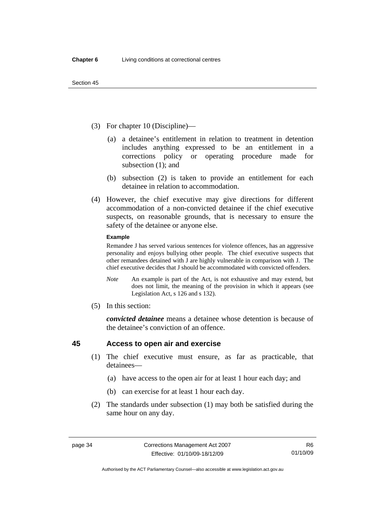- (3) For chapter 10 (Discipline)—
	- (a) a detainee's entitlement in relation to treatment in detention includes anything expressed to be an entitlement in a corrections policy or operating procedure made for subsection (1); and
	- (b) subsection (2) is taken to provide an entitlement for each detainee in relation to accommodation.
- (4) However, the chief executive may give directions for different accommodation of a non-convicted detainee if the chief executive suspects, on reasonable grounds, that is necessary to ensure the safety of the detainee or anyone else.

#### **Example**

Remandee J has served various sentences for violence offences, has an aggressive personality and enjoys bullying other people. The chief executive suspects that other remandees detained with J are highly vulnerable in comparison with J. The chief executive decides that J should be accommodated with convicted offenders.

- *Note* An example is part of the Act, is not exhaustive and may extend, but does not limit, the meaning of the provision in which it appears (see Legislation Act, s 126 and s 132).
- (5) In this section:

*convicted detainee* means a detainee whose detention is because of the detainee's conviction of an offence.

#### **45 Access to open air and exercise**

- (1) The chief executive must ensure, as far as practicable, that detainees—
	- (a) have access to the open air for at least 1 hour each day; and
	- (b) can exercise for at least 1 hour each day.
- (2) The standards under subsection (1) may both be satisfied during the same hour on any day.

Authorised by the ACT Parliamentary Counsel—also accessible at www.legislation.act.gov.au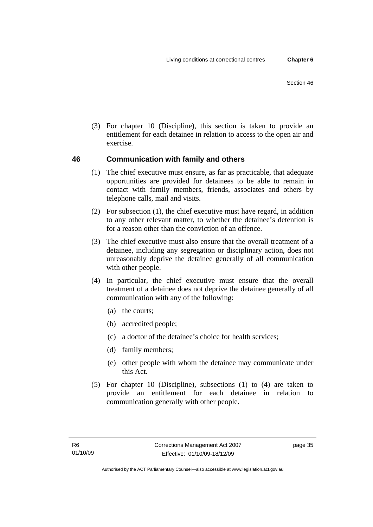(3) For chapter 10 (Discipline), this section is taken to provide an entitlement for each detainee in relation to access to the open air and exercise.

# **46 Communication with family and others**

- (1) The chief executive must ensure, as far as practicable, that adequate opportunities are provided for detainees to be able to remain in contact with family members, friends, associates and others by telephone calls, mail and visits.
- (2) For subsection (1), the chief executive must have regard, in addition to any other relevant matter, to whether the detainee's detention is for a reason other than the conviction of an offence.
- (3) The chief executive must also ensure that the overall treatment of a detainee, including any segregation or disciplinary action, does not unreasonably deprive the detainee generally of all communication with other people.
- (4) In particular, the chief executive must ensure that the overall treatment of a detainee does not deprive the detainee generally of all communication with any of the following:
	- (a) the courts;
	- (b) accredited people;
	- (c) a doctor of the detainee's choice for health services;
	- (d) family members;
	- (e) other people with whom the detainee may communicate under this Act.
- (5) For chapter 10 (Discipline), subsections (1) to (4) are taken to provide an entitlement for each detainee in relation to communication generally with other people.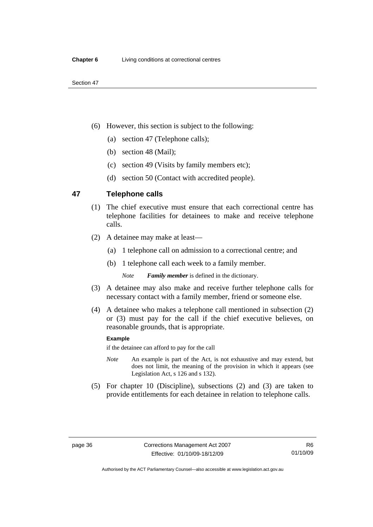- (6) However, this section is subject to the following:
	- (a) section 47 (Telephone calls);
	- (b) section 48 (Mail);
	- (c) section 49 (Visits by family members etc);
	- (d) section 50 (Contact with accredited people).

# **47 Telephone calls**

- (1) The chief executive must ensure that each correctional centre has telephone facilities for detainees to make and receive telephone calls.
- (2) A detainee may make at least—
	- (a) 1 telephone call on admission to a correctional centre; and
	- (b) 1 telephone call each week to a family member.

*Note Family member* is defined in the dictionary.

- (3) A detainee may also make and receive further telephone calls for necessary contact with a family member, friend or someone else.
- (4) A detainee who makes a telephone call mentioned in subsection (2) or (3) must pay for the call if the chief executive believes, on reasonable grounds, that is appropriate.

#### **Example**

if the detainee can afford to pay for the call

- *Note* An example is part of the Act, is not exhaustive and may extend, but does not limit, the meaning of the provision in which it appears (see Legislation Act, s 126 and s 132).
- (5) For chapter 10 (Discipline), subsections (2) and (3) are taken to provide entitlements for each detainee in relation to telephone calls.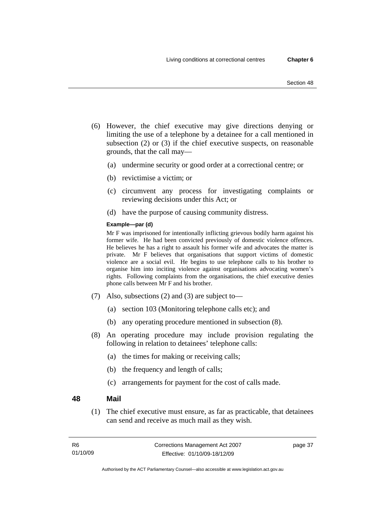- (6) However, the chief executive may give directions denying or limiting the use of a telephone by a detainee for a call mentioned in subsection (2) or (3) if the chief executive suspects, on reasonable grounds, that the call may—
	- (a) undermine security or good order at a correctional centre; or
	- (b) revictimise a victim; or
	- (c) circumvent any process for investigating complaints or reviewing decisions under this Act; or
	- (d) have the purpose of causing community distress.

#### **Example—par (d)**

Mr F was imprisoned for intentionally inflicting grievous bodily harm against his former wife. He had been convicted previously of domestic violence offences. He believes he has a right to assault his former wife and advocates the matter is private. Mr F believes that organisations that support victims of domestic violence are a social evil. He begins to use telephone calls to his brother to organise him into inciting violence against organisations advocating women's rights. Following complaints from the organisations, the chief executive denies phone calls between Mr F and his brother.

- (7) Also, subsections (2) and (3) are subject to—
	- (a) section 103 (Monitoring telephone calls etc); and
	- (b) any operating procedure mentioned in subsection (8).
- (8) An operating procedure may include provision regulating the following in relation to detainees' telephone calls:
	- (a) the times for making or receiving calls;
	- (b) the frequency and length of calls;
	- (c) arrangements for payment for the cost of calls made.

#### **48 Mail**

 (1) The chief executive must ensure, as far as practicable, that detainees can send and receive as much mail as they wish.

page 37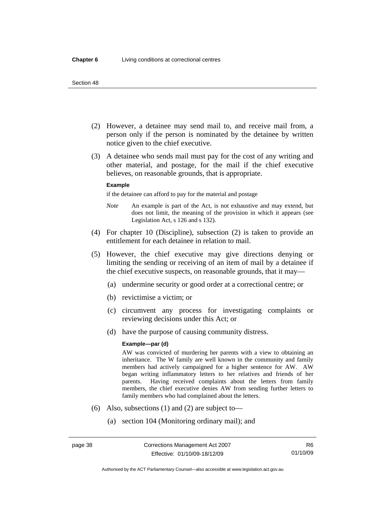#### Section 48

- (2) However, a detainee may send mail to, and receive mail from, a person only if the person is nominated by the detainee by written notice given to the chief executive.
- (3) A detainee who sends mail must pay for the cost of any writing and other material, and postage, for the mail if the chief executive believes, on reasonable grounds, that is appropriate.

#### **Example**

if the detainee can afford to pay for the material and postage

- *Note* An example is part of the Act, is not exhaustive and may extend, but does not limit, the meaning of the provision in which it appears (see Legislation Act, s 126 and s 132).
- (4) For chapter 10 (Discipline), subsection (2) is taken to provide an entitlement for each detainee in relation to mail.
- (5) However, the chief executive may give directions denying or limiting the sending or receiving of an item of mail by a detainee if the chief executive suspects, on reasonable grounds, that it may—
	- (a) undermine security or good order at a correctional centre; or
	- (b) revictimise a victim; or
	- (c) circumvent any process for investigating complaints or reviewing decisions under this Act; or
	- (d) have the purpose of causing community distress.

#### **Example—par (d)**

AW was convicted of murdering her parents with a view to obtaining an inheritance. The W family are well known in the community and family members had actively campaigned for a higher sentence for AW. AW began writing inflammatory letters to her relatives and friends of her parents. Having received complaints about the letters from family members, the chief executive denies AW from sending further letters to family members who had complained about the letters.

- (6) Also, subsections (1) and (2) are subject to—
	- (a) section 104 (Monitoring ordinary mail); and

Authorised by the ACT Parliamentary Counsel—also accessible at www.legislation.act.gov.au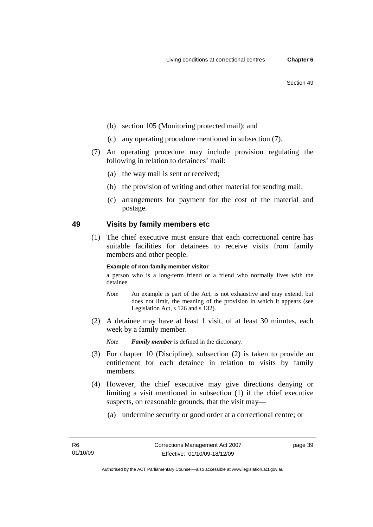- Section 49
- (b) section 105 (Monitoring protected mail); and
- (c) any operating procedure mentioned in subsection (7).
- (7) An operating procedure may include provision regulating the following in relation to detainees' mail:
	- (a) the way mail is sent or received;
	- (b) the provision of writing and other material for sending mail;
	- (c) arrangements for payment for the cost of the material and postage.

# **49 Visits by family members etc**

 (1) The chief executive must ensure that each correctional centre has suitable facilities for detainees to receive visits from family members and other people.

#### **Example of non-family member visitor**

a person who is a long-term friend or a friend who normally lives with the detainee

- *Note* An example is part of the Act, is not exhaustive and may extend, but does not limit, the meaning of the provision in which it appears (see Legislation Act, s 126 and s 132).
- (2) A detainee may have at least 1 visit, of at least 30 minutes, each week by a family member.

*Note Family member* is defined in the dictionary.

- (3) For chapter 10 (Discipline), subsection (2) is taken to provide an entitlement for each detainee in relation to visits by family members.
- (4) However, the chief executive may give directions denying or limiting a visit mentioned in subsection (1) if the chief executive suspects, on reasonable grounds, that the visit may—
	- (a) undermine security or good order at a correctional centre; or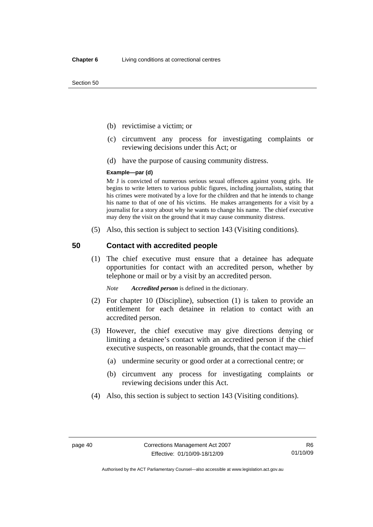Section 50

- (b) revictimise a victim; or
- (c) circumvent any process for investigating complaints or reviewing decisions under this Act; or
- (d) have the purpose of causing community distress.

#### **Example—par (d)**

Mr J is convicted of numerous serious sexual offences against young girls. He begins to write letters to various public figures, including journalists, stating that his crimes were motivated by a love for the children and that he intends to change his name to that of one of his victims. He makes arrangements for a visit by a journalist for a story about why he wants to change his name. The chief executive may deny the visit on the ground that it may cause community distress.

(5) Also, this section is subject to section 143 (Visiting conditions).

#### **50 Contact with accredited people**

 (1) The chief executive must ensure that a detainee has adequate opportunities for contact with an accredited person, whether by telephone or mail or by a visit by an accredited person.

*Note Accredited person* is defined in the dictionary.

- (2) For chapter 10 (Discipline), subsection (1) is taken to provide an entitlement for each detainee in relation to contact with an accredited person.
- (3) However, the chief executive may give directions denying or limiting a detainee's contact with an accredited person if the chief executive suspects, on reasonable grounds, that the contact may—
	- (a) undermine security or good order at a correctional centre; or
	- (b) circumvent any process for investigating complaints or reviewing decisions under this Act.
- (4) Also, this section is subject to section 143 (Visiting conditions).

Authorised by the ACT Parliamentary Counsel—also accessible at www.legislation.act.gov.au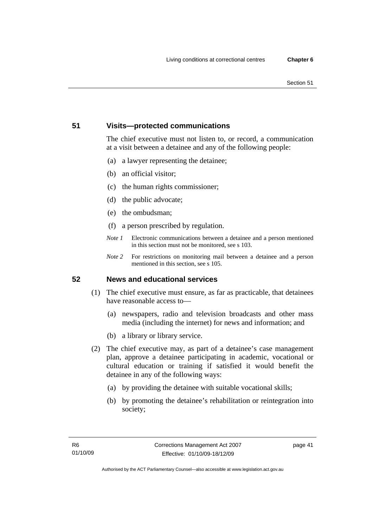# **51 Visits—protected communications**

The chief executive must not listen to, or record, a communication at a visit between a detainee and any of the following people:

- (a) a lawyer representing the detainee;
- (b) an official visitor;
- (c) the human rights commissioner;
- (d) the public advocate;
- (e) the ombudsman;
- (f) a person prescribed by regulation.
- *Note 1* Electronic communications between a detainee and a person mentioned in this section must not be monitored, see s 103.
- *Note 2* For restrictions on monitoring mail between a detainee and a person mentioned in this section, see s 105.

# **52 News and educational services**

- (1) The chief executive must ensure, as far as practicable, that detainees have reasonable access to—
	- (a) newspapers, radio and television broadcasts and other mass media (including the internet) for news and information; and
	- (b) a library or library service.
- (2) The chief executive may, as part of a detainee's case management plan, approve a detainee participating in academic, vocational or cultural education or training if satisfied it would benefit the detainee in any of the following ways:
	- (a) by providing the detainee with suitable vocational skills;
	- (b) by promoting the detainee's rehabilitation or reintegration into society;

page 41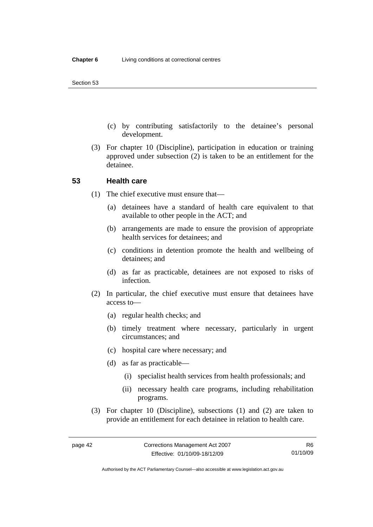- (c) by contributing satisfactorily to the detainee's personal development.
- (3) For chapter 10 (Discipline), participation in education or training approved under subsection (2) is taken to be an entitlement for the detainee.

#### **53 Health care**

- (1) The chief executive must ensure that—
	- (a) detainees have a standard of health care equivalent to that available to other people in the ACT; and
	- (b) arrangements are made to ensure the provision of appropriate health services for detainees; and
	- (c) conditions in detention promote the health and wellbeing of detainees; and
	- (d) as far as practicable, detainees are not exposed to risks of infection.
- (2) In particular, the chief executive must ensure that detainees have access to—
	- (a) regular health checks; and
	- (b) timely treatment where necessary, particularly in urgent circumstances; and
	- (c) hospital care where necessary; and
	- (d) as far as practicable—
		- (i) specialist health services from health professionals; and
		- (ii) necessary health care programs, including rehabilitation programs.
- (3) For chapter 10 (Discipline), subsections (1) and (2) are taken to provide an entitlement for each detainee in relation to health care.

Authorised by the ACT Parliamentary Counsel—also accessible at www.legislation.act.gov.au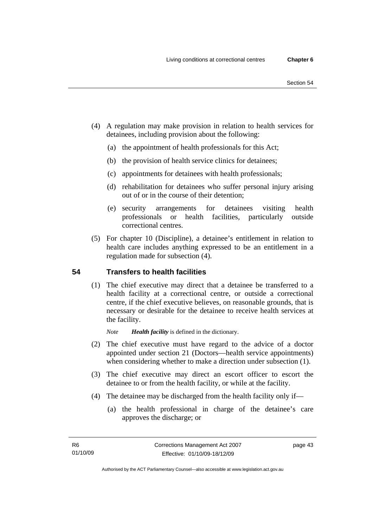- (4) A regulation may make provision in relation to health services for detainees, including provision about the following:
	- (a) the appointment of health professionals for this Act;
	- (b) the provision of health service clinics for detainees;
	- (c) appointments for detainees with health professionals;
	- (d) rehabilitation for detainees who suffer personal injury arising out of or in the course of their detention;
	- (e) security arrangements for detainees visiting health professionals or health facilities, particularly outside correctional centres.
- (5) For chapter 10 (Discipline), a detainee's entitlement in relation to health care includes anything expressed to be an entitlement in a regulation made for subsection (4).

# **54 Transfers to health facilities**

 (1) The chief executive may direct that a detainee be transferred to a health facility at a correctional centre, or outside a correctional centre, if the chief executive believes, on reasonable grounds, that is necessary or desirable for the detainee to receive health services at the facility.

*Note Health facility* is defined in the dictionary.

- (2) The chief executive must have regard to the advice of a doctor appointed under section 21 (Doctors—health service appointments) when considering whether to make a direction under subsection (1).
- (3) The chief executive may direct an escort officer to escort the detainee to or from the health facility, or while at the facility.
- (4) The detainee may be discharged from the health facility only if—
	- (a) the health professional in charge of the detainee's care approves the discharge; or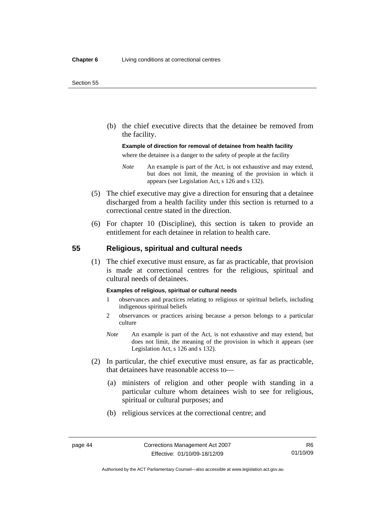#### Section 55

 (b) the chief executive directs that the detainee be removed from the facility.

#### **Example of direction for removal of detainee from health facility**

where the detainee is a danger to the safety of people at the facility

- *Note* An example is part of the Act, is not exhaustive and may extend, but does not limit, the meaning of the provision in which it appears (see Legislation Act, s 126 and s 132).
- (5) The chief executive may give a direction for ensuring that a detainee discharged from a health facility under this section is returned to a correctional centre stated in the direction.
- (6) For chapter 10 (Discipline), this section is taken to provide an entitlement for each detainee in relation to health care.

#### **55 Religious, spiritual and cultural needs**

 (1) The chief executive must ensure, as far as practicable, that provision is made at correctional centres for the religious, spiritual and cultural needs of detainees.

#### **Examples of religious, spiritual or cultural needs**

- 1 observances and practices relating to religious or spiritual beliefs, including indigenous spiritual beliefs
- 2 observances or practices arising because a person belongs to a particular culture
- *Note* An example is part of the Act, is not exhaustive and may extend, but does not limit, the meaning of the provision in which it appears (see Legislation Act, s 126 and s 132).
- (2) In particular, the chief executive must ensure, as far as practicable, that detainees have reasonable access to—
	- (a) ministers of religion and other people with standing in a particular culture whom detainees wish to see for religious, spiritual or cultural purposes; and
	- (b) religious services at the correctional centre; and

Authorised by the ACT Parliamentary Counsel—also accessible at www.legislation.act.gov.au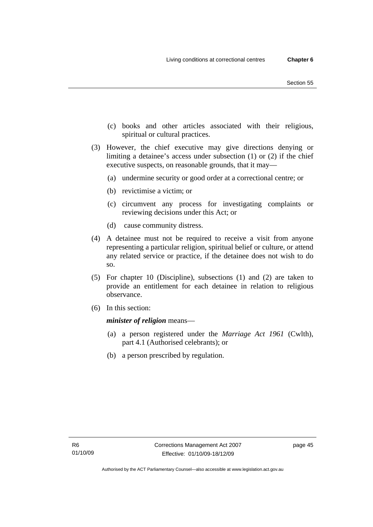- (c) books and other articles associated with their religious, spiritual or cultural practices.
- (3) However, the chief executive may give directions denying or limiting a detainee's access under subsection (1) or (2) if the chief executive suspects, on reasonable grounds, that it may—
	- (a) undermine security or good order at a correctional centre; or
	- (b) revictimise a victim; or
	- (c) circumvent any process for investigating complaints or reviewing decisions under this Act; or
	- (d) cause community distress.
- (4) A detainee must not be required to receive a visit from anyone representing a particular religion, spiritual belief or culture, or attend any related service or practice, if the detainee does not wish to do so.
- (5) For chapter 10 (Discipline), subsections (1) and (2) are taken to provide an entitlement for each detainee in relation to religious observance.
- (6) In this section:

*minister of religion* means—

- (a) a person registered under the *Marriage Act 1961* (Cwlth), part 4.1 (Authorised celebrants); or
- (b) a person prescribed by regulation.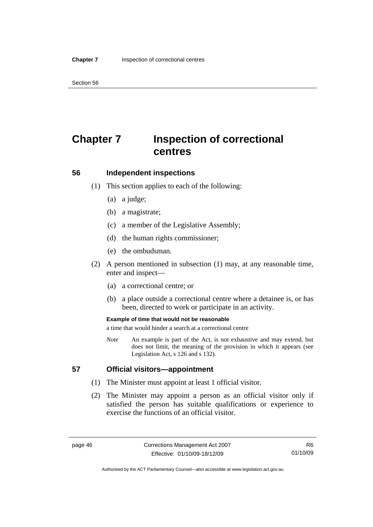Section 56

# **Chapter 7 Inspection of correctional centres**

# **56 Independent inspections**

- (1) This section applies to each of the following:
	- (a) a judge;
	- (b) a magistrate;
	- (c) a member of the Legislative Assembly;
	- (d) the human rights commissioner;
	- (e) the ombudsman.
- (2) A person mentioned in subsection (1) may, at any reasonable time, enter and inspect—
	- (a) a correctional centre; or
	- (b) a place outside a correctional centre where a detainee is, or has been, directed to work or participate in an activity.

#### **Example of time that would not be reasonable**

a time that would hinder a search at a correctional centre

*Note* An example is part of the Act, is not exhaustive and may extend, but does not limit, the meaning of the provision in which it appears (see Legislation Act, s 126 and s 132).

## **57 Official visitors—appointment**

- (1) The Minister must appoint at least 1 official visitor.
- (2) The Minister may appoint a person as an official visitor only if satisfied the person has suitable qualifications or experience to exercise the functions of an official visitor.

R6 01/10/09

Authorised by the ACT Parliamentary Counsel—also accessible at www.legislation.act.gov.au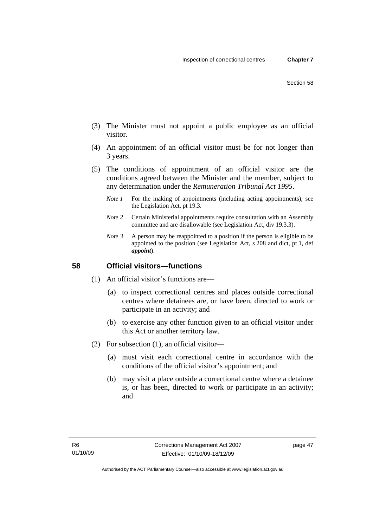- (3) The Minister must not appoint a public employee as an official visitor.
- (4) An appointment of an official visitor must be for not longer than 3 years.
- (5) The conditions of appointment of an official visitor are the conditions agreed between the Minister and the member, subject to any determination under the *Remuneration Tribunal Act 1995*.
	- *Note 1* For the making of appointments (including acting appointments), see the Legislation Act, pt 19.3.
	- *Note 2* Certain Ministerial appointments require consultation with an Assembly committee and are disallowable (see Legislation Act, div 19.3.3).
	- *Note 3* A person may be reappointed to a position if the person is eligible to be appointed to the position (see Legislation Act, s 208 and dict, pt 1, def *appoint*).

## **58 Official visitors—functions**

- (1) An official visitor's functions are—
	- (a) to inspect correctional centres and places outside correctional centres where detainees are, or have been, directed to work or participate in an activity; and
	- (b) to exercise any other function given to an official visitor under this Act or another territory law.
- (2) For subsection (1), an official visitor—
	- (a) must visit each correctional centre in accordance with the conditions of the official visitor's appointment; and
	- (b) may visit a place outside a correctional centre where a detainee is, or has been, directed to work or participate in an activity; and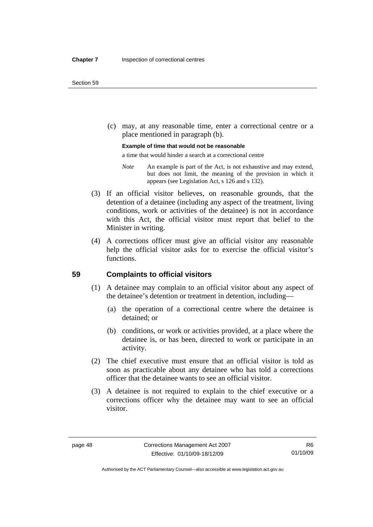(c) may, at any reasonable time, enter a correctional centre or a place mentioned in paragraph (b).

#### **Example of time that would not be reasonable**

a time that would hinder a search at a correctional centre

- *Note* An example is part of the Act, is not exhaustive and may extend, but does not limit, the meaning of the provision in which it appears (see Legislation Act, s 126 and s 132).
- (3) If an official visitor believes, on reasonable grounds, that the detention of a detainee (including any aspect of the treatment, living conditions, work or activities of the detainee) is not in accordance with this Act, the official visitor must report that belief to the Minister in writing.
- (4) A corrections officer must give an official visitor any reasonable help the official visitor asks for to exercise the official visitor's functions.

#### **59 Complaints to official visitors**

- (1) A detainee may complain to an official visitor about any aspect of the detainee's detention or treatment in detention, including—
	- (a) the operation of a correctional centre where the detainee is detained; or
	- (b) conditions, or work or activities provided, at a place where the detainee is, or has been, directed to work or participate in an activity.
- (2) The chief executive must ensure that an official visitor is told as soon as practicable about any detainee who has told a corrections officer that the detainee wants to see an official visitor.
- (3) A detainee is not required to explain to the chief executive or a corrections officer why the detainee may want to see an official visitor.

Authorised by the ACT Parliamentary Counsel—also accessible at www.legislation.act.gov.au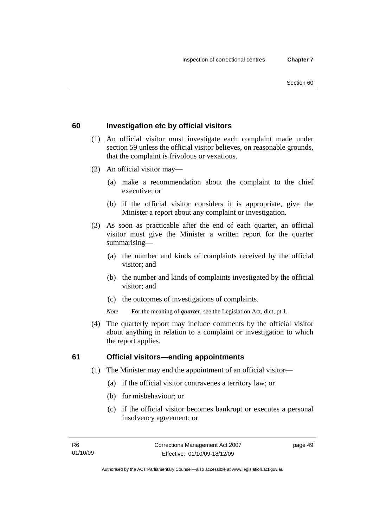## **60 Investigation etc by official visitors**

- (1) An official visitor must investigate each complaint made under section 59 unless the official visitor believes, on reasonable grounds, that the complaint is frivolous or vexatious.
- (2) An official visitor may—
	- (a) make a recommendation about the complaint to the chief executive; or
	- (b) if the official visitor considers it is appropriate, give the Minister a report about any complaint or investigation.
- (3) As soon as practicable after the end of each quarter, an official visitor must give the Minister a written report for the quarter summarising—
	- (a) the number and kinds of complaints received by the official visitor; and
	- (b) the number and kinds of complaints investigated by the official visitor; and
	- (c) the outcomes of investigations of complaints.
	- *Note* For the meaning of *quarter*, see the Legislation Act, dict, pt 1.
- (4) The quarterly report may include comments by the official visitor about anything in relation to a complaint or investigation to which the report applies.

#### **61 Official visitors—ending appointments**

- (1) The Minister may end the appointment of an official visitor—
	- (a) if the official visitor contravenes a territory law; or
	- (b) for misbehaviour; or
	- (c) if the official visitor becomes bankrupt or executes a personal insolvency agreement; or

page 49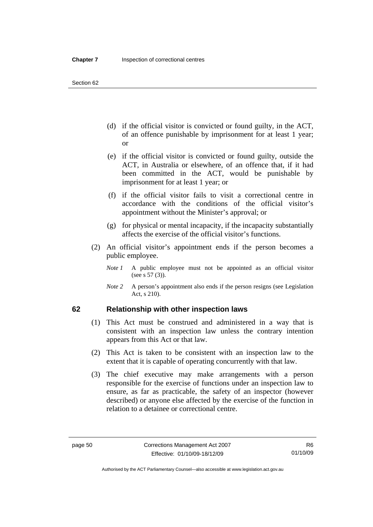- (d) if the official visitor is convicted or found guilty, in the ACT, of an offence punishable by imprisonment for at least 1 year; or
- (e) if the official visitor is convicted or found guilty, outside the ACT, in Australia or elsewhere, of an offence that, if it had been committed in the ACT, would be punishable by imprisonment for at least 1 year; or
- (f) if the official visitor fails to visit a correctional centre in accordance with the conditions of the official visitor's appointment without the Minister's approval; or
- (g) for physical or mental incapacity, if the incapacity substantially affects the exercise of the official visitor's functions.
- (2) An official visitor's appointment ends if the person becomes a public employee.
	- *Note 1* A public employee must not be appointed as an official visitor (see s 57 (3)).
	- *Note 2* A person's appointment also ends if the person resigns (see Legislation Act, s 210).

#### **62 Relationship with other inspection laws**

- (1) This Act must be construed and administered in a way that is consistent with an inspection law unless the contrary intention appears from this Act or that law.
- (2) This Act is taken to be consistent with an inspection law to the extent that it is capable of operating concurrently with that law.
- (3) The chief executive may make arrangements with a person responsible for the exercise of functions under an inspection law to ensure, as far as practicable, the safety of an inspector (however described) or anyone else affected by the exercise of the function in relation to a detainee or correctional centre.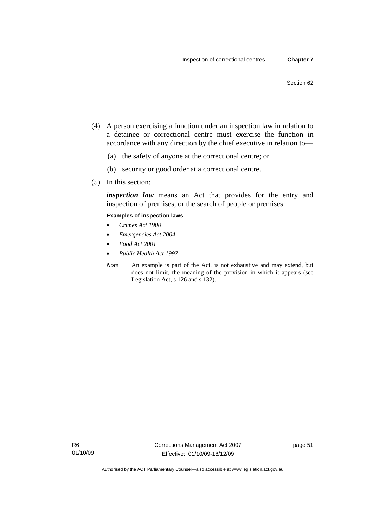- (4) A person exercising a function under an inspection law in relation to a detainee or correctional centre must exercise the function in accordance with any direction by the chief executive in relation to—
	- (a) the safety of anyone at the correctional centre; or
	- (b) security or good order at a correctional centre.
- (5) In this section:

*inspection law* means an Act that provides for the entry and inspection of premises, or the search of people or premises.

#### **Examples of inspection laws**

- *Crimes Act 1900*
- *Emergencies Act 2004*
- *Food Act 2001*
- *Public Health Act 1997*
- *Note* An example is part of the Act, is not exhaustive and may extend, but does not limit, the meaning of the provision in which it appears (see Legislation Act, s 126 and s 132).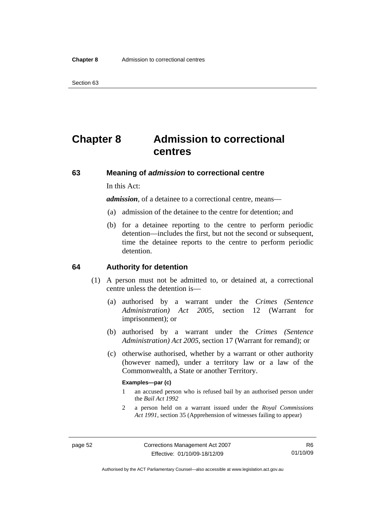# **Chapter 8 Admission to correctional centres**

#### **63 Meaning of** *admission* **to correctional centre**

In this Act:

*admission,* of a detainee to a correctional centre, means—

- (a) admission of the detainee to the centre for detention; and
- (b) for a detainee reporting to the centre to perform periodic detention—includes the first, but not the second or subsequent, time the detainee reports to the centre to perform periodic detention.

#### **64 Authority for detention**

- (1) A person must not be admitted to, or detained at, a correctional centre unless the detention is—
	- (a) authorised by a warrant under the *Crimes (Sentence Administration) Act 2005*, section 12 (Warrant for imprisonment); or
	- (b) authorised by a warrant under the *Crimes (Sentence Administration) Act 2005*, section 17 (Warrant for remand); or
	- (c) otherwise authorised, whether by a warrant or other authority (however named), under a territory law or a law of the Commonwealth, a State or another Territory.

#### **Examples—par (c)**

- 1 an accused person who is refused bail by an authorised person under the *Bail Act 1992*
- 2 a person held on a warrant issued under the *Royal Commissions Act 1991*, section 35 (Apprehension of witnesses failing to appear)

Authorised by the ACT Parliamentary Counsel—also accessible at www.legislation.act.gov.au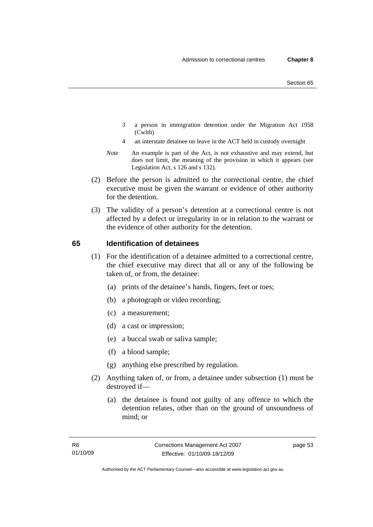- 3 a person in immigration detention under the Migration Act 1958 (Cwlth)
- 4 an interstate detainee on leave in the ACT held in custody overnight
- *Note* An example is part of the Act, is not exhaustive and may extend, but does not limit, the meaning of the provision in which it appears (see Legislation Act, s 126 and s 132).
- (2) Before the person is admitted to the correctional centre, the chief executive must be given the warrant or evidence of other authority for the detention.
- (3) The validity of a person's detention at a correctional centre is not affected by a defect or irregularity in or in relation to the warrant or the evidence of other authority for the detention.

## **65 Identification of detainees**

- (1) For the identification of a detainee admitted to a correctional centre, the chief executive may direct that all or any of the following be taken of, or from, the detainee:
	- (a) prints of the detainee's hands, fingers, feet or toes;
	- (b) a photograph or video recording;
	- (c) a measurement;
	- (d) a cast or impression;
	- (e) a buccal swab or saliva sample;
	- (f) a blood sample;
	- (g) anything else prescribed by regulation.
- (2) Anything taken of, or from, a detainee under subsection (1) must be destroyed if—
	- (a) the detainee is found not guilty of any offence to which the detention relates, other than on the ground of unsoundness of mind; or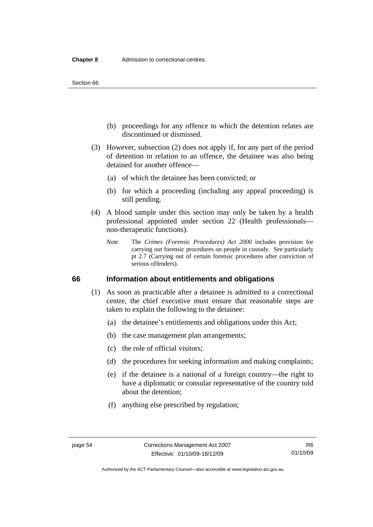Section 66

- (b) proceedings for any offence to which the detention relates are discontinued or dismissed.
- (3) However, subsection (2) does not apply if, for any part of the period of detention in relation to an offence, the detainee was also being detained for another offence—
	- (a) of which the detainee has been convicted; or
	- (b) for which a proceeding (including any appeal proceeding) is still pending.
- (4) A blood sample under this section may only be taken by a health professional appointed under section 22 (Health professionals non-therapeutic functions).
	- *Note* The *Crimes (Forensic Procedures) Act 2000* includes provision for carrying out forensic procedures on people in custody. See particularly pt 2.7 (Carrying out of certain forensic procedures after conviction of serious offenders).

#### **66 Information about entitlements and obligations**

- (1) As soon as practicable after a detainee is admitted to a correctional centre, the chief executive must ensure that reasonable steps are taken to explain the following to the detainee:
	- (a) the detainee's entitlements and obligations under this Act;
	- (b) the case management plan arrangements;
	- (c) the role of official visitors;
	- (d) the procedures for seeking information and making complaints;
	- (e) if the detainee is a national of a foreign country—the right to have a diplomatic or consular representative of the country told about the detention;
	- (f) anything else prescribed by regulation;

Authorised by the ACT Parliamentary Counsel—also accessible at www.legislation.act.gov.au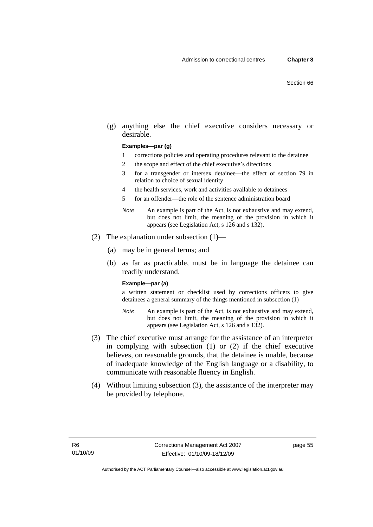(g) anything else the chief executive considers necessary or desirable.

#### **Examples—par (g)**

- 1 corrections policies and operating procedures relevant to the detainee
- 2 the scope and effect of the chief executive's directions
- 3 for a transgender or intersex detainee—the effect of section 79 in relation to choice of sexual identity
- 4 the health services, work and activities available to detainees
- 5 for an offender—the role of the sentence administration board
- *Note* An example is part of the Act, is not exhaustive and may extend, but does not limit, the meaning of the provision in which it appears (see Legislation Act, s 126 and s 132).
- (2) The explanation under subsection (1)—
	- (a) may be in general terms; and
	- (b) as far as practicable, must be in language the detainee can readily understand.

#### **Example—par (a)**

a written statement or checklist used by corrections officers to give detainees a general summary of the things mentioned in subsection (1)

- *Note* An example is part of the Act, is not exhaustive and may extend, but does not limit, the meaning of the provision in which it appears (see Legislation Act, s 126 and s 132).
- (3) The chief executive must arrange for the assistance of an interpreter in complying with subsection (1) or (2) if the chief executive believes, on reasonable grounds, that the detainee is unable, because of inadequate knowledge of the English language or a disability, to communicate with reasonable fluency in English.
- (4) Without limiting subsection (3), the assistance of the interpreter may be provided by telephone.

page 55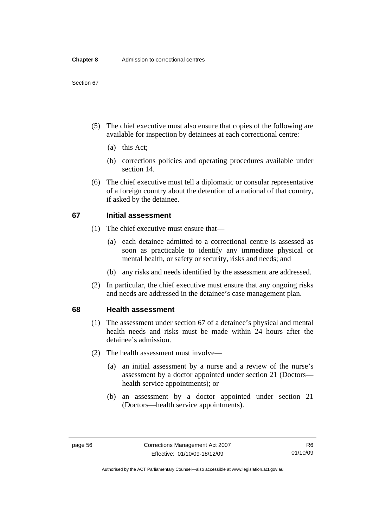- (5) The chief executive must also ensure that copies of the following are available for inspection by detainees at each correctional centre:
	- (a) this Act;
	- (b) corrections policies and operating procedures available under section 14.
- (6) The chief executive must tell a diplomatic or consular representative of a foreign country about the detention of a national of that country, if asked by the detainee.

#### **67 Initial assessment**

- (1) The chief executive must ensure that—
	- (a) each detainee admitted to a correctional centre is assessed as soon as practicable to identify any immediate physical or mental health, or safety or security, risks and needs; and
	- (b) any risks and needs identified by the assessment are addressed.
- (2) In particular, the chief executive must ensure that any ongoing risks and needs are addressed in the detainee's case management plan.

#### **68 Health assessment**

- (1) The assessment under section 67 of a detainee's physical and mental health needs and risks must be made within 24 hours after the detainee's admission.
- (2) The health assessment must involve—
	- (a) an initial assessment by a nurse and a review of the nurse's assessment by a doctor appointed under section 21 (Doctors health service appointments); or
	- (b) an assessment by a doctor appointed under section 21 (Doctors—health service appointments).

Authorised by the ACT Parliamentary Counsel—also accessible at www.legislation.act.gov.au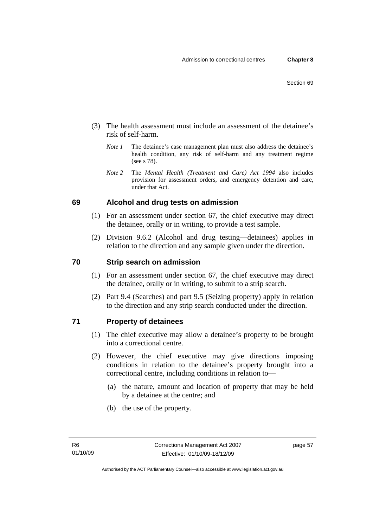- (3) The health assessment must include an assessment of the detainee's risk of self-harm.
	- *Note 1* The detainee's case management plan must also address the detainee's health condition, any risk of self-harm and any treatment regime (see s 78).
	- *Note 2* The *Mental Health (Treatment and Care) Act 1994* also includes provision for assessment orders, and emergency detention and care, under that Act.

# **69 Alcohol and drug tests on admission**

- (1) For an assessment under section 67, the chief executive may direct the detainee, orally or in writing, to provide a test sample.
- (2) Division 9.6.2 (Alcohol and drug testing—detainees) applies in relation to the direction and any sample given under the direction.

# **70 Strip search on admission**

- (1) For an assessment under section 67, the chief executive may direct the detainee, orally or in writing, to submit to a strip search.
- (2) Part 9.4 (Searches) and part 9.5 (Seizing property) apply in relation to the direction and any strip search conducted under the direction.

#### **71 Property of detainees**

- (1) The chief executive may allow a detainee's property to be brought into a correctional centre.
- (2) However, the chief executive may give directions imposing conditions in relation to the detainee's property brought into a correctional centre, including conditions in relation to—
	- (a) the nature, amount and location of property that may be held by a detainee at the centre; and
	- (b) the use of the property.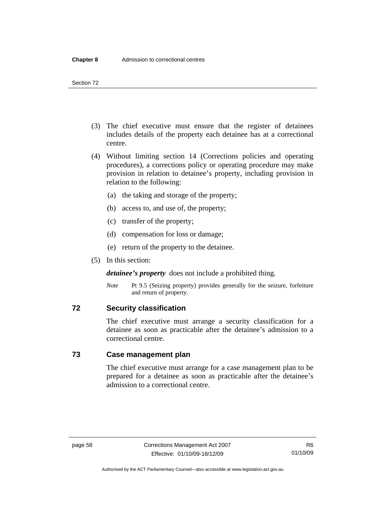- (3) The chief executive must ensure that the register of detainees includes details of the property each detainee has at a correctional centre.
- (4) Without limiting section 14 (Corrections policies and operating procedures), a corrections policy or operating procedure may make provision in relation to detainee's property, including provision in relation to the following:
	- (a) the taking and storage of the property;
	- (b) access to, and use of, the property;
	- (c) transfer of the property;
	- (d) compensation for loss or damage;
	- (e) return of the property to the detainee.
- (5) In this section:

*detainee's property* does not include a prohibited thing.

*Note* Pt 9.5 (Seizing property) provides generally for the seizure, forfeiture and return of property.

#### **72 Security classification**

The chief executive must arrange a security classification for a detainee as soon as practicable after the detainee's admission to a correctional centre.

#### **73 Case management plan**

The chief executive must arrange for a case management plan to be prepared for a detainee as soon as practicable after the detainee's admission to a correctional centre.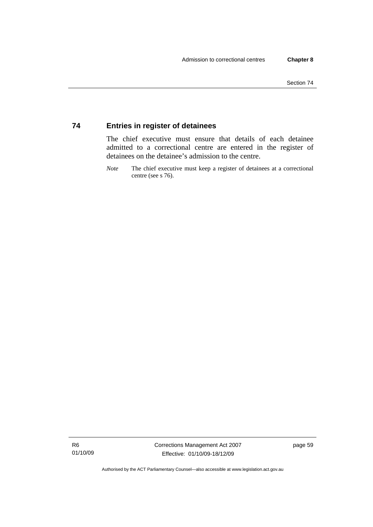# **74 Entries in register of detainees**

The chief executive must ensure that details of each detainee admitted to a correctional centre are entered in the register of detainees on the detainee's admission to the centre.

*Note* The chief executive must keep a register of detainees at a correctional centre (see s 76).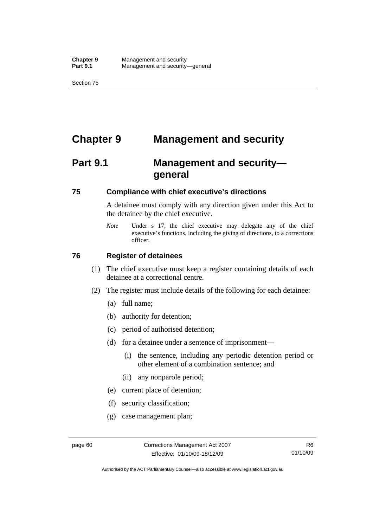# **Chapter 9 Management and security**

# **Part 9.1 Management and security general**

#### **75 Compliance with chief executive's directions**

A detainee must comply with any direction given under this Act to the detainee by the chief executive.

*Note* Under s 17, the chief executive may delegate any of the chief executive's functions, including the giving of directions, to a corrections officer.

#### **76 Register of detainees**

- (1) The chief executive must keep a register containing details of each detainee at a correctional centre.
- (2) The register must include details of the following for each detainee:
	- (a) full name;
	- (b) authority for detention;
	- (c) period of authorised detention;
	- (d) for a detainee under a sentence of imprisonment—
		- (i) the sentence, including any periodic detention period or other element of a combination sentence; and
		- (ii) any nonparole period;
	- (e) current place of detention;
	- (f) security classification;
	- (g) case management plan;

Authorised by the ACT Parliamentary Counsel—also accessible at www.legislation.act.gov.au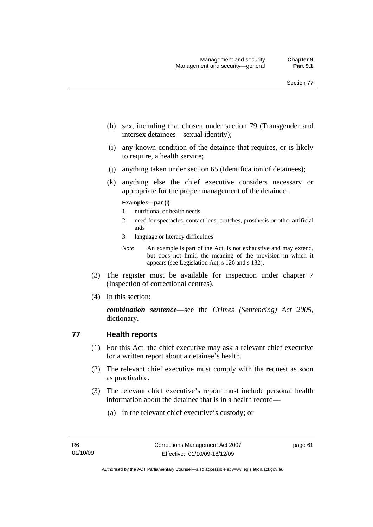- (h) sex, including that chosen under section 79 (Transgender and intersex detainees—sexual identity);
- (i) any known condition of the detainee that requires, or is likely to require, a health service;
- (j) anything taken under section 65 (Identification of detainees);
- (k) anything else the chief executive considers necessary or appropriate for the proper management of the detainee.

#### **Examples—par (i)**

- 1 nutritional or health needs
- 2 need for spectacles, contact lens, crutches, prosthesis or other artificial aids
- 3 language or literacy difficulties

*Note* An example is part of the Act, is not exhaustive and may extend, but does not limit, the meaning of the provision in which it appears (see Legislation Act, s 126 and s 132).

- (3) The register must be available for inspection under chapter 7 (Inspection of correctional centres).
- (4) In this section:

*combination sentence*—see the *Crimes (Sentencing) Act 2005*, dictionary.

#### **77 Health reports**

- (1) For this Act, the chief executive may ask a relevant chief executive for a written report about a detainee's health.
- (2) The relevant chief executive must comply with the request as soon as practicable.
- (3) The relevant chief executive's report must include personal health information about the detainee that is in a health record—
	- (a) in the relevant chief executive's custody; or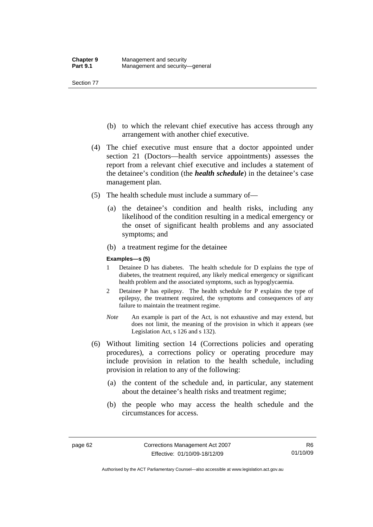- (b) to which the relevant chief executive has access through any arrangement with another chief executive.
- (4) The chief executive must ensure that a doctor appointed under section 21 (Doctors—health service appointments) assesses the report from a relevant chief executive and includes a statement of the detainee's condition (the *health schedule*) in the detainee's case management plan.
- (5) The health schedule must include a summary of—
	- (a) the detainee's condition and health risks, including any likelihood of the condition resulting in a medical emergency or the onset of significant health problems and any associated symptoms; and
	- (b) a treatment regime for the detainee

#### **Examples—s (5)**

- 1 Detainee D has diabetes. The health schedule for D explains the type of diabetes, the treatment required, any likely medical emergency or significant health problem and the associated symptoms, such as hypoglycaemia.
- 2 Detainee P has epilepsy. The health schedule for P explains the type of epilepsy, the treatment required, the symptoms and consequences of any failure to maintain the treatment regime.
- *Note* An example is part of the Act, is not exhaustive and may extend, but does not limit, the meaning of the provision in which it appears (see Legislation Act, s 126 and s 132).
- (6) Without limiting section 14 (Corrections policies and operating procedures), a corrections policy or operating procedure may include provision in relation to the health schedule, including provision in relation to any of the following:
	- (a) the content of the schedule and, in particular, any statement about the detainee's health risks and treatment regime;
	- (b) the people who may access the health schedule and the circumstances for access.

R6 01/10/09

Authorised by the ACT Parliamentary Counsel—also accessible at www.legislation.act.gov.au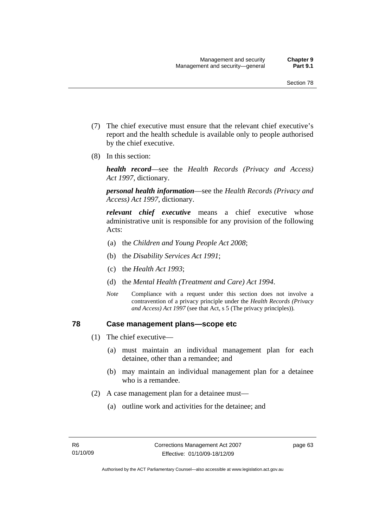- (7) The chief executive must ensure that the relevant chief executive's report and the health schedule is available only to people authorised by the chief executive.
- (8) In this section:

*health record*—see the *Health Records (Privacy and Access) Act 1997*, dictionary.

*personal health information*—see the *Health Records (Privacy and Access) Act 1997*, dictionary.

*relevant chief executive* means a chief executive whose administrative unit is responsible for any provision of the following Acts:

- (a) the *Children and Young People Act 2008*;
- (b) the *Disability Services Act 1991*;
- (c) the *Health Act 1993*;
- (d) the *Mental Health (Treatment and Care) Act 1994*.
- *Note* Compliance with a request under this section does not involve a contravention of a privacy principle under the *Health Records (Privacy and Access) Act 1997* (see that Act, s 5 (The privacy principles))*.*

#### **78 Case management plans—scope etc**

- (1) The chief executive—
	- (a) must maintain an individual management plan for each detainee, other than a remandee; and
	- (b) may maintain an individual management plan for a detainee who is a remandee.
- (2) A case management plan for a detainee must—
	- (a) outline work and activities for the detainee; and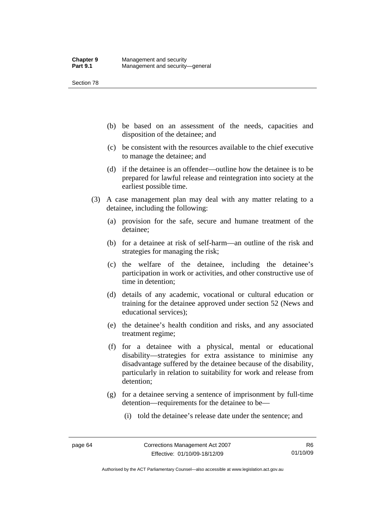- (b) be based on an assessment of the needs, capacities and disposition of the detainee; and
- (c) be consistent with the resources available to the chief executive to manage the detainee; and
- (d) if the detainee is an offender—outline how the detainee is to be prepared for lawful release and reintegration into society at the earliest possible time.
- (3) A case management plan may deal with any matter relating to a detainee, including the following:
	- (a) provision for the safe, secure and humane treatment of the detainee;
	- (b) for a detainee at risk of self-harm—an outline of the risk and strategies for managing the risk;
	- (c) the welfare of the detainee, including the detainee's participation in work or activities, and other constructive use of time in detention;
	- (d) details of any academic, vocational or cultural education or training for the detainee approved under section 52 (News and educational services);
	- (e) the detainee's health condition and risks, and any associated treatment regime;
	- (f) for a detainee with a physical, mental or educational disability—strategies for extra assistance to minimise any disadvantage suffered by the detainee because of the disability, particularly in relation to suitability for work and release from detention;
	- (g) for a detainee serving a sentence of imprisonment by full-time detention—requirements for the detainee to be—
		- (i) told the detainee's release date under the sentence; and

Authorised by the ACT Parliamentary Counsel—also accessible at www.legislation.act.gov.au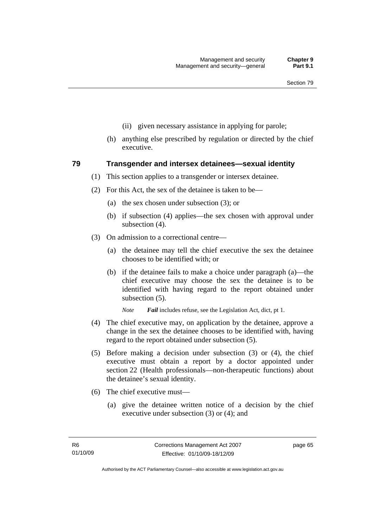- (ii) given necessary assistance in applying for parole;
- (h) anything else prescribed by regulation or directed by the chief executive.

#### **79 Transgender and intersex detainees—sexual identity**

- (1) This section applies to a transgender or intersex detainee.
- (2) For this Act, the sex of the detainee is taken to be—
	- (a) the sex chosen under subsection (3); or
	- (b) if subsection (4) applies—the sex chosen with approval under subsection (4).
- (3) On admission to a correctional centre—
	- (a) the detainee may tell the chief executive the sex the detainee chooses to be identified with; or
	- (b) if the detainee fails to make a choice under paragraph (a)—the chief executive may choose the sex the detainee is to be identified with having regard to the report obtained under subsection (5).

*Note Fail* includes refuse, see the Legislation Act, dict, pt 1.

- (4) The chief executive may, on application by the detainee, approve a change in the sex the detainee chooses to be identified with, having regard to the report obtained under subsection (5).
- (5) Before making a decision under subsection (3) or (4), the chief executive must obtain a report by a doctor appointed under section 22 (Health professionals—non-therapeutic functions) about the detainee's sexual identity.
- (6) The chief executive must—
	- (a) give the detainee written notice of a decision by the chief executive under subsection (3) or (4); and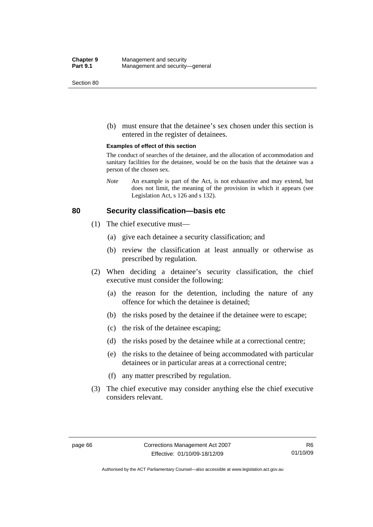(b) must ensure that the detainee's sex chosen under this section is entered in the register of detainees.

#### **Examples of effect of this section**

The conduct of searches of the detainee, and the allocation of accommodation and sanitary facilities for the detainee, would be on the basis that the detainee was a person of the chosen sex.

*Note* An example is part of the Act, is not exhaustive and may extend, but does not limit, the meaning of the provision in which it appears (see Legislation Act, s 126 and s 132).

#### **80 Security classification—basis etc**

- (1) The chief executive must—
	- (a) give each detainee a security classification; and
	- (b) review the classification at least annually or otherwise as prescribed by regulation.
- (2) When deciding a detainee's security classification, the chief executive must consider the following:
	- (a) the reason for the detention, including the nature of any offence for which the detainee is detained;
	- (b) the risks posed by the detainee if the detainee were to escape;
	- (c) the risk of the detainee escaping;
	- (d) the risks posed by the detainee while at a correctional centre;
	- (e) the risks to the detainee of being accommodated with particular detainees or in particular areas at a correctional centre;
	- (f) any matter prescribed by regulation.
- (3) The chief executive may consider anything else the chief executive considers relevant.

Authorised by the ACT Parliamentary Counsel—also accessible at www.legislation.act.gov.au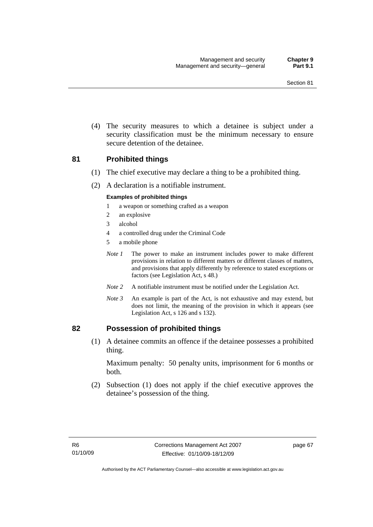(4) The security measures to which a detainee is subject under a security classification must be the minimum necessary to ensure secure detention of the detainee.

#### **81 Prohibited things**

- (1) The chief executive may declare a thing to be a prohibited thing.
- (2) A declaration is a notifiable instrument.

#### **Examples of prohibited things**

- 1 a weapon or something crafted as a weapon
- 2 an explosive
- 3 alcohol
- 4 a controlled drug under the Criminal Code
- 5 a mobile phone
- *Note 1* The power to make an instrument includes power to make different provisions in relation to different matters or different classes of matters, and provisions that apply differently by reference to stated exceptions or factors (see Legislation Act, s 48.)
- *Note 2* A notifiable instrument must be notified under the Legislation Act.
- *Note 3* An example is part of the Act, is not exhaustive and may extend, but does not limit, the meaning of the provision in which it appears (see Legislation Act, s 126 and s 132).

#### **82 Possession of prohibited things**

 (1) A detainee commits an offence if the detainee possesses a prohibited thing.

Maximum penalty: 50 penalty units, imprisonment for 6 months or both.

 (2) Subsection (1) does not apply if the chief executive approves the detainee's possession of the thing.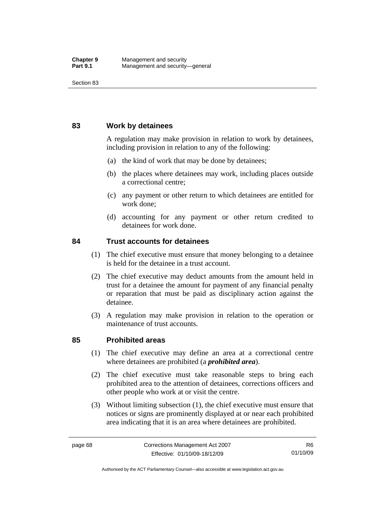#### **83 Work by detainees**

A regulation may make provision in relation to work by detainees, including provision in relation to any of the following:

- (a) the kind of work that may be done by detainees;
- (b) the places where detainees may work, including places outside a correctional centre;
- (c) any payment or other return to which detainees are entitled for work done;
- (d) accounting for any payment or other return credited to detainees for work done.

#### **84 Trust accounts for detainees**

- (1) The chief executive must ensure that money belonging to a detainee is held for the detainee in a trust account.
- (2) The chief executive may deduct amounts from the amount held in trust for a detainee the amount for payment of any financial penalty or reparation that must be paid as disciplinary action against the detainee.
- (3) A regulation may make provision in relation to the operation or maintenance of trust accounts.

#### **85 Prohibited areas**

- (1) The chief executive may define an area at a correctional centre where detainees are prohibited (a *prohibited area*).
- (2) The chief executive must take reasonable steps to bring each prohibited area to the attention of detainees, corrections officers and other people who work at or visit the centre.
- (3) Without limiting subsection (1), the chief executive must ensure that notices or signs are prominently displayed at or near each prohibited area indicating that it is an area where detainees are prohibited.

Authorised by the ACT Parliamentary Counsel—also accessible at www.legislation.act.gov.au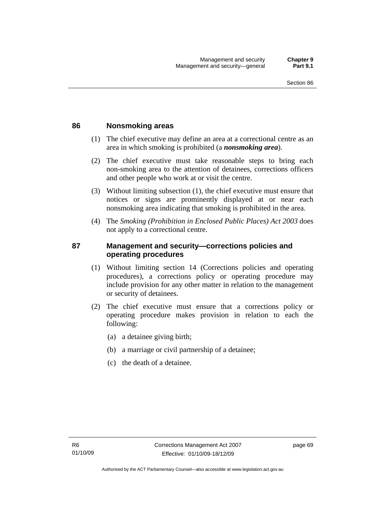#### **86 Nonsmoking areas**

- (1) The chief executive may define an area at a correctional centre as an area in which smoking is prohibited (a *nonsmoking area*).
- (2) The chief executive must take reasonable steps to bring each non-smoking area to the attention of detainees, corrections officers and other people who work at or visit the centre.
- (3) Without limiting subsection (1), the chief executive must ensure that notices or signs are prominently displayed at or near each nonsmoking area indicating that smoking is prohibited in the area.
- (4) The *Smoking (Prohibition in Enclosed Public Places) Act 2003* does not apply to a correctional centre.

## **87 Management and security—corrections policies and operating procedures**

- (1) Without limiting section 14 (Corrections policies and operating procedures), a corrections policy or operating procedure may include provision for any other matter in relation to the management or security of detainees.
- (2) The chief executive must ensure that a corrections policy or operating procedure makes provision in relation to each the following:
	- (a) a detainee giving birth;
	- (b) a marriage or civil partnership of a detainee;
	- (c) the death of a detainee.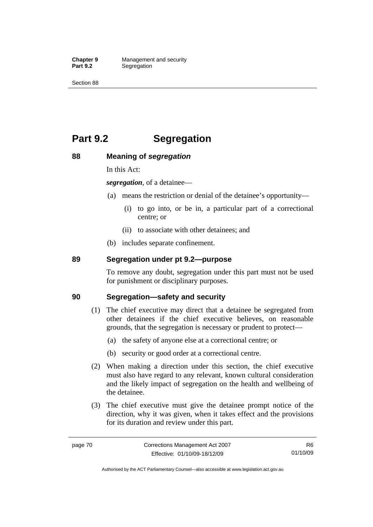**Chapter 9 Management and security**<br>**Part 9.2 Segregation Segregation** 

Section 88

# **Part 9.2 Segregation**

#### **88 Meaning of** *segregation*

In this Act:

*segregation*, of a detainee—

- (a) means the restriction or denial of the detainee's opportunity—
	- (i) to go into, or be in, a particular part of a correctional centre; or
	- (ii) to associate with other detainees; and
- (b) includes separate confinement.

## **89 Segregation under pt 9.2—purpose**

To remove any doubt, segregation under this part must not be used for punishment or disciplinary purposes.

#### **90 Segregation—safety and security**

- (1) The chief executive may direct that a detainee be segregated from other detainees if the chief executive believes, on reasonable grounds, that the segregation is necessary or prudent to protect—
	- (a) the safety of anyone else at a correctional centre; or
	- (b) security or good order at a correctional centre.
- (2) When making a direction under this section, the chief executive must also have regard to any relevant, known cultural consideration and the likely impact of segregation on the health and wellbeing of the detainee.
- (3) The chief executive must give the detainee prompt notice of the direction, why it was given, when it takes effect and the provisions for its duration and review under this part.

Authorised by the ACT Parliamentary Counsel—also accessible at www.legislation.act.gov.au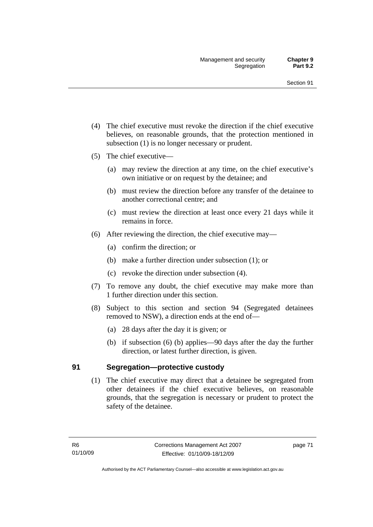- (4) The chief executive must revoke the direction if the chief executive believes, on reasonable grounds, that the protection mentioned in subsection (1) is no longer necessary or prudent.
- (5) The chief executive—
	- (a) may review the direction at any time, on the chief executive's own initiative or on request by the detainee; and
	- (b) must review the direction before any transfer of the detainee to another correctional centre; and
	- (c) must review the direction at least once every 21 days while it remains in force.
- (6) After reviewing the direction, the chief executive may—
	- (a) confirm the direction; or
	- (b) make a further direction under subsection (1); or
	- (c) revoke the direction under subsection (4).
- (7) To remove any doubt, the chief executive may make more than 1 further direction under this section.
- (8) Subject to this section and section 94 (Segregated detainees removed to NSW), a direction ends at the end of—
	- (a) 28 days after the day it is given; or
	- (b) if subsection (6) (b) applies—90 days after the day the further direction, or latest further direction, is given.

#### **91 Segregation—protective custody**

 (1) The chief executive may direct that a detainee be segregated from other detainees if the chief executive believes, on reasonable grounds, that the segregation is necessary or prudent to protect the safety of the detainee.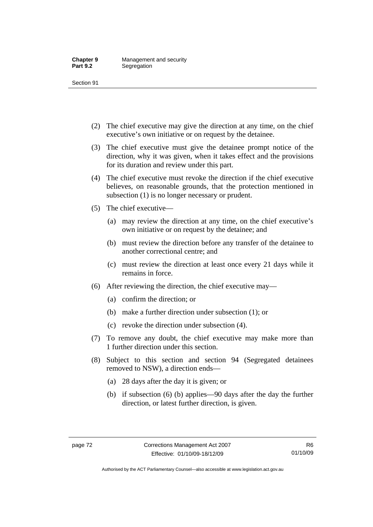- (2) The chief executive may give the direction at any time, on the chief executive's own initiative or on request by the detainee.
- (3) The chief executive must give the detainee prompt notice of the direction, why it was given, when it takes effect and the provisions for its duration and review under this part.
- (4) The chief executive must revoke the direction if the chief executive believes, on reasonable grounds, that the protection mentioned in subsection (1) is no longer necessary or prudent.
- (5) The chief executive—
	- (a) may review the direction at any time, on the chief executive's own initiative or on request by the detainee; and
	- (b) must review the direction before any transfer of the detainee to another correctional centre; and
	- (c) must review the direction at least once every 21 days while it remains in force.
- (6) After reviewing the direction, the chief executive may—
	- (a) confirm the direction; or
	- (b) make a further direction under subsection (1); or
	- (c) revoke the direction under subsection (4).
- (7) To remove any doubt, the chief executive may make more than 1 further direction under this section.
- (8) Subject to this section and section 94 (Segregated detainees removed to NSW), a direction ends—
	- (a) 28 days after the day it is given; or
	- (b) if subsection (6) (b) applies—90 days after the day the further direction, or latest further direction, is given.

Authorised by the ACT Parliamentary Counsel—also accessible at www.legislation.act.gov.au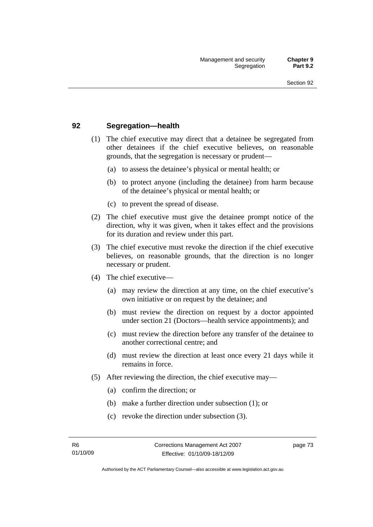#### **92 Segregation—health**

- (1) The chief executive may direct that a detainee be segregated from other detainees if the chief executive believes, on reasonable grounds, that the segregation is necessary or prudent—
	- (a) to assess the detainee's physical or mental health; or
	- (b) to protect anyone (including the detainee) from harm because of the detainee's physical or mental health; or
	- (c) to prevent the spread of disease.
- (2) The chief executive must give the detainee prompt notice of the direction, why it was given, when it takes effect and the provisions for its duration and review under this part.
- (3) The chief executive must revoke the direction if the chief executive believes, on reasonable grounds, that the direction is no longer necessary or prudent.
- (4) The chief executive—
	- (a) may review the direction at any time, on the chief executive's own initiative or on request by the detainee; and
	- (b) must review the direction on request by a doctor appointed under section 21 (Doctors—health service appointments); and
	- (c) must review the direction before any transfer of the detainee to another correctional centre; and
	- (d) must review the direction at least once every 21 days while it remains in force.
- (5) After reviewing the direction, the chief executive may—
	- (a) confirm the direction; or
	- (b) make a further direction under subsection (1); or
	- (c) revoke the direction under subsection (3).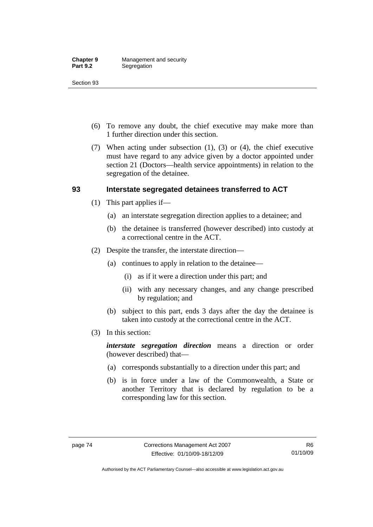- (6) To remove any doubt, the chief executive may make more than 1 further direction under this section.
- (7) When acting under subsection (1), (3) or (4), the chief executive must have regard to any advice given by a doctor appointed under section 21 (Doctors—health service appointments) in relation to the segregation of the detainee.

## **93 Interstate segregated detainees transferred to ACT**

- (1) This part applies if—
	- (a) an interstate segregation direction applies to a detainee; and
	- (b) the detainee is transferred (however described) into custody at a correctional centre in the ACT.
- (2) Despite the transfer, the interstate direction—
	- (a) continues to apply in relation to the detainee—
		- (i) as if it were a direction under this part; and
		- (ii) with any necessary changes, and any change prescribed by regulation; and
	- (b) subject to this part, ends 3 days after the day the detainee is taken into custody at the correctional centre in the ACT.
- (3) In this section:

*interstate segregation direction* means a direction or order (however described) that—

- (a) corresponds substantially to a direction under this part; and
- (b) is in force under a law of the Commonwealth, a State or another Territory that is declared by regulation to be a corresponding law for this section.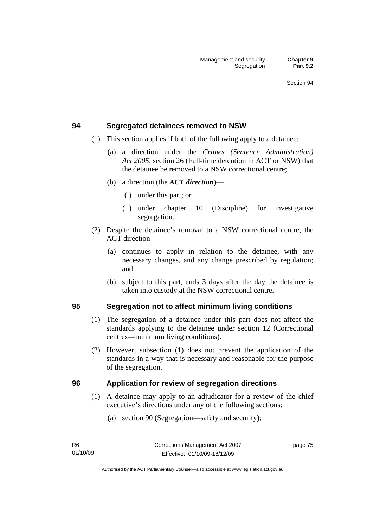#### **94 Segregated detainees removed to NSW**

- (1) This section applies if both of the following apply to a detainee:
	- (a) a direction under the *Crimes (Sentence Administration) Act 2005*, section 26 (Full-time detention in ACT or NSW) that the detainee be removed to a NSW correctional centre;
	- (b) a direction (the *ACT direction*)—
		- (i) under this part; or
		- (ii) under chapter 10 (Discipline) for investigative segregation.
- (2) Despite the detainee's removal to a NSW correctional centre, the ACT direction—
	- (a) continues to apply in relation to the detainee, with any necessary changes, and any change prescribed by regulation; and
	- (b) subject to this part, ends 3 days after the day the detainee is taken into custody at the NSW correctional centre.

## **95 Segregation not to affect minimum living conditions**

- (1) The segregation of a detainee under this part does not affect the standards applying to the detainee under section 12 (Correctional centres—minimum living conditions).
- (2) However, subsection (1) does not prevent the application of the standards in a way that is necessary and reasonable for the purpose of the segregation.

#### **96 Application for review of segregation directions**

- (1) A detainee may apply to an adjudicator for a review of the chief executive's directions under any of the following sections:
	- (a) section 90 (Segregation—safety and security);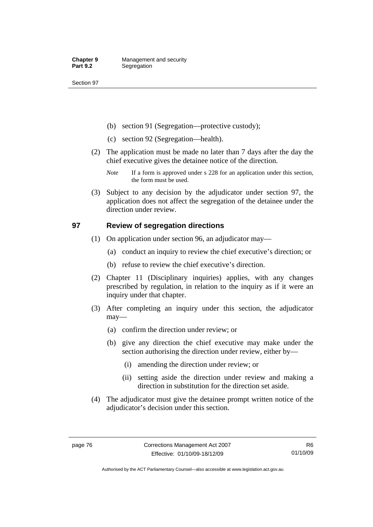- (b) section 91 (Segregation—protective custody);
- (c) section 92 (Segregation—health).
- (2) The application must be made no later than 7 days after the day the chief executive gives the detainee notice of the direction.
	- *Note* If a form is approved under s 228 for an application under this section, the form must be used.
- (3) Subject to any decision by the adjudicator under section 97, the application does not affect the segregation of the detainee under the direction under review.

## **97 Review of segregation directions**

- (1) On application under section 96, an adjudicator may—
	- (a) conduct an inquiry to review the chief executive's direction; or
	- (b) refuse to review the chief executive's direction.
- (2) Chapter 11 (Disciplinary inquiries) applies, with any changes prescribed by regulation, in relation to the inquiry as if it were an inquiry under that chapter.
- (3) After completing an inquiry under this section, the adjudicator may—
	- (a) confirm the direction under review; or
	- (b) give any direction the chief executive may make under the section authorising the direction under review, either by—
		- (i) amending the direction under review; or
		- (ii) setting aside the direction under review and making a direction in substitution for the direction set aside.
- (4) The adjudicator must give the detainee prompt written notice of the adjudicator's decision under this section.

Authorised by the ACT Parliamentary Counsel—also accessible at www.legislation.act.gov.au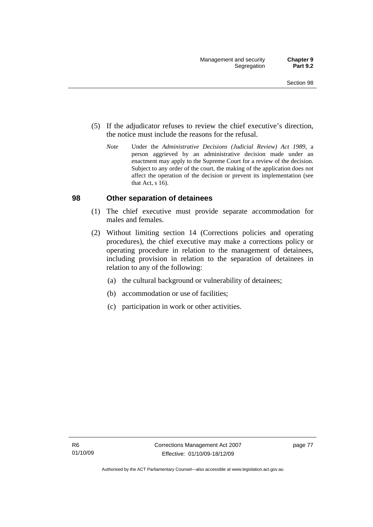- (5) If the adjudicator refuses to review the chief executive's direction, the notice must include the reasons for the refusal.
	- *Note* Under the *Administrative Decisions (Judicial Review) Act 1989*, a person aggrieved by an administrative decision made under an enactment may apply to the Supreme Court for a review of the decision. Subject to any order of the court, the making of the application does not affect the operation of the decision or prevent its implementation (see that Act, s 16).

#### **98 Other separation of detainees**

- (1) The chief executive must provide separate accommodation for males and females.
- (2) Without limiting section 14 (Corrections policies and operating procedures), the chief executive may make a corrections policy or operating procedure in relation to the management of detainees, including provision in relation to the separation of detainees in relation to any of the following:
	- (a) the cultural background or vulnerability of detainees;
	- (b) accommodation or use of facilities;
	- (c) participation in work or other activities.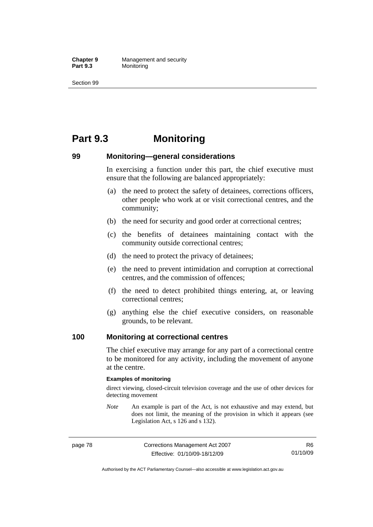**Chapter 9 Management and security**<br>**Part 9.3 Monitoring Monitoring** 

Section 99

# **Part 9.3 Monitoring**

### **99 Monitoring—general considerations**

In exercising a function under this part, the chief executive must ensure that the following are balanced appropriately:

- (a) the need to protect the safety of detainees, corrections officers, other people who work at or visit correctional centres, and the community;
- (b) the need for security and good order at correctional centres;
- (c) the benefits of detainees maintaining contact with the community outside correctional centres;
- (d) the need to protect the privacy of detainees;
- (e) the need to prevent intimidation and corruption at correctional centres, and the commission of offences;
- (f) the need to detect prohibited things entering, at, or leaving correctional centres;
- (g) anything else the chief executive considers, on reasonable grounds, to be relevant.

#### **100 Monitoring at correctional centres**

The chief executive may arrange for any part of a correctional centre to be monitored for any activity, including the movement of anyone at the centre.

#### **Examples of monitoring**

direct viewing, closed-circuit television coverage and the use of other devices for detecting movement

*Note* An example is part of the Act, is not exhaustive and may extend, but does not limit, the meaning of the provision in which it appears (see Legislation Act, s 126 and s 132).

R6 01/10/09

Authorised by the ACT Parliamentary Counsel—also accessible at www.legislation.act.gov.au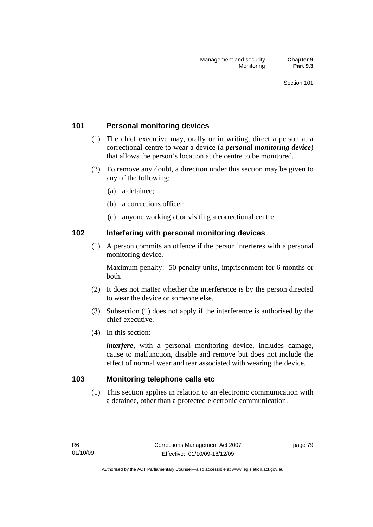## **101 Personal monitoring devices**

- (1) The chief executive may, orally or in writing, direct a person at a correctional centre to wear a device (a *personal monitoring device*) that allows the person's location at the centre to be monitored.
- (2) To remove any doubt, a direction under this section may be given to any of the following:
	- (a) a detainee;
	- (b) a corrections officer;
	- (c) anyone working at or visiting a correctional centre.

#### **102 Interfering with personal monitoring devices**

 (1) A person commits an offence if the person interferes with a personal monitoring device.

Maximum penalty: 50 penalty units, imprisonment for 6 months or both.

- (2) It does not matter whether the interference is by the person directed to wear the device or someone else.
- (3) Subsection (1) does not apply if the interference is authorised by the chief executive.
- (4) In this section:

*interfere*, with a personal monitoring device, includes damage, cause to malfunction, disable and remove but does not include the effect of normal wear and tear associated with wearing the device.

## **103 Monitoring telephone calls etc**

 (1) This section applies in relation to an electronic communication with a detainee, other than a protected electronic communication.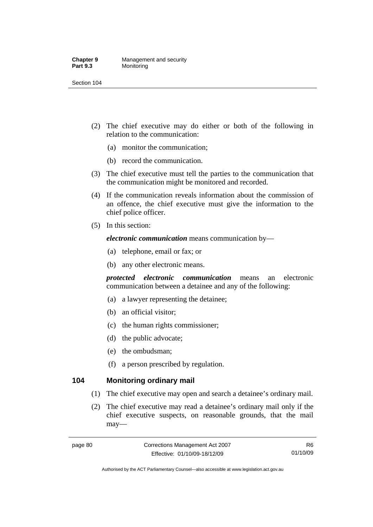#### **Chapter 9 Management and security**<br>**Part 9.3 Monitoring Monitoring**

Section 104

- (2) The chief executive may do either or both of the following in relation to the communication:
	- (a) monitor the communication;
	- (b) record the communication.
- (3) The chief executive must tell the parties to the communication that the communication might be monitored and recorded.
- (4) If the communication reveals information about the commission of an offence, the chief executive must give the information to the chief police officer.
- (5) In this section:

*electronic communication* means communication by—

- (a) telephone, email or fax; or
- (b) any other electronic means.

*protected electronic communication* means an electronic communication between a detainee and any of the following:

- (a) a lawyer representing the detainee;
- (b) an official visitor;
- (c) the human rights commissioner;
- (d) the public advocate;
- (e) the ombudsman;
- (f) a person prescribed by regulation.

### **104 Monitoring ordinary mail**

- (1) The chief executive may open and search a detainee's ordinary mail.
- (2) The chief executive may read a detainee's ordinary mail only if the chief executive suspects, on reasonable grounds, that the mail may—

Authorised by the ACT Parliamentary Counsel—also accessible at www.legislation.act.gov.au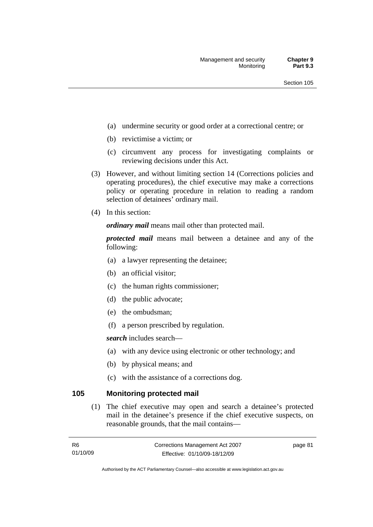- (a) undermine security or good order at a correctional centre; or
- (b) revictimise a victim; or
- (c) circumvent any process for investigating complaints or reviewing decisions under this Act.
- (3) However, and without limiting section 14 (Corrections policies and operating procedures), the chief executive may make a corrections policy or operating procedure in relation to reading a random selection of detainees' ordinary mail.
- (4) In this section:

*ordinary mail* means mail other than protected mail.

*protected mail* means mail between a detainee and any of the following:

- (a) a lawyer representing the detainee;
- (b) an official visitor;
- (c) the human rights commissioner;
- (d) the public advocate;
- (e) the ombudsman;
- (f) a person prescribed by regulation.

*search* includes search—

- (a) with any device using electronic or other technology; and
- (b) by physical means; and
- (c) with the assistance of a corrections dog.

#### **105 Monitoring protected mail**

 (1) The chief executive may open and search a detainee's protected mail in the detainee's presence if the chief executive suspects, on reasonable grounds, that the mail contains—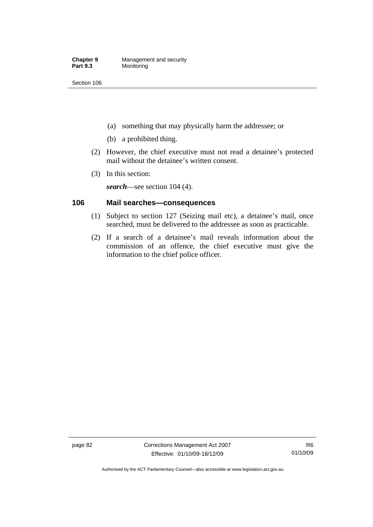- (a) something that may physically harm the addressee; or
- (b) a prohibited thing.
- (2) However, the chief executive must not read a detainee's protected mail without the detainee's written consent.
- (3) In this section:

*search*—see section 104 (4).

## **106 Mail searches—consequences**

- (1) Subject to section 127 (Seizing mail etc), a detainee's mail, once searched, must be delivered to the addressee as soon as practicable.
- (2) If a search of a detainee's mail reveals information about the commission of an offence, the chief executive must give the information to the chief police officer.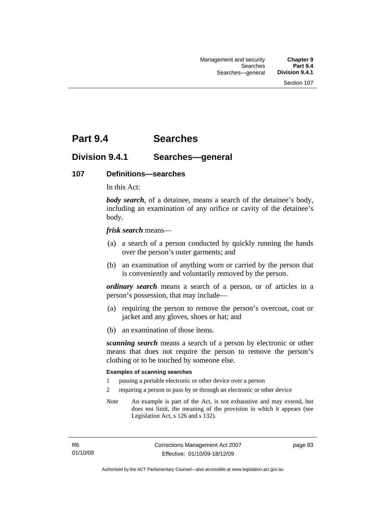# **Part 9.4 Searches**

## **Division 9.4.1 Searches—general**

#### **107 Definitions—searches**

In this Act:

*body search*, of a detainee, means a search of the detainee's body, including an examination of any orifice or cavity of the detainee's body.

*frisk search* means—

- (a) a search of a person conducted by quickly running the hands over the person's outer garments; and
- (b) an examination of anything worn or carried by the person that is conveniently and voluntarily removed by the person.

*ordinary search* means a search of a person, or of articles in a person's possession, that may include—

- (a) requiring the person to remove the person's overcoat, coat or jacket and any gloves, shoes or hat; and
- (b) an examination of those items.

*scanning search* means a search of a person by electronic or other means that does not require the person to remove the person's clothing or to be touched by someone else.

#### **Examples of scanning searches**

- 1 passing a portable electronic or other device over a person
- 2 requiring a person to pass by or through an electronic or other device
- *Note* An example is part of the Act, is not exhaustive and may extend, but does not limit, the meaning of the provision in which it appears (see Legislation Act, s 126 and s 132).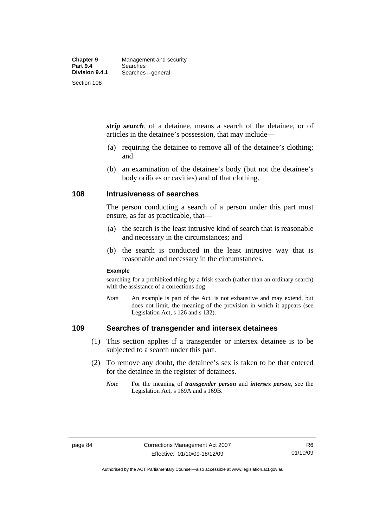*strip search*, of a detainee, means a search of the detainee, or of articles in the detainee's possession, that may include—

- (a) requiring the detainee to remove all of the detainee's clothing; and
- (b) an examination of the detainee's body (but not the detainee's body orifices or cavities) and of that clothing.

#### **108 Intrusiveness of searches**

The person conducting a search of a person under this part must ensure, as far as practicable, that—

- (a) the search is the least intrusive kind of search that is reasonable and necessary in the circumstances; and
- (b) the search is conducted in the least intrusive way that is reasonable and necessary in the circumstances.

#### **Example**

searching for a prohibited thing by a frisk search (rather than an ordinary search) with the assistance of a corrections dog

*Note* An example is part of the Act, is not exhaustive and may extend, but does not limit, the meaning of the provision in which it appears (see Legislation Act, s 126 and s 132).

#### **109 Searches of transgender and intersex detainees**

- (1) This section applies if a transgender or intersex detainee is to be subjected to a search under this part.
- (2) To remove any doubt, the detainee's sex is taken to be that entered for the detainee in the register of detainees.
	- *Note* For the meaning of *transgender person* and *intersex person*, see the Legislation Act, s 169A and s 169B.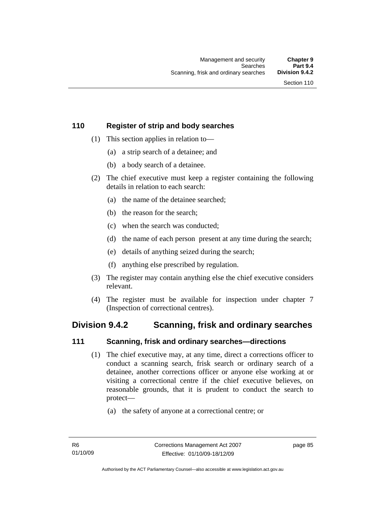## **110 Register of strip and body searches**

- (1) This section applies in relation to—
	- (a) a strip search of a detainee; and
	- (b) a body search of a detainee.
- (2) The chief executive must keep a register containing the following details in relation to each search:
	- (a) the name of the detainee searched;
	- (b) the reason for the search;
	- (c) when the search was conducted;
	- (d) the name of each person present at any time during the search;
	- (e) details of anything seized during the search;
	- (f) anything else prescribed by regulation.
- (3) The register may contain anything else the chief executive considers relevant.
- (4) The register must be available for inspection under chapter 7 (Inspection of correctional centres).

# **Division 9.4.2 Scanning, frisk and ordinary searches**

## **111 Scanning, frisk and ordinary searches—directions**

- (1) The chief executive may, at any time, direct a corrections officer to conduct a scanning search, frisk search or ordinary search of a detainee, another corrections officer or anyone else working at or visiting a correctional centre if the chief executive believes, on reasonable grounds, that it is prudent to conduct the search to protect—
	- (a) the safety of anyone at a correctional centre; or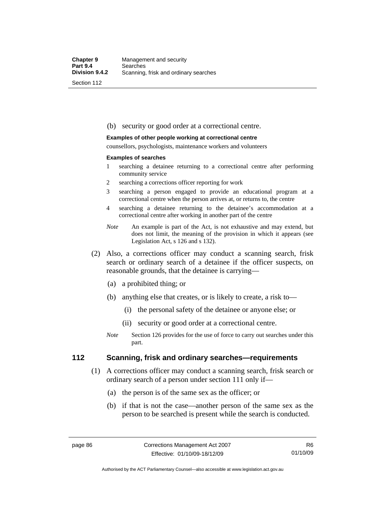#### (b) security or good order at a correctional centre.

#### **Examples of other people working at correctional centre**

counsellors, psychologists, maintenance workers and volunteers

#### **Examples of searches**

- 1 searching a detainee returning to a correctional centre after performing community service
- 2 searching a corrections officer reporting for work
- 3 searching a person engaged to provide an educational program at a correctional centre when the person arrives at, or returns to, the centre
- 4 searching a detainee returning to the detainee's accommodation at a correctional centre after working in another part of the centre
- *Note* An example is part of the Act, is not exhaustive and may extend, but does not limit, the meaning of the provision in which it appears (see Legislation Act, s 126 and s 132).
- (2) Also, a corrections officer may conduct a scanning search, frisk search or ordinary search of a detainee if the officer suspects, on reasonable grounds, that the detainee is carrying—
	- (a) a prohibited thing; or
	- (b) anything else that creates, or is likely to create, a risk to—
		- (i) the personal safety of the detainee or anyone else; or
		- (ii) security or good order at a correctional centre.
	- *Note* Section 126 provides for the use of force to carry out searches under this part.

#### **112 Scanning, frisk and ordinary searches—requirements**

- (1) A corrections officer may conduct a scanning search, frisk search or ordinary search of a person under section 111 only if—
	- (a) the person is of the same sex as the officer; or
	- (b) if that is not the case—another person of the same sex as the person to be searched is present while the search is conducted.

Authorised by the ACT Parliamentary Counsel—also accessible at www.legislation.act.gov.au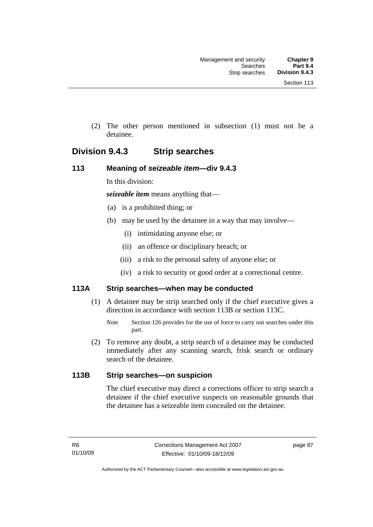(2) The other person mentioned in subsection (1) must not be a detainee.

# **Division 9.4.3 Strip searches**

#### **113 Meaning of** *seizeable item***—div 9.4.3**

In this division:

*seizeable item* means anything that—

- (a) is a prohibited thing; or
- (b) may be used by the detainee in a way that may involve—
	- (i) intimidating anyone else; or
	- (ii) an offence or disciplinary breach; or
	- (iii) a risk to the personal safety of anyone else; or
	- (iv) a risk to security or good order at a correctional centre.

## **113A Strip searches—when may be conducted**

- (1) A detainee may be strip searched only if the chief executive gives a direction in accordance with section 113B or section 113C.
	- *Note* Section 126 provides for the use of force to carry out searches under this part.
- (2) To remove any doubt, a strip search of a detainee may be conducted immediately after any scanning search, frisk search or ordinary search of the detainee.

## **113B Strip searches—on suspicion**

The chief executive may direct a corrections officer to strip search a detainee if the chief executive suspects on reasonable grounds that the detainee has a seizeable item concealed on the detainee.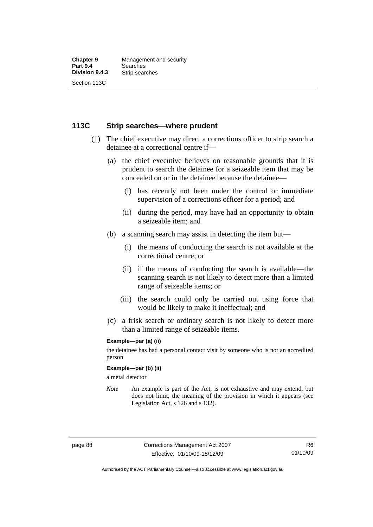#### **113C Strip searches—where prudent**

- (1) The chief executive may direct a corrections officer to strip search a detainee at a correctional centre if—
	- (a) the chief executive believes on reasonable grounds that it is prudent to search the detainee for a seizeable item that may be concealed on or in the detainee because the detainee—
		- (i) has recently not been under the control or immediate supervision of a corrections officer for a period; and
		- (ii) during the period, may have had an opportunity to obtain a seizeable item; and
	- (b) a scanning search may assist in detecting the item but—
		- (i) the means of conducting the search is not available at the correctional centre; or
		- (ii) if the means of conducting the search is available—the scanning search is not likely to detect more than a limited range of seizeable items; or
		- (iii) the search could only be carried out using force that would be likely to make it ineffectual; and
	- (c) a frisk search or ordinary search is not likely to detect more than a limited range of seizeable items.

#### **Example—par (a) (ii)**

the detainee has had a personal contact visit by someone who is not an accredited person

#### **Example—par (b) (ii)**

a metal detector

*Note* An example is part of the Act, is not exhaustive and may extend, but does not limit, the meaning of the provision in which it appears (see Legislation Act, s 126 and s 132).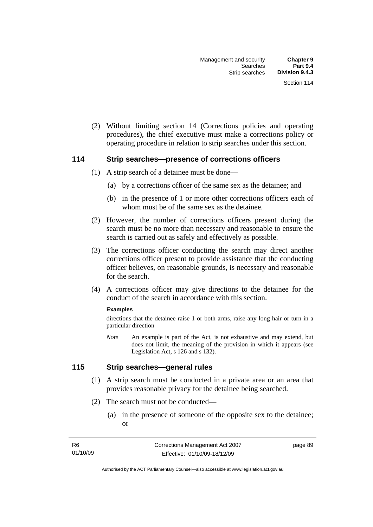(2) Without limiting section 14 (Corrections policies and operating procedures), the chief executive must make a corrections policy or operating procedure in relation to strip searches under this section.

#### **114 Strip searches—presence of corrections officers**

- (1) A strip search of a detainee must be done—
	- (a) by a corrections officer of the same sex as the detainee; and
	- (b) in the presence of 1 or more other corrections officers each of whom must be of the same sex as the detainee.
- (2) However, the number of corrections officers present during the search must be no more than necessary and reasonable to ensure the search is carried out as safely and effectively as possible.
- (3) The corrections officer conducting the search may direct another corrections officer present to provide assistance that the conducting officer believes, on reasonable grounds, is necessary and reasonable for the search.
- (4) A corrections officer may give directions to the detainee for the conduct of the search in accordance with this section.

#### **Examples**

directions that the detainee raise 1 or both arms, raise any long hair or turn in a particular direction

*Note* An example is part of the Act, is not exhaustive and may extend, but does not limit, the meaning of the provision in which it appears (see Legislation Act, s 126 and s 132).

### **115 Strip searches—general rules**

- (1) A strip search must be conducted in a private area or an area that provides reasonable privacy for the detainee being searched.
- (2) The search must not be conducted—
	- (a) in the presence of someone of the opposite sex to the detainee; or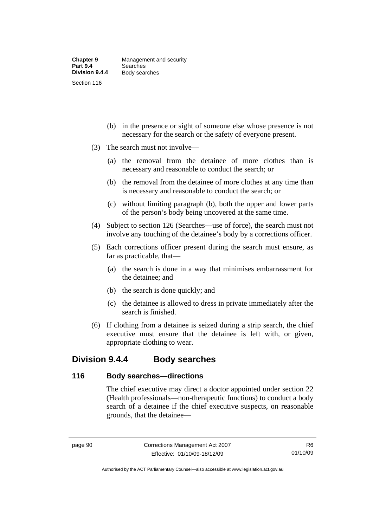- (b) in the presence or sight of someone else whose presence is not necessary for the search or the safety of everyone present.
- (3) The search must not involve—
	- (a) the removal from the detainee of more clothes than is necessary and reasonable to conduct the search; or
	- (b) the removal from the detainee of more clothes at any time than is necessary and reasonable to conduct the search; or
	- (c) without limiting paragraph (b), both the upper and lower parts of the person's body being uncovered at the same time.
- (4) Subject to section 126 (Searches—use of force), the search must not involve any touching of the detainee's body by a corrections officer.
- (5) Each corrections officer present during the search must ensure, as far as practicable, that—
	- (a) the search is done in a way that minimises embarrassment for the detainee; and
	- (b) the search is done quickly; and
	- (c) the detainee is allowed to dress in private immediately after the search is finished.
- (6) If clothing from a detainee is seized during a strip search, the chief executive must ensure that the detainee is left with, or given, appropriate clothing to wear.

# **Division 9.4.4 Body searches**

#### **116 Body searches—directions**

The chief executive may direct a doctor appointed under section 22 (Health professionals—non-therapeutic functions) to conduct a body search of a detainee if the chief executive suspects, on reasonable grounds, that the detainee—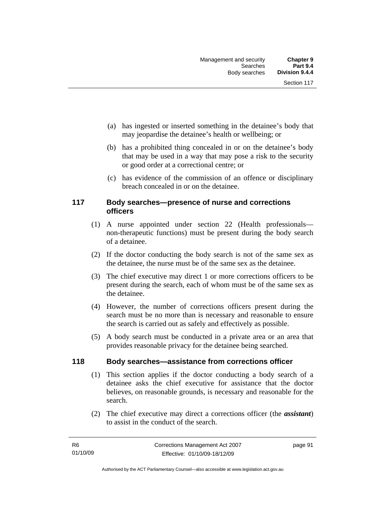- (a) has ingested or inserted something in the detainee's body that may jeopardise the detainee's health or wellbeing; or
- (b) has a prohibited thing concealed in or on the detainee's body that may be used in a way that may pose a risk to the security or good order at a correctional centre; or
- (c) has evidence of the commission of an offence or disciplinary breach concealed in or on the detainee.

#### **117 Body searches—presence of nurse and corrections officers**

- (1) A nurse appointed under section 22 (Health professionals non-therapeutic functions) must be present during the body search of a detainee.
- (2) If the doctor conducting the body search is not of the same sex as the detainee, the nurse must be of the same sex as the detainee.
- (3) The chief executive may direct 1 or more corrections officers to be present during the search, each of whom must be of the same sex as the detainee.
- (4) However, the number of corrections officers present during the search must be no more than is necessary and reasonable to ensure the search is carried out as safely and effectively as possible.
- (5) A body search must be conducted in a private area or an area that provides reasonable privacy for the detainee being searched.

#### **118 Body searches—assistance from corrections officer**

- (1) This section applies if the doctor conducting a body search of a detainee asks the chief executive for assistance that the doctor believes, on reasonable grounds, is necessary and reasonable for the search.
- (2) The chief executive may direct a corrections officer (the *assistant*) to assist in the conduct of the search.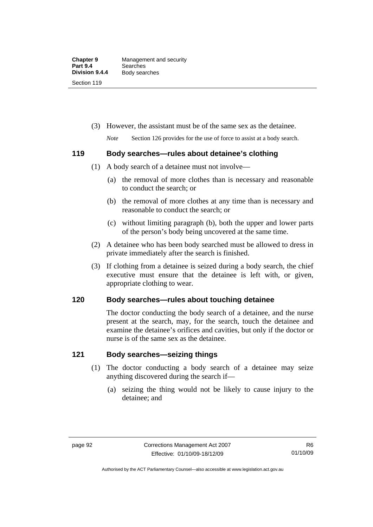(3) However, the assistant must be of the same sex as the detainee.

*Note* Section 126 provides for the use of force to assist at a body search.

#### **119 Body searches—rules about detainee's clothing**

- (1) A body search of a detainee must not involve—
	- (a) the removal of more clothes than is necessary and reasonable to conduct the search; or
	- (b) the removal of more clothes at any time than is necessary and reasonable to conduct the search; or
	- (c) without limiting paragraph (b), both the upper and lower parts of the person's body being uncovered at the same time.
- (2) A detainee who has been body searched must be allowed to dress in private immediately after the search is finished.
- (3) If clothing from a detainee is seized during a body search, the chief executive must ensure that the detainee is left with, or given, appropriate clothing to wear.

## **120 Body searches—rules about touching detainee**

The doctor conducting the body search of a detainee, and the nurse present at the search, may, for the search, touch the detainee and examine the detainee's orifices and cavities, but only if the doctor or nurse is of the same sex as the detainee.

## **121 Body searches—seizing things**

- (1) The doctor conducting a body search of a detainee may seize anything discovered during the search if—
	- (a) seizing the thing would not be likely to cause injury to the detainee; and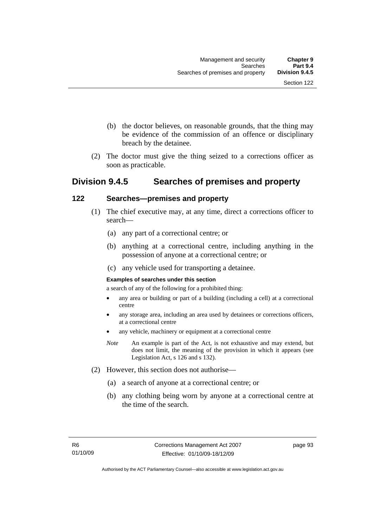- (b) the doctor believes, on reasonable grounds, that the thing may be evidence of the commission of an offence or disciplinary breach by the detainee.
- (2) The doctor must give the thing seized to a corrections officer as soon as practicable.

# **Division 9.4.5 Searches of premises and property**

#### **122 Searches—premises and property**

- (1) The chief executive may, at any time, direct a corrections officer to search—
	- (a) any part of a correctional centre; or
	- (b) anything at a correctional centre, including anything in the possession of anyone at a correctional centre; or
	- (c) any vehicle used for transporting a detainee.

#### **Examples of searches under this section**

a search of any of the following for a prohibited thing:

- any area or building or part of a building (including a cell) at a correctional centre
- any storage area, including an area used by detainees or corrections officers, at a correctional centre
- any vehicle, machinery or equipment at a correctional centre
- *Note* An example is part of the Act, is not exhaustive and may extend, but does not limit, the meaning of the provision in which it appears (see Legislation Act, s 126 and s 132).
- (2) However, this section does not authorise—
	- (a) a search of anyone at a correctional centre; or
	- (b) any clothing being worn by anyone at a correctional centre at the time of the search.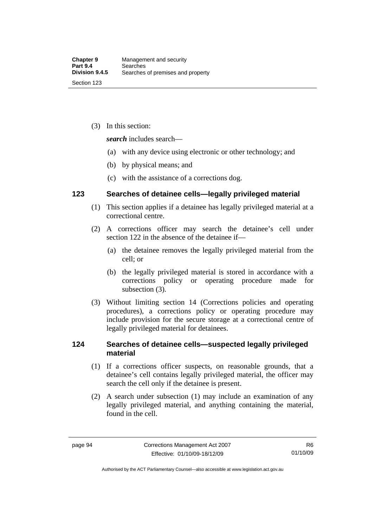(3) In this section:

*search* includes search—

- (a) with any device using electronic or other technology; and
- (b) by physical means; and
- (c) with the assistance of a corrections dog.

#### **123 Searches of detainee cells—legally privileged material**

- (1) This section applies if a detainee has legally privileged material at a correctional centre.
- (2) A corrections officer may search the detainee's cell under section 122 in the absence of the detainee if—
	- (a) the detainee removes the legally privileged material from the cell; or
	- (b) the legally privileged material is stored in accordance with a corrections policy or operating procedure made for subsection (3).
- (3) Without limiting section 14 (Corrections policies and operating procedures), a corrections policy or operating procedure may include provision for the secure storage at a correctional centre of legally privileged material for detainees.

## **124 Searches of detainee cells—suspected legally privileged material**

- (1) If a corrections officer suspects, on reasonable grounds, that a detainee's cell contains legally privileged material, the officer may search the cell only if the detainee is present.
- (2) A search under subsection (1) may include an examination of any legally privileged material, and anything containing the material, found in the cell.

Authorised by the ACT Parliamentary Counsel—also accessible at www.legislation.act.gov.au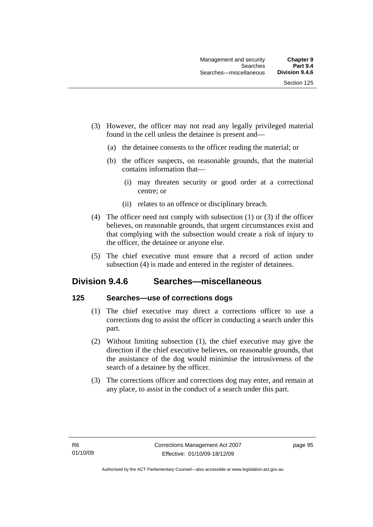- (3) However, the officer may not read any legally privileged material found in the cell unless the detainee is present and—
	- (a) the detainee consents to the officer reading the material; or
	- (b) the officer suspects, on reasonable grounds, that the material contains information that—
		- (i) may threaten security or good order at a correctional centre; or
		- (ii) relates to an offence or disciplinary breach.
- (4) The officer need not comply with subsection (1) or (3) if the officer believes, on reasonable grounds, that urgent circumstances exist and that complying with the subsection would create a risk of injury to the officer, the detainee or anyone else.
- (5) The chief executive must ensure that a record of action under subsection (4) is made and entered in the register of detainees.

# **Division 9.4.6 Searches—miscellaneous**

#### **125 Searches—use of corrections dogs**

- (1) The chief executive may direct a corrections officer to use a corrections dog to assist the officer in conducting a search under this part.
- (2) Without limiting subsection (1), the chief executive may give the direction if the chief executive believes, on reasonable grounds, that the assistance of the dog would minimise the intrusiveness of the search of a detainee by the officer.
- (3) The corrections officer and corrections dog may enter, and remain at any place, to assist in the conduct of a search under this part.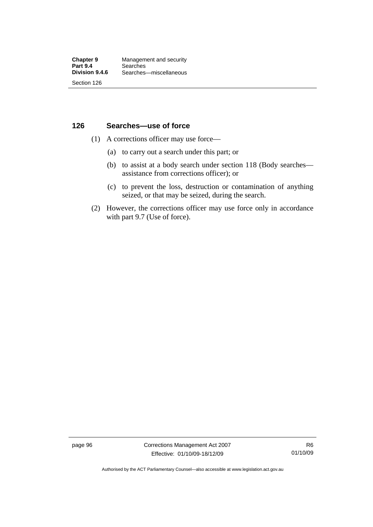## **126 Searches—use of force**

- (1) A corrections officer may use force—
	- (a) to carry out a search under this part; or
	- (b) to assist at a body search under section 118 (Body searches assistance from corrections officer); or
	- (c) to prevent the loss, destruction or contamination of anything seized, or that may be seized, during the search.
- (2) However, the corrections officer may use force only in accordance with part 9.7 (Use of force).

page 96 Corrections Management Act 2007 Effective: 01/10/09-18/12/09

Authorised by the ACT Parliamentary Counsel—also accessible at www.legislation.act.gov.au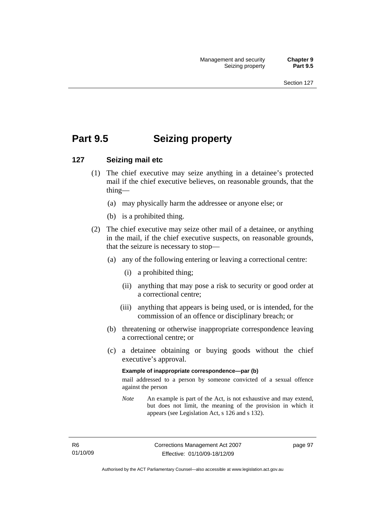# **Part 9.5 Seizing property**

### **127 Seizing mail etc**

- (1) The chief executive may seize anything in a detainee's protected mail if the chief executive believes, on reasonable grounds, that the thing—
	- (a) may physically harm the addressee or anyone else; or
	- (b) is a prohibited thing.
- (2) The chief executive may seize other mail of a detainee, or anything in the mail, if the chief executive suspects, on reasonable grounds, that the seizure is necessary to stop—
	- (a) any of the following entering or leaving a correctional centre:
		- (i) a prohibited thing;
		- (ii) anything that may pose a risk to security or good order at a correctional centre;
		- (iii) anything that appears is being used, or is intended, for the commission of an offence or disciplinary breach; or
	- (b) threatening or otherwise inappropriate correspondence leaving a correctional centre; or
	- (c) a detainee obtaining or buying goods without the chief executive's approval.

#### **Example of inappropriate correspondence—par (b)**

mail addressed to a person by someone convicted of a sexual offence against the person

*Note* An example is part of the Act, is not exhaustive and may extend, but does not limit, the meaning of the provision in which it appears (see Legislation Act, s 126 and s 132).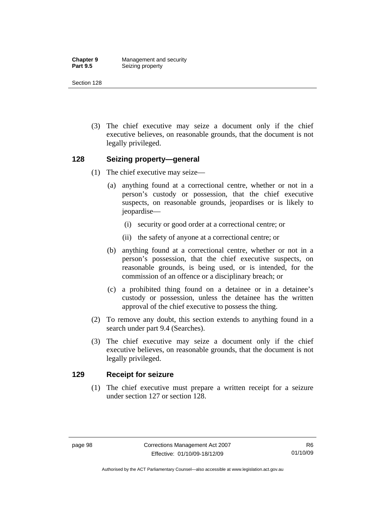**Chapter 9 Management and security**<br>**Part 9.5 Seizing property Seizing property** 

Section 128

 (3) The chief executive may seize a document only if the chief executive believes, on reasonable grounds, that the document is not legally privileged.

#### **128 Seizing property—general**

- (1) The chief executive may seize—
	- (a) anything found at a correctional centre, whether or not in a person's custody or possession, that the chief executive suspects, on reasonable grounds, jeopardises or is likely to jeopardise—
		- (i) security or good order at a correctional centre; or
		- (ii) the safety of anyone at a correctional centre; or
	- (b) anything found at a correctional centre, whether or not in a person's possession, that the chief executive suspects, on reasonable grounds, is being used, or is intended, for the commission of an offence or a disciplinary breach; or
	- (c) a prohibited thing found on a detainee or in a detainee's custody or possession, unless the detainee has the written approval of the chief executive to possess the thing.
- (2) To remove any doubt, this section extends to anything found in a search under part 9.4 (Searches).
- (3) The chief executive may seize a document only if the chief executive believes, on reasonable grounds, that the document is not legally privileged.

#### **129 Receipt for seizure**

 (1) The chief executive must prepare a written receipt for a seizure under section 127 or section 128.

Authorised by the ACT Parliamentary Counsel—also accessible at www.legislation.act.gov.au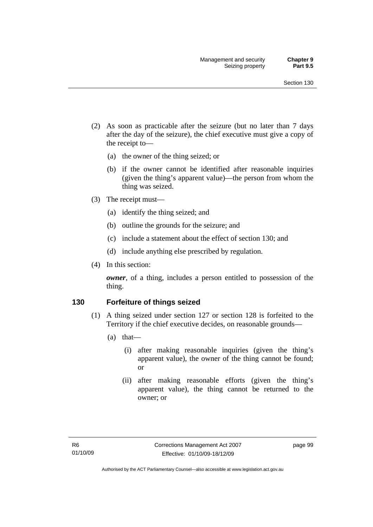- (2) As soon as practicable after the seizure (but no later than 7 days after the day of the seizure), the chief executive must give a copy of the receipt to—
	- (a) the owner of the thing seized; or
	- (b) if the owner cannot be identified after reasonable inquiries (given the thing's apparent value)—the person from whom the thing was seized.
- (3) The receipt must—
	- (a) identify the thing seized; and
	- (b) outline the grounds for the seizure; and
	- (c) include a statement about the effect of section 130; and
	- (d) include anything else prescribed by regulation.
- (4) In this section:

*owner*, of a thing, includes a person entitled to possession of the thing.

#### **130 Forfeiture of things seized**

- (1) A thing seized under section 127 or section 128 is forfeited to the Territory if the chief executive decides, on reasonable grounds—
	- (a) that—
		- (i) after making reasonable inquiries (given the thing's apparent value), the owner of the thing cannot be found; or
		- (ii) after making reasonable efforts (given the thing's apparent value), the thing cannot be returned to the owner; or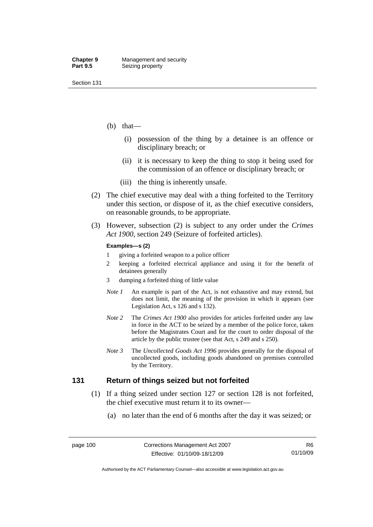- (b) that—
	- (i) possession of the thing by a detainee is an offence or disciplinary breach; or
	- (ii) it is necessary to keep the thing to stop it being used for the commission of an offence or disciplinary breach; or
	- (iii) the thing is inherently unsafe.
- (2) The chief executive may deal with a thing forfeited to the Territory under this section, or dispose of it, as the chief executive considers, on reasonable grounds, to be appropriate.
- (3) However, subsection (2) is subject to any order under the *Crimes Act 1900,* section 249 (Seizure of forfeited articles).

#### **Examples—s (2)**

- 1 giving a forfeited weapon to a police officer
- 2 keeping a forfeited electrical appliance and using it for the benefit of detainees generally
- 3 dumping a forfeited thing of little value
- *Note 1* An example is part of the Act, is not exhaustive and may extend, but does not limit, the meaning of the provision in which it appears (see Legislation Act, s 126 and s 132).
- *Note 2* The *Crimes Act 1900* also provides for articles forfeited under any law in force in the ACT to be seized by a member of the police force, taken before the Magistrates Court and for the court to order disposal of the article by the public trustee (see that Act, s 249 and s 250).
- *Note 3* The *Uncollected Goods Act 1996* provides generally for the disposal of uncollected goods, including goods abandoned on premises controlled by the Territory.

#### **131 Return of things seized but not forfeited**

- (1) If a thing seized under section 127 or section 128 is not forfeited, the chief executive must return it to its owner—
	- (a) no later than the end of 6 months after the day it was seized; or

Authorised by the ACT Parliamentary Counsel—also accessible at www.legislation.act.gov.au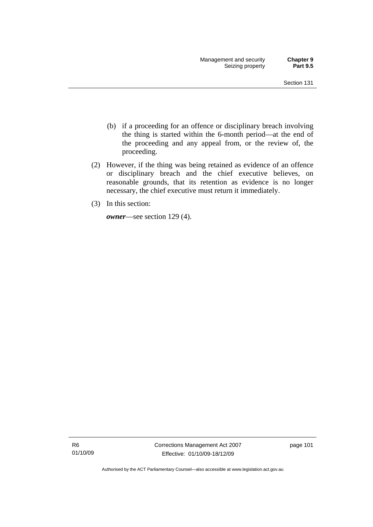- (b) if a proceeding for an offence or disciplinary breach involving the thing is started within the 6-month period—at the end of the proceeding and any appeal from, or the review of, the proceeding.
- (2) However, if the thing was being retained as evidence of an offence or disciplinary breach and the chief executive believes, on reasonable grounds, that its retention as evidence is no longer necessary, the chief executive must return it immediately.
- (3) In this section:

*owner*—see section 129 (4).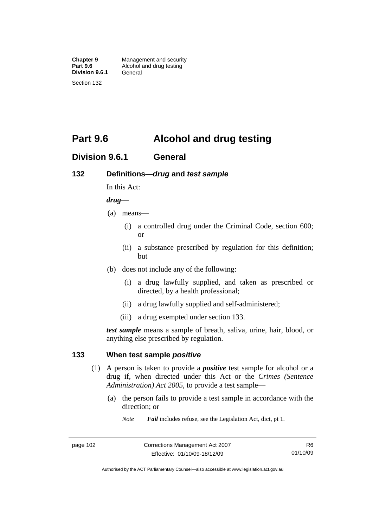**Division 9.6.1** 

Section 132

# **Part 9.6 Alcohol and drug testing**

## **Division 9.6.1 General**

### **132 Definitions—***drug* **and** *test sample*

In this Act:

#### *drug*—

- (a) means—
	- (i) a controlled drug under the Criminal Code, section 600; or
	- (ii) a substance prescribed by regulation for this definition; but
- (b) does not include any of the following:
	- (i) a drug lawfully supplied, and taken as prescribed or directed, by a health professional;
	- (ii) a drug lawfully supplied and self-administered;
	- (iii) a drug exempted under section 133.

*test sample* means a sample of breath, saliva, urine, hair, blood, or anything else prescribed by regulation.

#### **133 When test sample** *positive*

- (1) A person is taken to provide a *positive* test sample for alcohol or a drug if, when directed under this Act or the *Crimes (Sentence Administration) Act 2005*, to provide a test sample—
	- (a) the person fails to provide a test sample in accordance with the direction; or
		- *Note Fail* includes refuse, see the Legislation Act, dict, pt 1.

Authorised by the ACT Parliamentary Counsel—also accessible at www.legislation.act.gov.au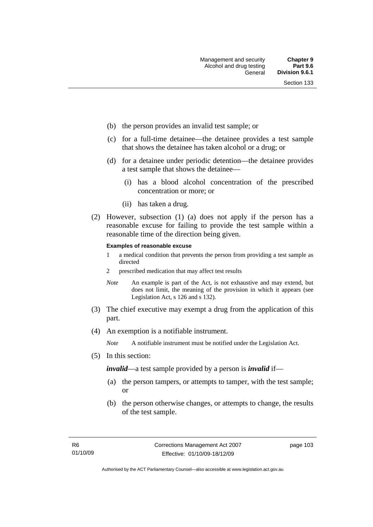- (b) the person provides an invalid test sample; or
- (c) for a full-time detainee—the detainee provides a test sample that shows the detainee has taken alcohol or a drug; or
- (d) for a detainee under periodic detention—the detainee provides a test sample that shows the detainee—
	- (i) has a blood alcohol concentration of the prescribed concentration or more; or
	- (ii) has taken a drug.
- (2) However, subsection (1) (a) does not apply if the person has a reasonable excuse for failing to provide the test sample within a reasonable time of the direction being given.

#### **Examples of reasonable excuse**

- 1 a medical condition that prevents the person from providing a test sample as directed
- 2 prescribed medication that may affect test results
- *Note* An example is part of the Act, is not exhaustive and may extend, but does not limit, the meaning of the provision in which it appears (see Legislation Act, s 126 and s 132).
- (3) The chief executive may exempt a drug from the application of this part.
- (4) An exemption is a notifiable instrument.

*Note* A notifiable instrument must be notified under the Legislation Act.

(5) In this section:

*invalid*—a test sample provided by a person is *invalid* if—

- (a) the person tampers, or attempts to tamper, with the test sample; or
- (b) the person otherwise changes, or attempts to change, the results of the test sample.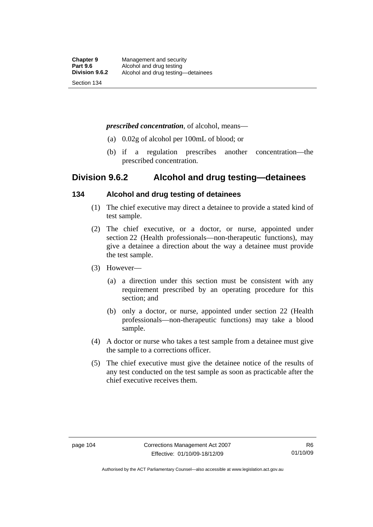#### *prescribed concentration*, of alcohol, means—

- (a) 0.02g of alcohol per 100mL of blood; or
- (b) if a regulation prescribes another concentration—the prescribed concentration.

## **Division 9.6.2 Alcohol and drug testing—detainees**

### **134 Alcohol and drug testing of detainees**

- (1) The chief executive may direct a detainee to provide a stated kind of test sample.
- (2) The chief executive, or a doctor, or nurse, appointed under section 22 (Health professionals—non-therapeutic functions), may give a detainee a direction about the way a detainee must provide the test sample.
- (3) However—
	- (a) a direction under this section must be consistent with any requirement prescribed by an operating procedure for this section; and
	- (b) only a doctor, or nurse, appointed under section 22 (Health professionals—non-therapeutic functions) may take a blood sample.
- (4) A doctor or nurse who takes a test sample from a detainee must give the sample to a corrections officer.
- (5) The chief executive must give the detainee notice of the results of any test conducted on the test sample as soon as practicable after the chief executive receives them.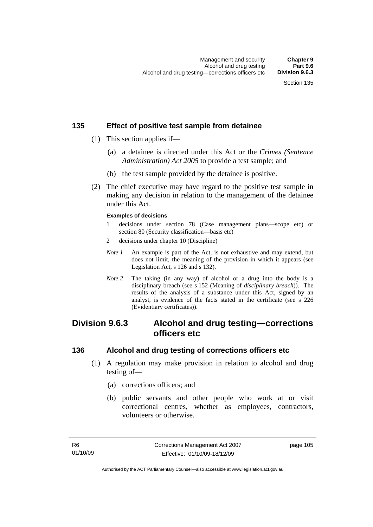## **135 Effect of positive test sample from detainee**

- (1) This section applies if—
	- (a) a detainee is directed under this Act or the *Crimes (Sentence Administration) Act 2005* to provide a test sample; and
	- (b) the test sample provided by the detainee is positive.
- (2) The chief executive may have regard to the positive test sample in making any decision in relation to the management of the detainee under this Act.

#### **Examples of decisions**

- 1 decisions under section 78 (Case management plans—scope etc) or section 80 (Security classification—basis etc)
- 2 decisions under chapter 10 (Discipline)
- *Note 1* An example is part of the Act, is not exhaustive and may extend, but does not limit, the meaning of the provision in which it appears (see Legislation Act, s 126 and s 132).
- *Note 2* The taking (in any way) of alcohol or a drug into the body is a disciplinary breach (see s 152 (Meaning of *disciplinary breach*)). The results of the analysis of a substance under this Act, signed by an analyst, is evidence of the facts stated in the certificate (see s 226 (Evidentiary certificates)).

# **Division 9.6.3 Alcohol and drug testing—corrections officers etc**

#### **136 Alcohol and drug testing of corrections officers etc**

- (1) A regulation may make provision in relation to alcohol and drug testing of—
	- (a) corrections officers; and
	- (b) public servants and other people who work at or visit correctional centres, whether as employees, contractors, volunteers or otherwise.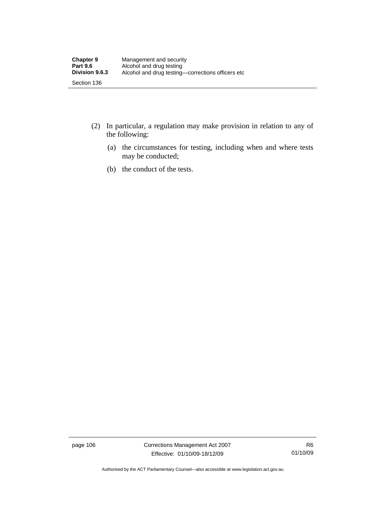- (2) In particular, a regulation may make provision in relation to any of the following:
	- (a) the circumstances for testing, including when and where tests may be conducted;
	- (b) the conduct of the tests.

page 106 Corrections Management Act 2007 Effective: 01/10/09-18/12/09

R6 01/10/09

Authorised by the ACT Parliamentary Counsel—also accessible at www.legislation.act.gov.au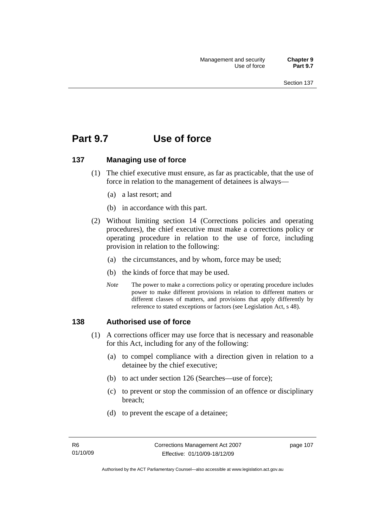# **Part 9.7 Use of force**

#### **137 Managing use of force**

- (1) The chief executive must ensure, as far as practicable, that the use of force in relation to the management of detainees is always—
	- (a) a last resort; and
	- (b) in accordance with this part.
- (2) Without limiting section 14 (Corrections policies and operating procedures), the chief executive must make a corrections policy or operating procedure in relation to the use of force, including provision in relation to the following:
	- (a) the circumstances, and by whom, force may be used;
	- (b) the kinds of force that may be used.
	- *Note* The power to make a corrections policy or operating procedure includes power to make different provisions in relation to different matters or different classes of matters, and provisions that apply differently by reference to stated exceptions or factors (see Legislation Act, s 48).

#### **138 Authorised use of force**

- (1) A corrections officer may use force that is necessary and reasonable for this Act, including for any of the following:
	- (a) to compel compliance with a direction given in relation to a detainee by the chief executive;
	- (b) to act under section 126 (Searches—use of force);
	- (c) to prevent or stop the commission of an offence or disciplinary breach;
	- (d) to prevent the escape of a detainee;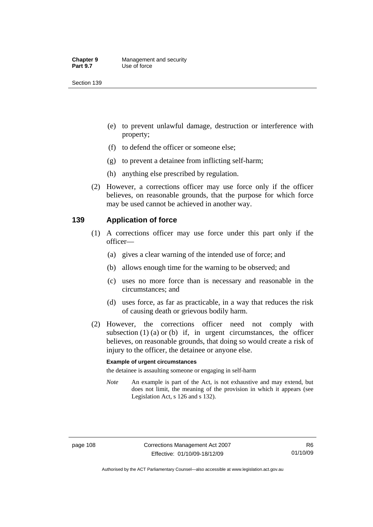- (e) to prevent unlawful damage, destruction or interference with property;
- (f) to defend the officer or someone else;
- (g) to prevent a detainee from inflicting self-harm;
- (h) anything else prescribed by regulation.
- (2) However, a corrections officer may use force only if the officer believes, on reasonable grounds, that the purpose for which force may be used cannot be achieved in another way.

#### **139 Application of force**

- (1) A corrections officer may use force under this part only if the officer—
	- (a) gives a clear warning of the intended use of force; and
	- (b) allows enough time for the warning to be observed; and
	- (c) uses no more force than is necessary and reasonable in the circumstances; and
	- (d) uses force, as far as practicable, in a way that reduces the risk of causing death or grievous bodily harm.
- (2) However, the corrections officer need not comply with subsection  $(1)$   $(a)$  or  $(b)$  if, in urgent circumstances, the officer believes, on reasonable grounds, that doing so would create a risk of injury to the officer, the detainee or anyone else.

#### **Example of urgent circumstances**

the detainee is assaulting someone or engaging in self-harm

*Note* An example is part of the Act, is not exhaustive and may extend, but does not limit, the meaning of the provision in which it appears (see Legislation Act, s 126 and s 132).

Authorised by the ACT Parliamentary Counsel—also accessible at www.legislation.act.gov.au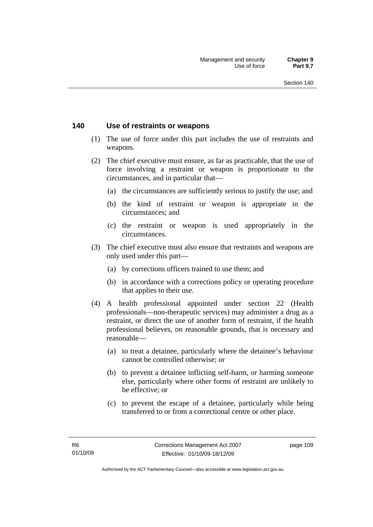#### **140 Use of restraints or weapons**

- (1) The use of force under this part includes the use of restraints and weapons.
- (2) The chief executive must ensure, as far as practicable, that the use of force involving a restraint or weapon is proportionate to the circumstances, and in particular that—
	- (a) the circumstances are sufficiently serious to justify the use; and
	- (b) the kind of restraint or weapon is appropriate in the circumstances; and
	- (c) the restraint or weapon is used appropriately in the circumstances.
- (3) The chief executive must also ensure that restraints and weapons are only used under this part—
	- (a) by corrections officers trained to use them; and
	- (b) in accordance with a corrections policy or operating procedure that applies to their use.
- (4) A health professional appointed under section 22 (Health professionals—non-therapeutic services) may administer a drug as a restraint, or direct the use of another form of restraint, if the health professional believes, on reasonable grounds, that is necessary and reasonable—
	- (a) to treat a detainee, particularly where the detainee's behaviour cannot be controlled otherwise; or
	- (b) to prevent a detainee inflicting self-harm, or harming someone else, particularly where other forms of restraint are unlikely to be effective; or
	- (c) to prevent the escape of a detainee, particularly while being transferred to or from a correctional centre or other place.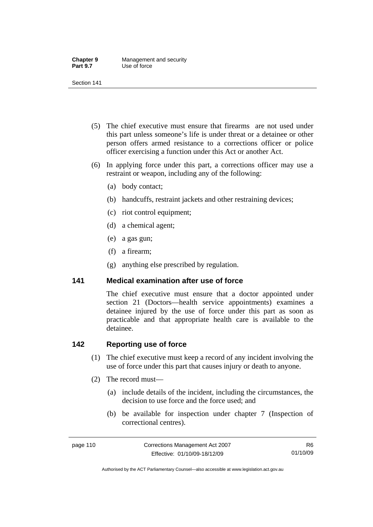| <b>Chapter 9</b> | Management and security |
|------------------|-------------------------|
| <b>Part 9.7</b>  | Use of force            |

- (5) The chief executive must ensure that firearms are not used under this part unless someone's life is under threat or a detainee or other person offers armed resistance to a corrections officer or police officer exercising a function under this Act or another Act.
- (6) In applying force under this part, a corrections officer may use a restraint or weapon, including any of the following:
	- (a) body contact;
	- (b) handcuffs, restraint jackets and other restraining devices;
	- (c) riot control equipment;
	- (d) a chemical agent;
	- (e) a gas gun;
	- (f) a firearm;
	- (g) anything else prescribed by regulation.

#### **141 Medical examination after use of force**

The chief executive must ensure that a doctor appointed under section 21 (Doctors—health service appointments) examines a detainee injured by the use of force under this part as soon as practicable and that appropriate health care is available to the detainee.

### **142 Reporting use of force**

- (1) The chief executive must keep a record of any incident involving the use of force under this part that causes injury or death to anyone.
- (2) The record must—
	- (a) include details of the incident, including the circumstances, the decision to use force and the force used; and
	- (b) be available for inspection under chapter 7 (Inspection of correctional centres).

Authorised by the ACT Parliamentary Counsel—also accessible at www.legislation.act.gov.au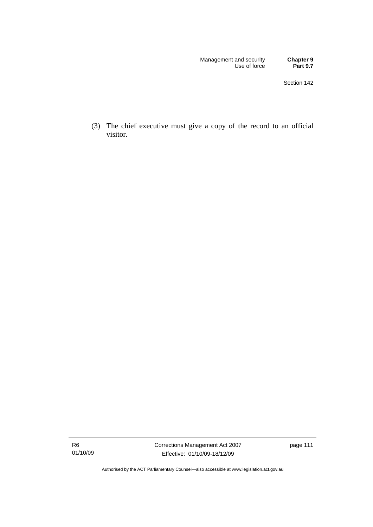(3) The chief executive must give a copy of the record to an official visitor.

Authorised by the ACT Parliamentary Counsel—also accessible at www.legislation.act.gov.au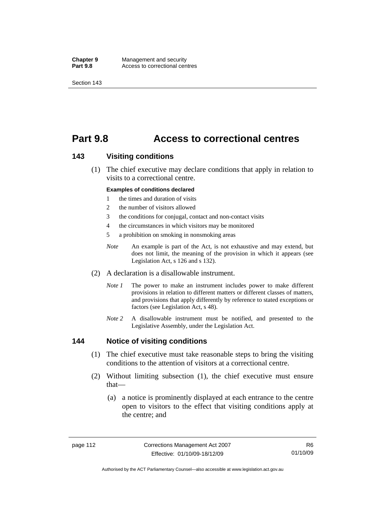**Chapter 9 Management and security<br>
<b>Part 9.8 Access to correctional cen** Access to correctional centres

Section 143

# **Part 9.8 Access to correctional centres**

#### **143 Visiting conditions**

 (1) The chief executive may declare conditions that apply in relation to visits to a correctional centre.

#### **Examples of conditions declared**

- 1 the times and duration of visits
- 2 the number of visitors allowed
- 3 the conditions for conjugal, contact and non-contact visits
- 4 the circumstances in which visitors may be monitored
- 5 a prohibition on smoking in nonsmoking areas
- *Note* An example is part of the Act, is not exhaustive and may extend, but does not limit, the meaning of the provision in which it appears (see Legislation Act, s 126 and s 132).
- (2) A declaration is a disallowable instrument.
	- *Note 1* The power to make an instrument includes power to make different provisions in relation to different matters or different classes of matters, and provisions that apply differently by reference to stated exceptions or factors (see Legislation Act, s 48).
	- *Note 2* A disallowable instrument must be notified, and presented to the Legislative Assembly, under the Legislation Act.

#### **144 Notice of visiting conditions**

- (1) The chief executive must take reasonable steps to bring the visiting conditions to the attention of visitors at a correctional centre.
- (2) Without limiting subsection (1), the chief executive must ensure that—
	- (a) a notice is prominently displayed at each entrance to the centre open to visitors to the effect that visiting conditions apply at the centre; and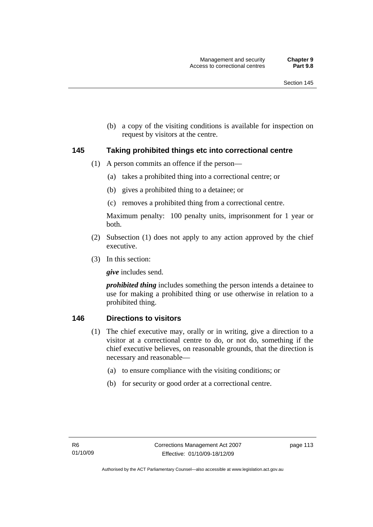(b) a copy of the visiting conditions is available for inspection on request by visitors at the centre.

#### **145 Taking prohibited things etc into correctional centre**

- (1) A person commits an offence if the person—
	- (a) takes a prohibited thing into a correctional centre; or
	- (b) gives a prohibited thing to a detainee; or
	- (c) removes a prohibited thing from a correctional centre.

Maximum penalty: 100 penalty units, imprisonment for 1 year or both.

- (2) Subsection (1) does not apply to any action approved by the chief executive.
- (3) In this section:

*give* includes send.

*prohibited thing* includes something the person intends a detainee to use for making a prohibited thing or use otherwise in relation to a prohibited thing.

#### **146 Directions to visitors**

- (1) The chief executive may, orally or in writing, give a direction to a visitor at a correctional centre to do, or not do, something if the chief executive believes, on reasonable grounds, that the direction is necessary and reasonable—
	- (a) to ensure compliance with the visiting conditions; or
	- (b) for security or good order at a correctional centre.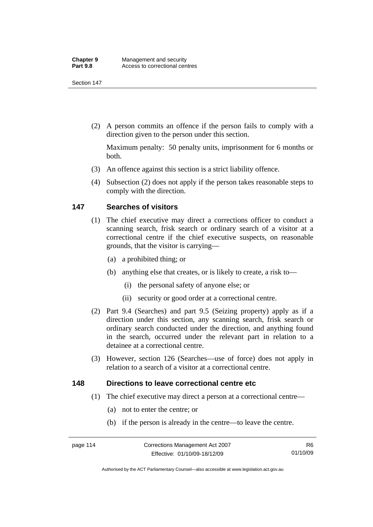(2) A person commits an offence if the person fails to comply with a direction given to the person under this section.

Maximum penalty: 50 penalty units, imprisonment for 6 months or both.

- (3) An offence against this section is a strict liability offence.
- (4) Subsection (2) does not apply if the person takes reasonable steps to comply with the direction.

### **147 Searches of visitors**

- (1) The chief executive may direct a corrections officer to conduct a scanning search, frisk search or ordinary search of a visitor at a correctional centre if the chief executive suspects, on reasonable grounds, that the visitor is carrying—
	- (a) a prohibited thing; or
	- (b) anything else that creates, or is likely to create, a risk to—
		- (i) the personal safety of anyone else; or
		- (ii) security or good order at a correctional centre.
- (2) Part 9.4 (Searches) and part 9.5 (Seizing property) apply as if a direction under this section, any scanning search, frisk search or ordinary search conducted under the direction, and anything found in the search, occurred under the relevant part in relation to a detainee at a correctional centre.
- (3) However, section 126 (Searches—use of force) does not apply in relation to a search of a visitor at a correctional centre.

#### **148 Directions to leave correctional centre etc**

- (1) The chief executive may direct a person at a correctional centre—
	- (a) not to enter the centre; or
	- (b) if the person is already in the centre—to leave the centre.

Authorised by the ACT Parliamentary Counsel—also accessible at www.legislation.act.gov.au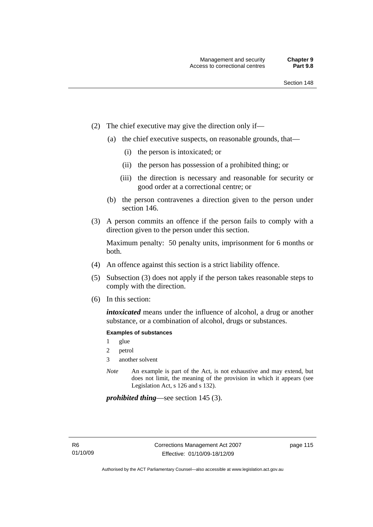- (2) The chief executive may give the direction only if—
	- (a) the chief executive suspects, on reasonable grounds, that—
		- (i) the person is intoxicated; or
		- (ii) the person has possession of a prohibited thing; or
		- (iii) the direction is necessary and reasonable for security or good order at a correctional centre; or
	- (b) the person contravenes a direction given to the person under section 146.
- (3) A person commits an offence if the person fails to comply with a direction given to the person under this section.

Maximum penalty: 50 penalty units, imprisonment for 6 months or both.

- (4) An offence against this section is a strict liability offence.
- (5) Subsection (3) does not apply if the person takes reasonable steps to comply with the direction.
- (6) In this section:

*intoxicated* means under the influence of alcohol, a drug or another substance, or a combination of alcohol, drugs or substances.

#### **Examples of substances**

- 1 glue
- 2 petrol
- 3 another solvent
- *Note* An example is part of the Act, is not exhaustive and may extend, but does not limit, the meaning of the provision in which it appears (see Legislation Act, s 126 and s 132).

*prohibited thing*—see section 145 (3).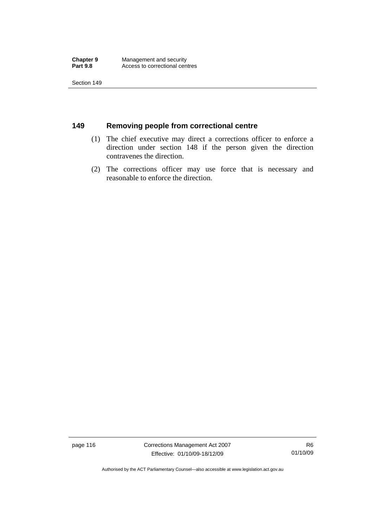## **149 Removing people from correctional centre**

- (1) The chief executive may direct a corrections officer to enforce a direction under section 148 if the person given the direction contravenes the direction.
- (2) The corrections officer may use force that is necessary and reasonable to enforce the direction.

page 116 Corrections Management Act 2007 Effective: 01/10/09-18/12/09

Authorised by the ACT Parliamentary Counsel—also accessible at www.legislation.act.gov.au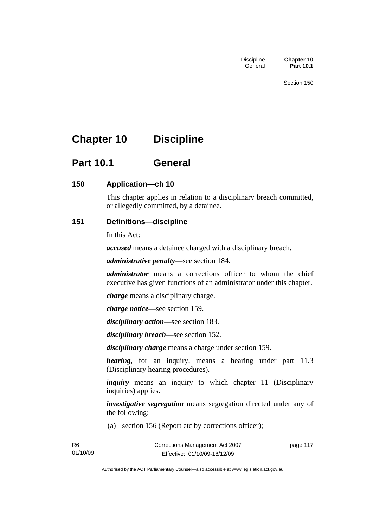# **Chapter 10 Discipline**

# **Part 10.1 General**

## **150 Application—ch 10**

This chapter applies in relation to a disciplinary breach committed, or allegedly committed, by a detainee.

## **151 Definitions—discipline**

In this Act:

*accused* means a detainee charged with a disciplinary breach.

*administrative penalty*—see section 184.

*administrator* means a corrections officer to whom the chief executive has given functions of an administrator under this chapter.

*charge* means a disciplinary charge.

*charge notice*—see section 159.

*disciplinary action*—see section 183.

*disciplinary breach*—see section 152.

*disciplinary charge* means a charge under section 159.

*hearing*, for an inquiry, means a hearing under part 11.3 (Disciplinary hearing procedures).

*inquiry* means an inquiry to which chapter 11 (Disciplinary inquiries) applies.

*investigative segregation* means segregation directed under any of the following:

(a) section 156 (Report etc by corrections officer);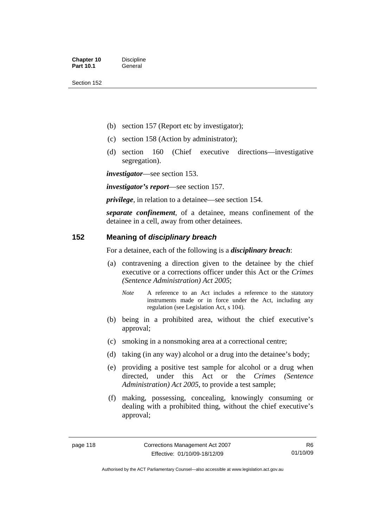- (b) section 157 (Report etc by investigator);
- (c) section 158 (Action by administrator);
- (d) section 160 (Chief executive directions—investigative segregation).

*investigator*—see section 153.

*investigator's report*—see section 157.

*privilege*, in relation to a detainee—see section 154.

*separate confinement*, of a detainee, means confinement of the detainee in a cell, away from other detainees.

#### **152 Meaning of** *disciplinary breach*

For a detainee, each of the following is a *disciplinary breach*:

- (a) contravening a direction given to the detainee by the chief executive or a corrections officer under this Act or the *Crimes (Sentence Administration) Act 2005*;
	- *Note* A reference to an Act includes a reference to the statutory instruments made or in force under the Act, including any regulation (see Legislation Act, s 104).
- (b) being in a prohibited area, without the chief executive's approval;
- (c) smoking in a nonsmoking area at a correctional centre;
- (d) taking (in any way) alcohol or a drug into the detainee's body;
- (e) providing a positive test sample for alcohol or a drug when directed, under this Act or the *Crimes (Sentence Administration) Act 2005*, to provide a test sample;
- (f) making, possessing, concealing, knowingly consuming or dealing with a prohibited thing, without the chief executive's approval;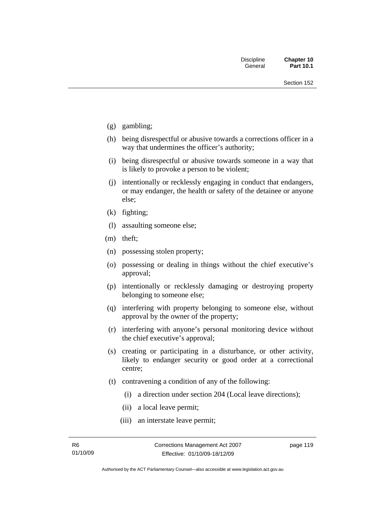- (g) gambling;
- (h) being disrespectful or abusive towards a corrections officer in a way that undermines the officer's authority;
- (i) being disrespectful or abusive towards someone in a way that is likely to provoke a person to be violent;
- (j) intentionally or recklessly engaging in conduct that endangers, or may endanger, the health or safety of the detainee or anyone else;
- (k) fighting;
- (l) assaulting someone else;
- (m) theft;
- (n) possessing stolen property;
- (o) possessing or dealing in things without the chief executive's approval;
- (p) intentionally or recklessly damaging or destroying property belonging to someone else;
- (q) interfering with property belonging to someone else, without approval by the owner of the property;
- (r) interfering with anyone's personal monitoring device without the chief executive's approval;
- (s) creating or participating in a disturbance, or other activity, likely to endanger security or good order at a correctional centre;
- (t) contravening a condition of any of the following:
	- (i) a direction under section 204 (Local leave directions);
	- (ii) a local leave permit;
	- (iii) an interstate leave permit;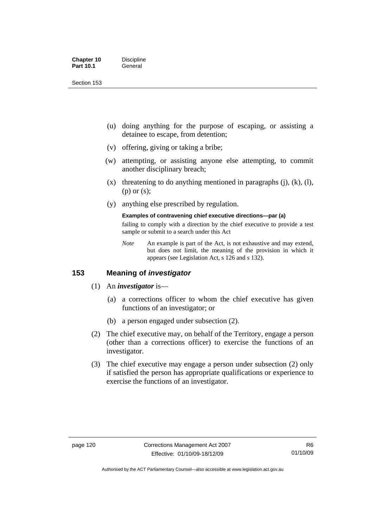| <b>Chapter 10</b> | <b>Discipline</b> |
|-------------------|-------------------|
| <b>Part 10.1</b>  | General           |

- (u) doing anything for the purpose of escaping, or assisting a detainee to escape, from detention;
- (v) offering, giving or taking a bribe;
- (w) attempting, or assisting anyone else attempting, to commit another disciplinary breach;
- $(x)$  threatening to do anything mentioned in paragraphs (j), (k), (l), (p) or (s);
- (y) anything else prescribed by regulation.

#### **Examples of contravening chief executive directions—par (a)**

failing to comply with a direction by the chief executive to provide a test sample or submit to a search under this Act

*Note* An example is part of the Act, is not exhaustive and may extend, but does not limit, the meaning of the provision in which it appears (see Legislation Act, s 126 and s 132).

#### **153 Meaning of** *investigator*

- (1) An *investigator* is—
	- (a) a corrections officer to whom the chief executive has given functions of an investigator; or
	- (b) a person engaged under subsection (2).
- (2) The chief executive may, on behalf of the Territory, engage a person (other than a corrections officer) to exercise the functions of an investigator.
- (3) The chief executive may engage a person under subsection (2) only if satisfied the person has appropriate qualifications or experience to exercise the functions of an investigator.

Authorised by the ACT Parliamentary Counsel—also accessible at www.legislation.act.gov.au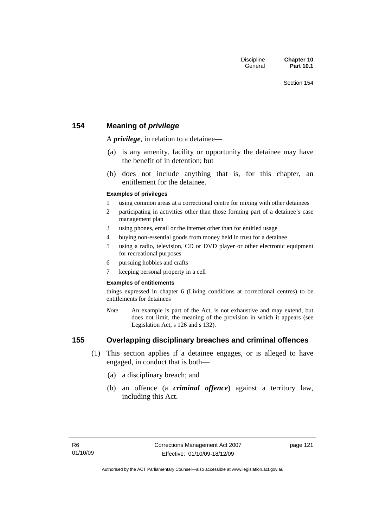## **154 Meaning of** *privilege*

A *privilege*, in relation to a detainee*—*

- (a) is any amenity, facility or opportunity the detainee may have the benefit of in detention; but
- (b) does not include anything that is, for this chapter, an entitlement for the detainee.

#### **Examples of privileges**

- 1 using common areas at a correctional centre for mixing with other detainees
- 2 participating in activities other than those forming part of a detainee's case management plan
- 3 using phones, email or the internet other than for entitled usage
- 4 buying non-essential goods from money held in trust for a detainee
- 5 using a radio, television, CD or DVD player or other electronic equipment for recreational purposes
- 6 pursuing hobbies and crafts
- 7 keeping personal property in a cell

#### **Examples of entitlements**

things expressed in chapter 6 (Living conditions at correctional centres) to be entitlements for detainees

*Note* An example is part of the Act, is not exhaustive and may extend, but does not limit, the meaning of the provision in which it appears (see Legislation Act, s 126 and s 132).

## **155 Overlapping disciplinary breaches and criminal offences**

- (1) This section applies if a detainee engages, or is alleged to have engaged, in conduct that is both—
	- (a) a disciplinary breach; and
	- (b) an offence (a *criminal offence*) against a territory law, including this Act.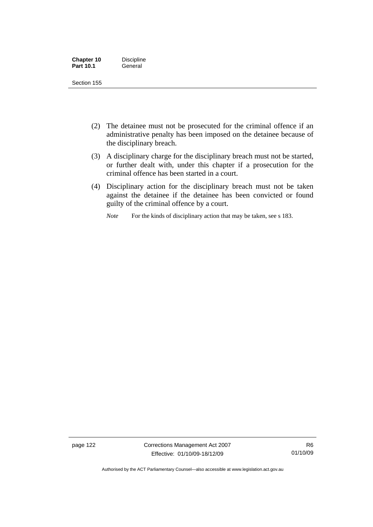| <b>Chapter 10</b> | <b>Discipline</b> |
|-------------------|-------------------|
| <b>Part 10.1</b>  | General           |

- (2) The detainee must not be prosecuted for the criminal offence if an administrative penalty has been imposed on the detainee because of the disciplinary breach.
- (3) A disciplinary charge for the disciplinary breach must not be started, or further dealt with, under this chapter if a prosecution for the criminal offence has been started in a court.
- (4) Disciplinary action for the disciplinary breach must not be taken against the detainee if the detainee has been convicted or found guilty of the criminal offence by a court.

*Note* For the kinds of disciplinary action that may be taken, see s 183.

page 122 Corrections Management Act 2007 Effective: 01/10/09-18/12/09

Authorised by the ACT Parliamentary Counsel—also accessible at www.legislation.act.gov.au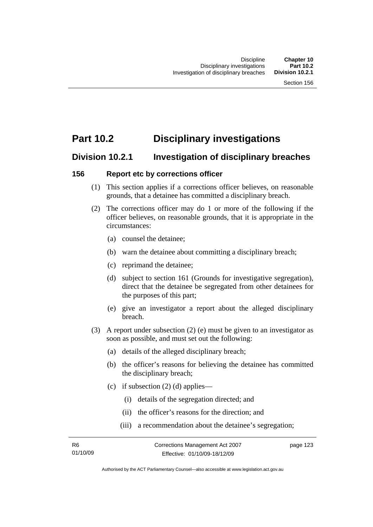# **Part 10.2 Disciplinary investigations**

## **Division 10.2.1 Investigation of disciplinary breaches**

#### **156 Report etc by corrections officer**

- (1) This section applies if a corrections officer believes, on reasonable grounds, that a detainee has committed a disciplinary breach.
- (2) The corrections officer may do 1 or more of the following if the officer believes, on reasonable grounds, that it is appropriate in the circumstances:
	- (a) counsel the detainee;
	- (b) warn the detainee about committing a disciplinary breach;
	- (c) reprimand the detainee;
	- (d) subject to section 161 (Grounds for investigative segregation), direct that the detainee be segregated from other detainees for the purposes of this part;
	- (e) give an investigator a report about the alleged disciplinary breach.
- (3) A report under subsection (2) (e) must be given to an investigator as soon as possible, and must set out the following:
	- (a) details of the alleged disciplinary breach;
	- (b) the officer's reasons for believing the detainee has committed the disciplinary breach;
	- (c) if subsection  $(2)$  (d) applies—
		- (i) details of the segregation directed; and
		- (ii) the officer's reasons for the direction; and
		- (iii) a recommendation about the detainee's segregation;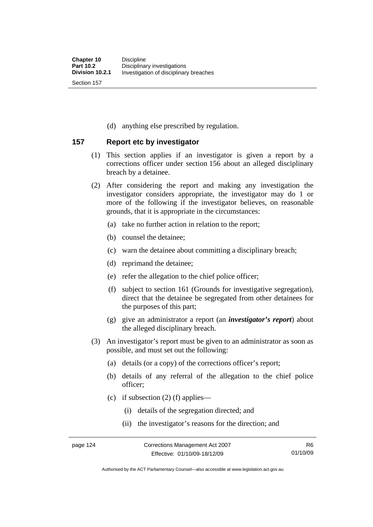(d) anything else prescribed by regulation.

### **157 Report etc by investigator**

- (1) This section applies if an investigator is given a report by a corrections officer under section 156 about an alleged disciplinary breach by a detainee.
- (2) After considering the report and making any investigation the investigator considers appropriate, the investigator may do 1 or more of the following if the investigator believes, on reasonable grounds, that it is appropriate in the circumstances:
	- (a) take no further action in relation to the report;
	- (b) counsel the detainee;
	- (c) warn the detainee about committing a disciplinary breach;
	- (d) reprimand the detainee;
	- (e) refer the allegation to the chief police officer;
	- (f) subject to section 161 (Grounds for investigative segregation), direct that the detainee be segregated from other detainees for the purposes of this part;
	- (g) give an administrator a report (an *investigator's report*) about the alleged disciplinary breach.
- (3) An investigator's report must be given to an administrator as soon as possible, and must set out the following:
	- (a) details (or a copy) of the corrections officer's report;
	- (b) details of any referral of the allegation to the chief police officer;
	- (c) if subsection  $(2)$  (f) applies—
		- (i) details of the segregation directed; and
		- (ii) the investigator's reasons for the direction; and

Authorised by the ACT Parliamentary Counsel—also accessible at www.legislation.act.gov.au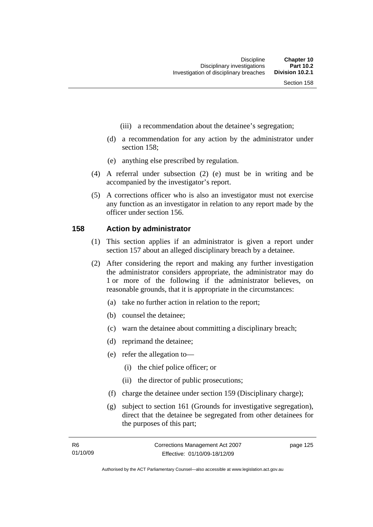- (iii) a recommendation about the detainee's segregation;
- (d) a recommendation for any action by the administrator under section 158;
- (e) anything else prescribed by regulation.
- (4) A referral under subsection (2) (e) must be in writing and be accompanied by the investigator's report.
- (5) A corrections officer who is also an investigator must not exercise any function as an investigator in relation to any report made by the officer under section 156.

#### **158 Action by administrator**

- (1) This section applies if an administrator is given a report under section 157 about an alleged disciplinary breach by a detainee.
- (2) After considering the report and making any further investigation the administrator considers appropriate, the administrator may do 1 or more of the following if the administrator believes, on reasonable grounds, that it is appropriate in the circumstances:
	- (a) take no further action in relation to the report;
	- (b) counsel the detainee;
	- (c) warn the detainee about committing a disciplinary breach;
	- (d) reprimand the detainee;
	- (e) refer the allegation to—
		- (i) the chief police officer; or
		- (ii) the director of public prosecutions;
	- (f) charge the detainee under section 159 (Disciplinary charge);
	- (g) subject to section 161 (Grounds for investigative segregation), direct that the detainee be segregated from other detainees for the purposes of this part;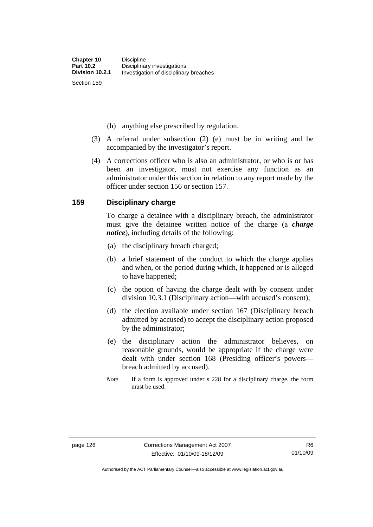(h) anything else prescribed by regulation.

- (3) A referral under subsection (2) (e) must be in writing and be accompanied by the investigator's report.
- (4) A corrections officer who is also an administrator, or who is or has been an investigator, must not exercise any function as an administrator under this section in relation to any report made by the officer under section 156 or section 157.

#### **159 Disciplinary charge**

To charge a detainee with a disciplinary breach, the administrator must give the detainee written notice of the charge (a *charge notice*), including details of the following:

- (a) the disciplinary breach charged;
- (b) a brief statement of the conduct to which the charge applies and when, or the period during which, it happened or is alleged to have happened;
- (c) the option of having the charge dealt with by consent under division 10.3.1 (Disciplinary action—with accused's consent);
- (d) the election available under section 167 (Disciplinary breach admitted by accused) to accept the disciplinary action proposed by the administrator;
- (e) the disciplinary action the administrator believes, on reasonable grounds, would be appropriate if the charge were dealt with under section 168 (Presiding officer's powers breach admitted by accused).
- *Note* If a form is approved under s 228 for a disciplinary charge, the form must be used.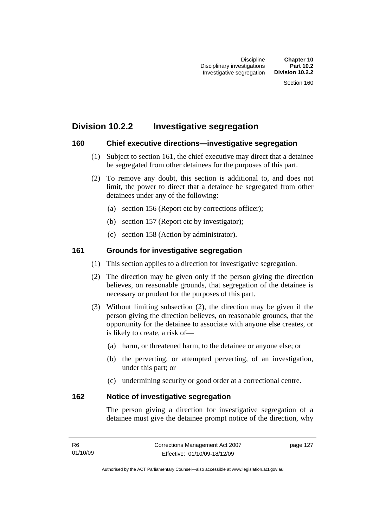# **Division 10.2.2 Investigative segregation**

## **160 Chief executive directions—investigative segregation**

- (1) Subject to section 161, the chief executive may direct that a detainee be segregated from other detainees for the purposes of this part.
- (2) To remove any doubt, this section is additional to, and does not limit, the power to direct that a detainee be segregated from other detainees under any of the following:
	- (a) section 156 (Report etc by corrections officer);
	- (b) section 157 (Report etc by investigator);
	- (c) section 158 (Action by administrator).

## **161 Grounds for investigative segregation**

- (1) This section applies to a direction for investigative segregation.
- (2) The direction may be given only if the person giving the direction believes, on reasonable grounds, that segregation of the detainee is necessary or prudent for the purposes of this part.
- (3) Without limiting subsection (2), the direction may be given if the person giving the direction believes, on reasonable grounds, that the opportunity for the detainee to associate with anyone else creates, or is likely to create, a risk of—
	- (a) harm, or threatened harm, to the detainee or anyone else; or
	- (b) the perverting, or attempted perverting, of an investigation, under this part; or
	- (c) undermining security or good order at a correctional centre.

## **162 Notice of investigative segregation**

The person giving a direction for investigative segregation of a detainee must give the detainee prompt notice of the direction, why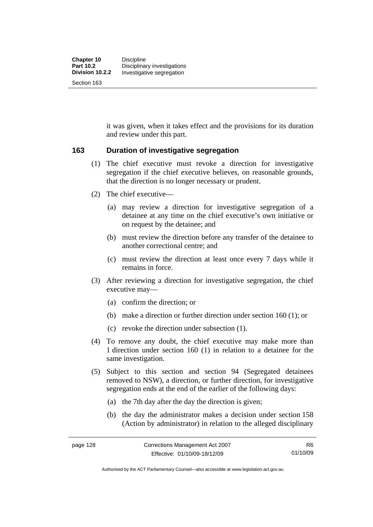it was given, when it takes effect and the provisions for its duration and review under this part.

#### **163 Duration of investigative segregation**

- (1) The chief executive must revoke a direction for investigative segregation if the chief executive believes, on reasonable grounds, that the direction is no longer necessary or prudent.
- (2) The chief executive—
	- (a) may review a direction for investigative segregation of a detainee at any time on the chief executive's own initiative or on request by the detainee; and
	- (b) must review the direction before any transfer of the detainee to another correctional centre; and
	- (c) must review the direction at least once every 7 days while it remains in force.
- (3) After reviewing a direction for investigative segregation, the chief executive may—
	- (a) confirm the direction; or
	- (b) make a direction or further direction under section 160 (1); or
	- (c) revoke the direction under subsection (1).
- (4) To remove any doubt, the chief executive may make more than 1 direction under section 160 (1) in relation to a detainee for the same investigation.
- (5) Subject to this section and section 94 (Segregated detainees removed to NSW), a direction, or further direction, for investigative segregation ends at the end of the earlier of the following days:
	- (a) the 7th day after the day the direction is given;
	- (b) the day the administrator makes a decision under section 158 (Action by administrator) in relation to the alleged disciplinary

Authorised by the ACT Parliamentary Counsel—also accessible at www.legislation.act.gov.au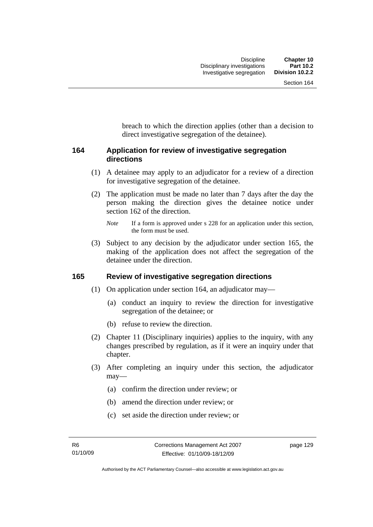breach to which the direction applies (other than a decision to direct investigative segregation of the detainee).

## **164 Application for review of investigative segregation directions**

- (1) A detainee may apply to an adjudicator for a review of a direction for investigative segregation of the detainee.
- (2) The application must be made no later than 7 days after the day the person making the direction gives the detainee notice under section 162 of the direction.

 (3) Subject to any decision by the adjudicator under section 165, the making of the application does not affect the segregation of the detainee under the direction.

#### **165 Review of investigative segregation directions**

- (1) On application under section 164, an adjudicator may—
	- (a) conduct an inquiry to review the direction for investigative segregation of the detainee; or
	- (b) refuse to review the direction.
- (2) Chapter 11 (Disciplinary inquiries) applies to the inquiry, with any changes prescribed by regulation, as if it were an inquiry under that chapter.
- (3) After completing an inquiry under this section, the adjudicator may—
	- (a) confirm the direction under review; or
	- (b) amend the direction under review; or
	- (c) set aside the direction under review; or

*Note* If a form is approved under s 228 for an application under this section, the form must be used.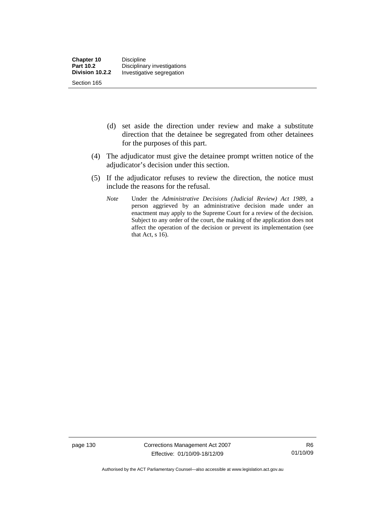- (d) set aside the direction under review and make a substitute direction that the detainee be segregated from other detainees for the purposes of this part.
- (4) The adjudicator must give the detainee prompt written notice of the adjudicator's decision under this section.
- (5) If the adjudicator refuses to review the direction, the notice must include the reasons for the refusal.
	- *Note* Under the *Administrative Decisions (Judicial Review) Act 1989*, a person aggrieved by an administrative decision made under an enactment may apply to the Supreme Court for a review of the decision. Subject to any order of the court, the making of the application does not affect the operation of the decision or prevent its implementation (see that Act,  $s$  16).

page 130 Corrections Management Act 2007 Effective: 01/10/09-18/12/09

Authorised by the ACT Parliamentary Counsel—also accessible at www.legislation.act.gov.au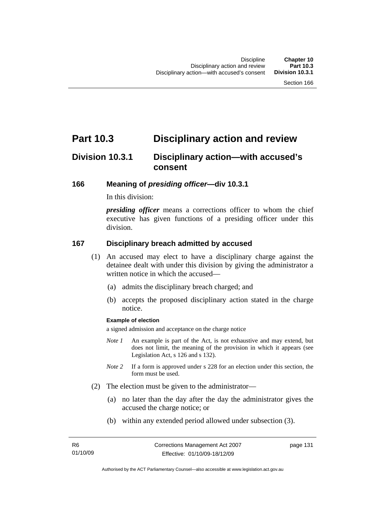# **Part 10.3 Disciplinary action and review**

# **Division 10.3.1 Disciplinary action—with accused's consent**

#### **166 Meaning of** *presiding officer***—div 10.3.1**

In this division:

*presiding officer* means a corrections officer to whom the chief executive has given functions of a presiding officer under this division.

#### **167 Disciplinary breach admitted by accused**

- (1) An accused may elect to have a disciplinary charge against the detainee dealt with under this division by giving the administrator a written notice in which the accused—
	- (a) admits the disciplinary breach charged; and
	- (b) accepts the proposed disciplinary action stated in the charge notice.

#### **Example of election**

a signed admission and acceptance on the charge notice

- *Note 1* An example is part of the Act, is not exhaustive and may extend, but does not limit, the meaning of the provision in which it appears (see Legislation Act, s 126 and s 132).
- *Note* 2 If a form is approved under s 228 for an election under this section, the form must be used.
- (2) The election must be given to the administrator—
	- (a) no later than the day after the day the administrator gives the accused the charge notice; or
	- (b) within any extended period allowed under subsection (3).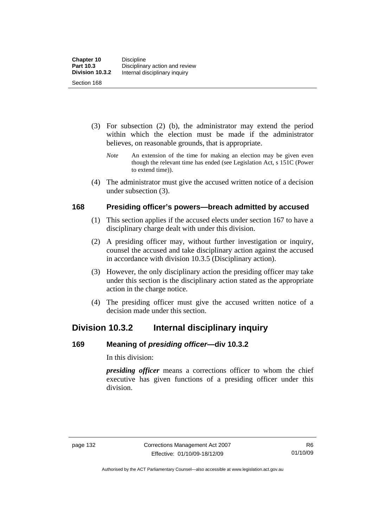- (3) For subsection (2) (b), the administrator may extend the period within which the election must be made if the administrator believes, on reasonable grounds, that is appropriate.
	- *Note* An extension of the time for making an election may be given even though the relevant time has ended (see Legislation Act, s 151C (Power to extend time)).
- (4) The administrator must give the accused written notice of a decision under subsection (3).

#### **168 Presiding officer's powers—breach admitted by accused**

- (1) This section applies if the accused elects under section 167 to have a disciplinary charge dealt with under this division.
- (2) A presiding officer may, without further investigation or inquiry, counsel the accused and take disciplinary action against the accused in accordance with division 10.3.5 (Disciplinary action).
- (3) However, the only disciplinary action the presiding officer may take under this section is the disciplinary action stated as the appropriate action in the charge notice.
- (4) The presiding officer must give the accused written notice of a decision made under this section.

## **Division 10.3.2 Internal disciplinary inquiry**

## **169 Meaning of** *presiding officer***—div 10.3.2**

In this division:

*presiding officer* means a corrections officer to whom the chief executive has given functions of a presiding officer under this division.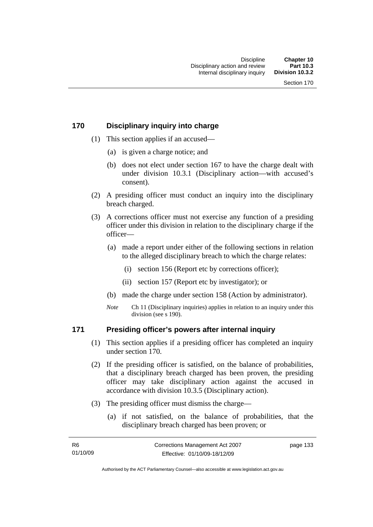#### **170 Disciplinary inquiry into charge**

- (1) This section applies if an accused—
	- (a) is given a charge notice; and
	- (b) does not elect under section 167 to have the charge dealt with under division 10.3.1 (Disciplinary action—with accused's consent).
- (2) A presiding officer must conduct an inquiry into the disciplinary breach charged.
- (3) A corrections officer must not exercise any function of a presiding officer under this division in relation to the disciplinary charge if the officer—
	- (a) made a report under either of the following sections in relation to the alleged disciplinary breach to which the charge relates:
		- (i) section 156 (Report etc by corrections officer);
		- (ii) section 157 (Report etc by investigator); or
	- (b) made the charge under section 158 (Action by administrator).
	- *Note* Ch 11 (Disciplinary inquiries) applies in relation to an inquiry under this division (see s 190).

#### **171 Presiding officer's powers after internal inquiry**

- (1) This section applies if a presiding officer has completed an inquiry under section 170.
- (2) If the presiding officer is satisfied, on the balance of probabilities, that a disciplinary breach charged has been proven, the presiding officer may take disciplinary action against the accused in accordance with division 10.3.5 (Disciplinary action).
- (3) The presiding officer must dismiss the charge—
	- (a) if not satisfied, on the balance of probabilities, that the disciplinary breach charged has been proven; or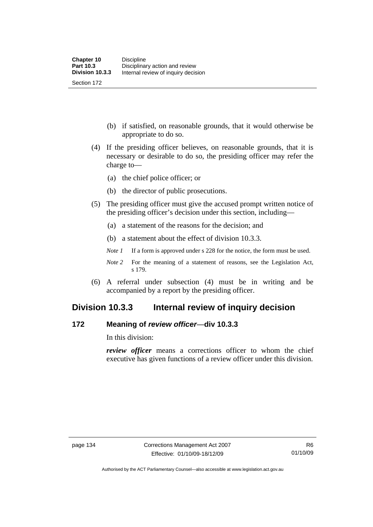(b) if satisfied, on reasonable grounds, that it would otherwise be appropriate to do so.

- (4) If the presiding officer believes, on reasonable grounds, that it is necessary or desirable to do so, the presiding officer may refer the charge to—
	- (a) the chief police officer; or
	- (b) the director of public prosecutions.
- (5) The presiding officer must give the accused prompt written notice of the presiding officer's decision under this section, including—
	- (a) a statement of the reasons for the decision; and
	- (b) a statement about the effect of division 10.3.3.
	- *Note 1* If a form is approved under s 228 for the notice, the form must be used.
	- *Note* 2 For the meaning of a statement of reasons, see the Legislation Act, s 179.
- (6) A referral under subsection (4) must be in writing and be accompanied by a report by the presiding officer.

## **Division 10.3.3 Internal review of inquiry decision**

#### **172 Meaning of** *review officer*—**div 10.3.3**

In this division:

*review officer* means a corrections officer to whom the chief executive has given functions of a review officer under this division.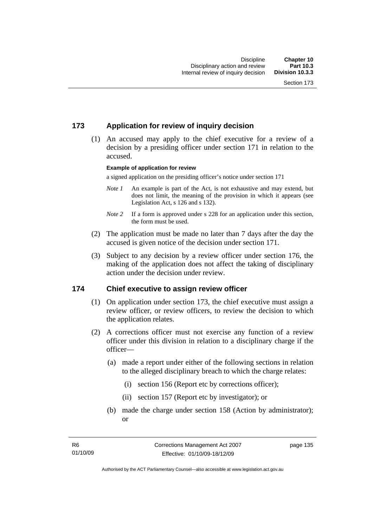#### **173 Application for review of inquiry decision**

 (1) An accused may apply to the chief executive for a review of a decision by a presiding officer under section 171 in relation to the accused.

#### **Example of application for review**

a signed application on the presiding officer's notice under section 171

- *Note 1* An example is part of the Act, is not exhaustive and may extend, but does not limit, the meaning of the provision in which it appears (see Legislation Act, s 126 and s 132).
- *Note* 2 If a form is approved under s 228 for an application under this section, the form must be used.
- (2) The application must be made no later than 7 days after the day the accused is given notice of the decision under section 171.
- (3) Subject to any decision by a review officer under section 176, the making of the application does not affect the taking of disciplinary action under the decision under review.

#### **174 Chief executive to assign review officer**

- (1) On application under section 173, the chief executive must assign a review officer, or review officers, to review the decision to which the application relates.
- (2) A corrections officer must not exercise any function of a review officer under this division in relation to a disciplinary charge if the officer—
	- (a) made a report under either of the following sections in relation to the alleged disciplinary breach to which the charge relates:
		- (i) section 156 (Report etc by corrections officer);
		- (ii) section 157 (Report etc by investigator); or
	- (b) made the charge under section 158 (Action by administrator); or

page 135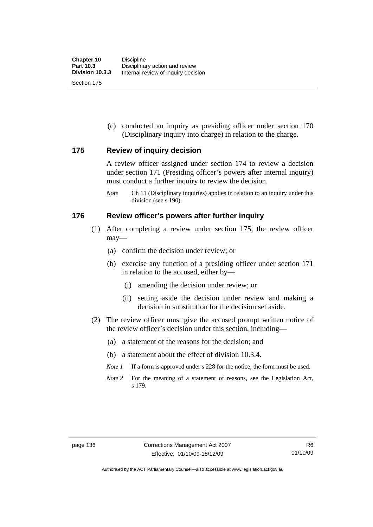(c) conducted an inquiry as presiding officer under section 170 (Disciplinary inquiry into charge) in relation to the charge.

#### **175 Review of inquiry decision**

A review officer assigned under section 174 to review a decision under section 171 (Presiding officer's powers after internal inquiry) must conduct a further inquiry to review the decision.

*Note* Ch 11 (Disciplinary inquiries) applies in relation to an inquiry under this division (see s 190).

#### **176 Review officer's powers after further inquiry**

- (1) After completing a review under section 175, the review officer may—
	- (a) confirm the decision under review; or
	- (b) exercise any function of a presiding officer under section 171 in relation to the accused, either by—
		- (i) amending the decision under review; or
		- (ii) setting aside the decision under review and making a decision in substitution for the decision set aside.
- (2) The review officer must give the accused prompt written notice of the review officer's decision under this section, including—
	- (a) a statement of the reasons for the decision; and
	- (b) a statement about the effect of division 10.3.4.
	- *Note 1* If a form is approved under s 228 for the notice, the form must be used.
	- *Note 2* For the meaning of a statement of reasons, see the Legislation Act, s 179.

Authorised by the ACT Parliamentary Counsel—also accessible at www.legislation.act.gov.au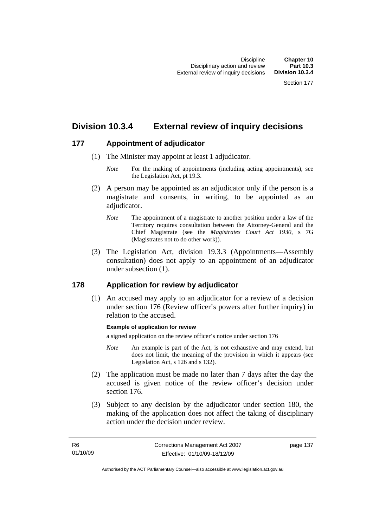# **Division 10.3.4 External review of inquiry decisions**

## **177 Appointment of adjudicator**

- (1) The Minister may appoint at least 1 adjudicator.
	- *Note* For the making of appointments (including acting appointments), see the Legislation Act, pt 19.3.
- (2) A person may be appointed as an adjudicator only if the person is a magistrate and consents, in writing, to be appointed as an adiudicator.
	- *Note* The appointment of a magistrate to another position under a law of the Territory requires consultation between the Attorney-General and the Chief Magistrate (see the *Magistrates Court Act 1930*, s 7G (Magistrates not to do other work)).
- (3) The Legislation Act, division 19.3.3 (Appointments—Assembly consultation) does not apply to an appointment of an adjudicator under subsection (1).

## **178 Application for review by adjudicator**

 (1) An accused may apply to an adjudicator for a review of a decision under section 176 (Review officer's powers after further inquiry) in relation to the accused.

#### **Example of application for review**

a signed application on the review officer's notice under section 176

- *Note* An example is part of the Act, is not exhaustive and may extend, but does not limit, the meaning of the provision in which it appears (see Legislation Act, s 126 and s 132).
- (2) The application must be made no later than 7 days after the day the accused is given notice of the review officer's decision under section 176.
- (3) Subject to any decision by the adjudicator under section 180, the making of the application does not affect the taking of disciplinary action under the decision under review.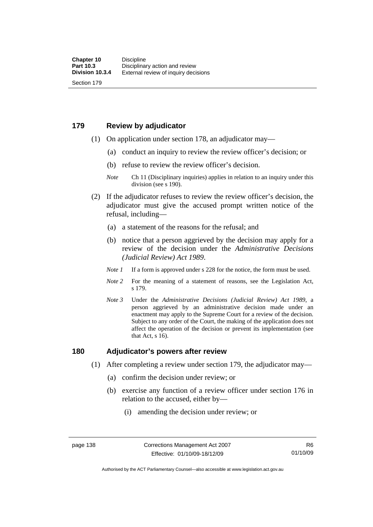#### **179 Review by adjudicator**

Section 179

- (1) On application under section 178, an adjudicator may—
	- (a) conduct an inquiry to review the review officer's decision; or
	- (b) refuse to review the review officer's decision.

- (2) If the adjudicator refuses to review the review officer's decision, the adjudicator must give the accused prompt written notice of the refusal, including—
	- (a) a statement of the reasons for the refusal; and
	- (b) notice that a person aggrieved by the decision may apply for a review of the decision under the *Administrative Decisions (Judicial Review) Act 1989*.
	- *Note 1* If a form is approved under s 228 for the notice, the form must be used.
	- *Note 2* For the meaning of a statement of reasons, see the Legislation Act, s 179.
	- *Note 3* Under the *Administrative Decisions (Judicial Review) Act 1989*, a person aggrieved by an administrative decision made under an enactment may apply to the Supreme Court for a review of the decision. Subject to any order of the Court, the making of the application does not affect the operation of the decision or prevent its implementation (see that Act, s 16).

#### **180 Adjudicator's powers after review**

- (1) After completing a review under section 179, the adjudicator may—
	- (a) confirm the decision under review; or
	- (b) exercise any function of a review officer under section 176 in relation to the accused, either by—
		- (i) amending the decision under review; or

*Note* Ch 11 (Disciplinary inquiries) applies in relation to an inquiry under this division (see s 190).

Authorised by the ACT Parliamentary Counsel—also accessible at www.legislation.act.gov.au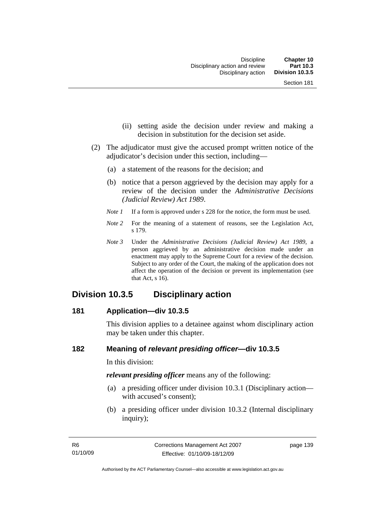- (ii) setting aside the decision under review and making a decision in substitution for the decision set aside.
- (2) The adjudicator must give the accused prompt written notice of the adjudicator's decision under this section, including—
	- (a) a statement of the reasons for the decision; and
	- (b) notice that a person aggrieved by the decision may apply for a review of the decision under the *Administrative Decisions (Judicial Review) Act 1989*.
	- *Note 1* If a form is approved under s 228 for the notice, the form must be used.
	- *Note* 2 For the meaning of a statement of reasons, see the Legislation Act, s 179.
	- *Note 3* Under the *Administrative Decisions (Judicial Review) Act 1989*, a person aggrieved by an administrative decision made under an enactment may apply to the Supreme Court for a review of the decision. Subject to any order of the Court, the making of the application does not affect the operation of the decision or prevent its implementation (see that Act, s 16).

## **Division 10.3.5 Disciplinary action**

#### **181 Application—div 10.3.5**

This division applies to a detainee against whom disciplinary action may be taken under this chapter.

#### **182 Meaning of** *relevant presiding officer***—div 10.3.5**

In this division:

*relevant presiding officer* means any of the following:

- (a) a presiding officer under division 10.3.1 (Disciplinary action with accused's consent);
- (b) a presiding officer under division 10.3.2 (Internal disciplinary inquiry);

page 139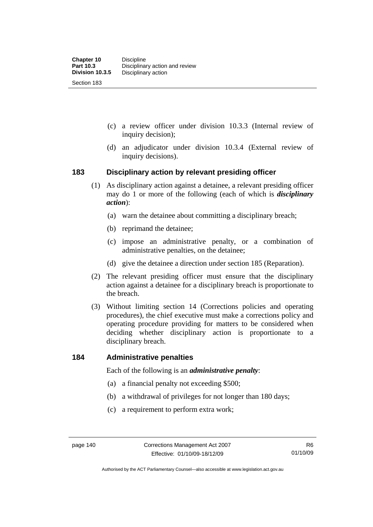- (c) a review officer under division 10.3.3 (Internal review of inquiry decision);
- (d) an adjudicator under division 10.3.4 (External review of inquiry decisions).

#### **183 Disciplinary action by relevant presiding officer**

- (1) As disciplinary action against a detainee, a relevant presiding officer may do 1 or more of the following (each of which is *disciplinary action*):
	- (a) warn the detainee about committing a disciplinary breach;
	- (b) reprimand the detainee;
	- (c) impose an administrative penalty, or a combination of administrative penalties, on the detainee;
	- (d) give the detainee a direction under section 185 (Reparation).
- (2) The relevant presiding officer must ensure that the disciplinary action against a detainee for a disciplinary breach is proportionate to the breach.
- (3) Without limiting section 14 (Corrections policies and operating procedures), the chief executive must make a corrections policy and operating procedure providing for matters to be considered when deciding whether disciplinary action is proportionate to a disciplinary breach.

#### **184 Administrative penalties**

Each of the following is an *administrative penalty*:

- (a) a financial penalty not exceeding \$500;
- (b) a withdrawal of privileges for not longer than 180 days;
- (c) a requirement to perform extra work;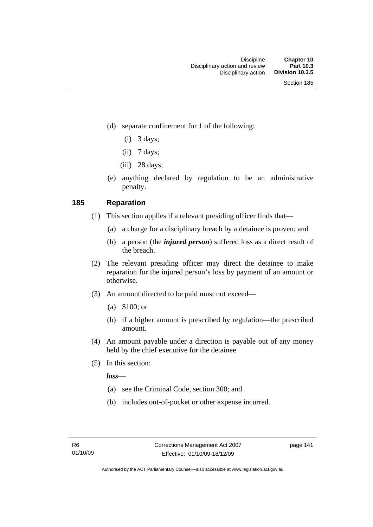- (d) separate confinement for 1 of the following:
	- $(i)$  3 days;
	- $(ii)$  7 days;
	- $(iii)$  28 days;
- (e) anything declared by regulation to be an administrative penalty.

#### **185 Reparation**

- (1) This section applies if a relevant presiding officer finds that—
	- (a) a charge for a disciplinary breach by a detainee is proven; and
	- (b) a person (the *injured person*) suffered loss as a direct result of the breach.
- (2) The relevant presiding officer may direct the detainee to make reparation for the injured person's loss by payment of an amount or otherwise.
- (3) An amount directed to be paid must not exceed—
	- (a) \$100; or
	- (b) if a higher amount is prescribed by regulation—the prescribed amount.
- (4) An amount payable under a direction is payable out of any money held by the chief executive for the detainee.
- (5) In this section:

*loss*—

- (a) see the Criminal Code, section 300; and
- (b) includes out-of-pocket or other expense incurred.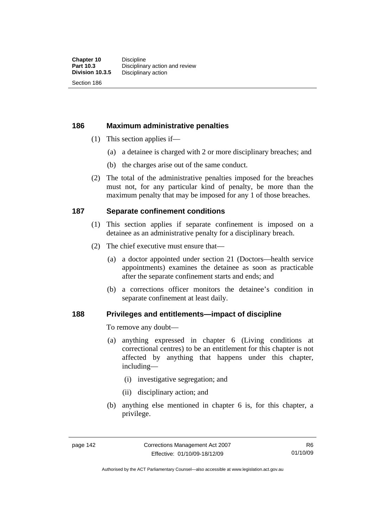#### **186 Maximum administrative penalties**

- (1) This section applies if—
	- (a) a detainee is charged with 2 or more disciplinary breaches; and
	- (b) the charges arise out of the same conduct.
- (2) The total of the administrative penalties imposed for the breaches must not, for any particular kind of penalty, be more than the maximum penalty that may be imposed for any 1 of those breaches.

#### **187 Separate confinement conditions**

- (1) This section applies if separate confinement is imposed on a detainee as an administrative penalty for a disciplinary breach.
- (2) The chief executive must ensure that—
	- (a) a doctor appointed under section 21 (Doctors—health service appointments) examines the detainee as soon as practicable after the separate confinement starts and ends; and
	- (b) a corrections officer monitors the detainee's condition in separate confinement at least daily.

#### **188 Privileges and entitlements—impact of discipline**

To remove any doubt—

- (a) anything expressed in chapter 6 (Living conditions at correctional centres) to be an entitlement for this chapter is not affected by anything that happens under this chapter, including—
	- (i) investigative segregation; and
	- (ii) disciplinary action; and
- (b) anything else mentioned in chapter 6 is, for this chapter, a privilege.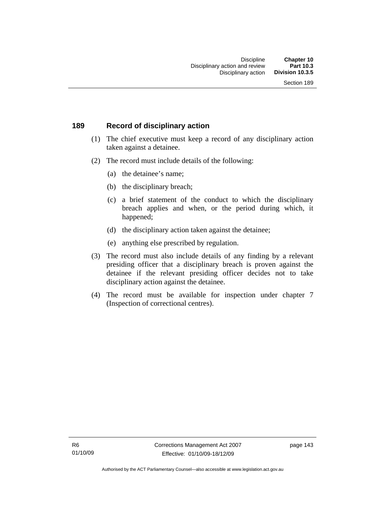#### **189 Record of disciplinary action**

- (1) The chief executive must keep a record of any disciplinary action taken against a detainee.
- (2) The record must include details of the following:
	- (a) the detainee's name;
	- (b) the disciplinary breach;
	- (c) a brief statement of the conduct to which the disciplinary breach applies and when, or the period during which, it happened;
	- (d) the disciplinary action taken against the detainee;
	- (e) anything else prescribed by regulation.
- (3) The record must also include details of any finding by a relevant presiding officer that a disciplinary breach is proven against the detainee if the relevant presiding officer decides not to take disciplinary action against the detainee.
- (4) The record must be available for inspection under chapter 7 (Inspection of correctional centres).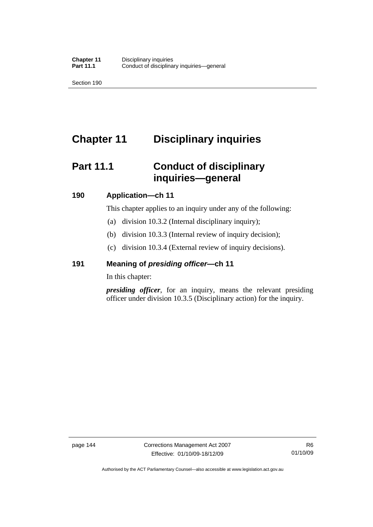# **Chapter 11 Disciplinary inquiries**

# **Part 11.1 Conduct of disciplinary inquiries—general**

#### **190 Application—ch 11**

This chapter applies to an inquiry under any of the following:

- (a) division 10.3.2 (Internal disciplinary inquiry);
- (b) division 10.3.3 (Internal review of inquiry decision);
- (c) division 10.3.4 (External review of inquiry decisions).

## **191 Meaning of** *presiding officer—***ch 11**

In this chapter:

*presiding officer*, for an inquiry, means the relevant presiding officer under division 10.3.5 (Disciplinary action) for the inquiry.

Authorised by the ACT Parliamentary Counsel—also accessible at www.legislation.act.gov.au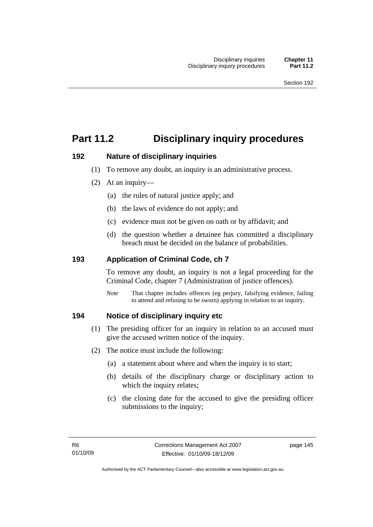# **Part 11.2 Disciplinary inquiry procedures**

#### **192 Nature of disciplinary inquiries**

- (1) To remove any doubt, an inquiry is an administrative process.
- (2) At an inquiry—
	- (a) the rules of natural justice apply; and
	- (b) the laws of evidence do not apply; and
	- (c) evidence must not be given on oath or by affidavit; and
	- (d) the question whether a detainee has committed a disciplinary breach must be decided on the balance of probabilities.

## **193 Application of Criminal Code, ch 7**

To remove any doubt, an inquiry is not a legal proceeding for the Criminal Code, chapter 7 (Administration of justice offences).

*Note* That chapter includes offences (eg perjury, falsifying evidence, failing to attend and refusing to be sworn) applying in relation to an inquiry.

## **194 Notice of disciplinary inquiry etc**

- (1) The presiding officer for an inquiry in relation to an accused must give the accused written notice of the inquiry.
- (2) The notice must include the following:
	- (a) a statement about where and when the inquiry is to start;
	- (b) details of the disciplinary charge or disciplinary action to which the inquiry relates;
	- (c) the closing date for the accused to give the presiding officer submissions to the inquiry;

page 145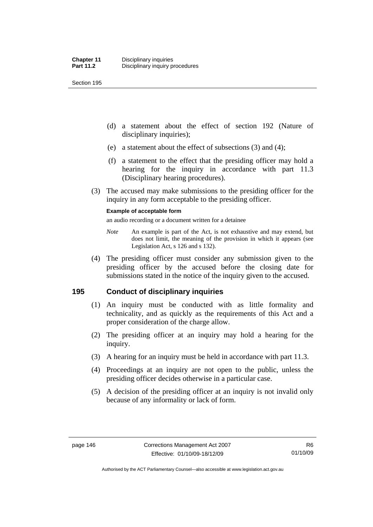- (d) a statement about the effect of section 192 (Nature of disciplinary inquiries);
- (e) a statement about the effect of subsections (3) and (4);
- (f) a statement to the effect that the presiding officer may hold a hearing for the inquiry in accordance with part 11.3 (Disciplinary hearing procedures).
- (3) The accused may make submissions to the presiding officer for the inquiry in any form acceptable to the presiding officer.

#### **Example of acceptable form**

an audio recording or a document written for a detainee

- *Note* An example is part of the Act, is not exhaustive and may extend, but does not limit, the meaning of the provision in which it appears (see Legislation Act, s 126 and s 132).
- (4) The presiding officer must consider any submission given to the presiding officer by the accused before the closing date for submissions stated in the notice of the inquiry given to the accused.

## **195 Conduct of disciplinary inquiries**

- (1) An inquiry must be conducted with as little formality and technicality, and as quickly as the requirements of this Act and a proper consideration of the charge allow.
- (2) The presiding officer at an inquiry may hold a hearing for the inquiry.
- (3) A hearing for an inquiry must be held in accordance with part 11.3.
- (4) Proceedings at an inquiry are not open to the public, unless the presiding officer decides otherwise in a particular case.
- (5) A decision of the presiding officer at an inquiry is not invalid only because of any informality or lack of form.

Authorised by the ACT Parliamentary Counsel—also accessible at www.legislation.act.gov.au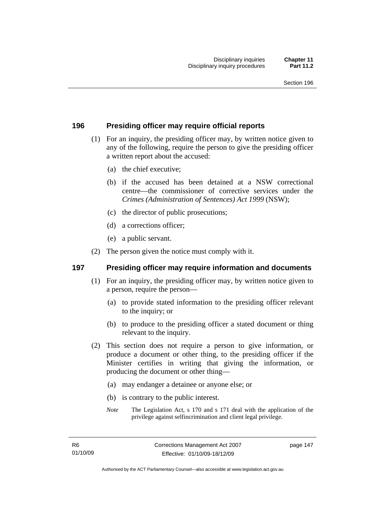#### **196 Presiding officer may require official reports**

- (1) For an inquiry, the presiding officer may, by written notice given to any of the following, require the person to give the presiding officer a written report about the accused:
	- (a) the chief executive;
	- (b) if the accused has been detained at a NSW correctional centre—the commissioner of corrective services under the *Crimes (Administration of Sentences) Act 1999* (NSW);
	- (c) the director of public prosecutions;
	- (d) a corrections officer;
	- (e) a public servant.
- (2) The person given the notice must comply with it.

#### **197 Presiding officer may require information and documents**

- (1) For an inquiry, the presiding officer may, by written notice given to a person, require the person—
	- (a) to provide stated information to the presiding officer relevant to the inquiry; or
	- (b) to produce to the presiding officer a stated document or thing relevant to the inquiry.
- (2) This section does not require a person to give information, or produce a document or other thing, to the presiding officer if the Minister certifies in writing that giving the information, or producing the document or other thing—
	- (a) may endanger a detainee or anyone else; or
	- (b) is contrary to the public interest.
	- *Note* The Legislation Act, s 170 and s 171 deal with the application of the privilege against selfincrimination and client legal privilege.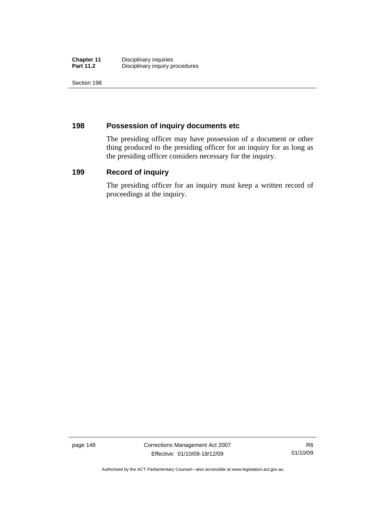| <b>Chapter 11</b> | Disciplinary inquiries          |
|-------------------|---------------------------------|
| <b>Part 11.2</b>  | Disciplinary inquiry procedures |

## **198 Possession of inquiry documents etc**

The presiding officer may have possession of a document or other thing produced to the presiding officer for an inquiry for as long as the presiding officer considers necessary for the inquiry.

#### **199 Record of inquiry**

The presiding officer for an inquiry must keep a written record of proceedings at the inquiry.

page 148 Corrections Management Act 2007 Effective: 01/10/09-18/12/09

Authorised by the ACT Parliamentary Counsel—also accessible at www.legislation.act.gov.au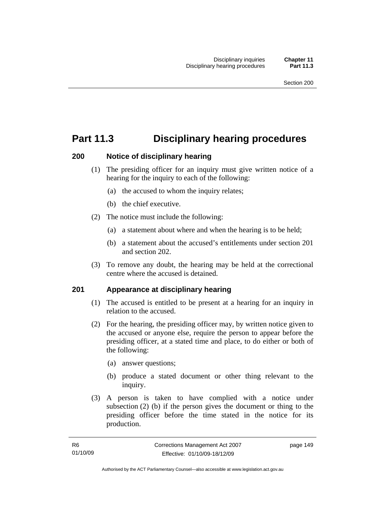# **Part 11.3 Disciplinary hearing procedures**

#### **200 Notice of disciplinary hearing**

- (1) The presiding officer for an inquiry must give written notice of a hearing for the inquiry to each of the following:
	- (a) the accused to whom the inquiry relates;
	- (b) the chief executive.
- (2) The notice must include the following:
	- (a) a statement about where and when the hearing is to be held;
	- (b) a statement about the accused's entitlements under section 201 and section 202.
- (3) To remove any doubt, the hearing may be held at the correctional centre where the accused is detained.

## **201 Appearance at disciplinary hearing**

- (1) The accused is entitled to be present at a hearing for an inquiry in relation to the accused.
- (2) For the hearing, the presiding officer may, by written notice given to the accused or anyone else, require the person to appear before the presiding officer, at a stated time and place, to do either or both of the following:
	- (a) answer questions;
	- (b) produce a stated document or other thing relevant to the inquiry.
- (3) A person is taken to have complied with a notice under subsection (2) (b) if the person gives the document or thing to the presiding officer before the time stated in the notice for its production.

page 149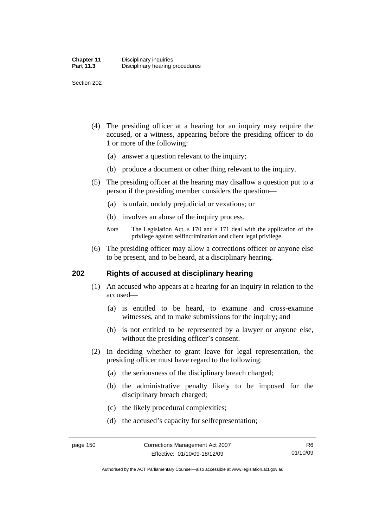- (4) The presiding officer at a hearing for an inquiry may require the accused, or a witness, appearing before the presiding officer to do 1 or more of the following:
	- (a) answer a question relevant to the inquiry;
	- (b) produce a document or other thing relevant to the inquiry.
- (5) The presiding officer at the hearing may disallow a question put to a person if the presiding member considers the question—
	- (a) is unfair, unduly prejudicial or vexatious; or
	- (b) involves an abuse of the inquiry process.
	- *Note* The Legislation Act, s 170 and s 171 deal with the application of the privilege against selfincrimination and client legal privilege.
- (6) The presiding officer may allow a corrections officer or anyone else to be present, and to be heard, at a disciplinary hearing.

#### **202 Rights of accused at disciplinary hearing**

- (1) An accused who appears at a hearing for an inquiry in relation to the accused—
	- (a) is entitled to be heard, to examine and cross-examine witnesses, and to make submissions for the inquiry; and
	- (b) is not entitled to be represented by a lawyer or anyone else, without the presiding officer's consent.
- (2) In deciding whether to grant leave for legal representation, the presiding officer must have regard to the following:
	- (a) the seriousness of the disciplinary breach charged;
	- (b) the administrative penalty likely to be imposed for the disciplinary breach charged;
	- (c) the likely procedural complexities;
	- (d) the accused's capacity for selfrepresentation;

Authorised by the ACT Parliamentary Counsel—also accessible at www.legislation.act.gov.au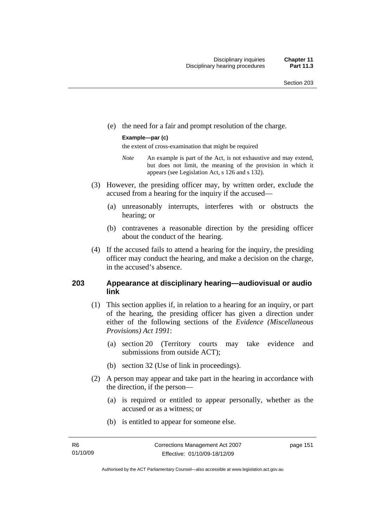(e) the need for a fair and prompt resolution of the charge.

#### **Example—par (c)**

the extent of cross-examination that might be required

- *Note* An example is part of the Act, is not exhaustive and may extend, but does not limit, the meaning of the provision in which it appears (see Legislation Act, s 126 and s 132).
- (3) However, the presiding officer may, by written order, exclude the accused from a hearing for the inquiry if the accused—
	- (a) unreasonably interrupts, interferes with or obstructs the hearing; or
	- (b) contravenes a reasonable direction by the presiding officer about the conduct of the hearing.
- (4) If the accused fails to attend a hearing for the inquiry, the presiding officer may conduct the hearing, and make a decision on the charge, in the accused's absence.

#### **203 Appearance at disciplinary hearing—audiovisual or audio link**

- (1) This section applies if, in relation to a hearing for an inquiry, or part of the hearing, the presiding officer has given a direction under either of the following sections of the *Evidence (Miscellaneous Provisions) Act 1991*:
	- (a) section 20 (Territory courts may take evidence and submissions from outside ACT);
	- (b) section 32 (Use of link in proceedings).
- (2) A person may appear and take part in the hearing in accordance with the direction, if the person—
	- (a) is required or entitled to appear personally, whether as the accused or as a witness; or
	- (b) is entitled to appear for someone else.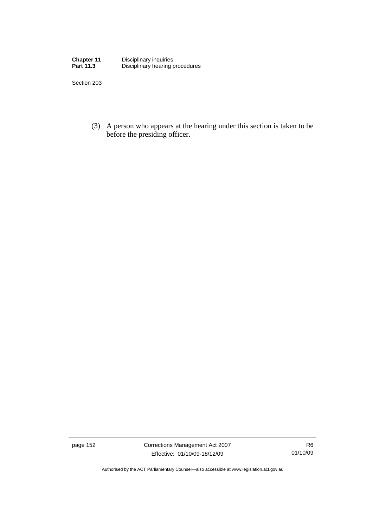| <b>Chapter 11</b> | Disciplinary inquiries          |
|-------------------|---------------------------------|
| <b>Part 11.3</b>  | Disciplinary hearing procedures |

 (3) A person who appears at the hearing under this section is taken to be before the presiding officer.

page 152 Corrections Management Act 2007 Effective: 01/10/09-18/12/09

R6 01/10/09

Authorised by the ACT Parliamentary Counsel—also accessible at www.legislation.act.gov.au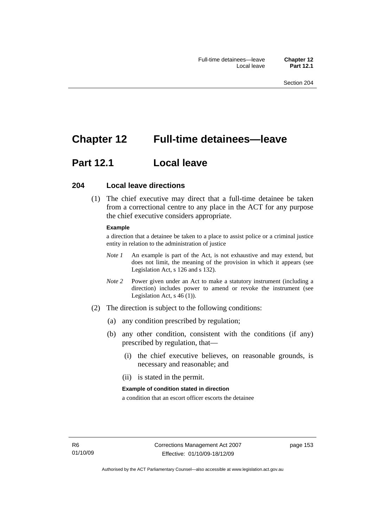# **Chapter 12 Full-time detainees—leave**

# **Part 12.1 Local leave**

#### **204 Local leave directions**

 (1) The chief executive may direct that a full-time detainee be taken from a correctional centre to any place in the ACT for any purpose the chief executive considers appropriate.

#### **Example**

a direction that a detainee be taken to a place to assist police or a criminal justice entity in relation to the administration of justice

- *Note 1* An example is part of the Act, is not exhaustive and may extend, but does not limit, the meaning of the provision in which it appears (see Legislation Act, s 126 and s 132).
- *Note* 2 Power given under an Act to make a statutory instrument (including a direction) includes power to amend or revoke the instrument (see Legislation Act, s 46 (1)).
- (2) The direction is subject to the following conditions:
	- (a) any condition prescribed by regulation;
	- (b) any other condition, consistent with the conditions (if any) prescribed by regulation, that—
		- (i) the chief executive believes, on reasonable grounds, is necessary and reasonable; and
		- (ii) is stated in the permit.

#### **Example of condition stated in direction**

a condition that an escort officer escorts the detainee

page 153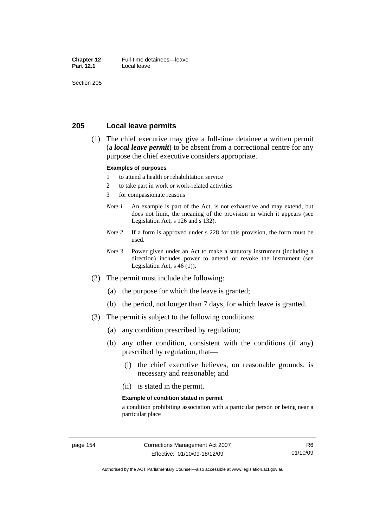#### **Chapter 12** Full-time detainees—leave<br>**Part 12.1** Local leave **Local leave**

Section 205

#### **205 Local leave permits**

 (1) The chief executive may give a full-time detainee a written permit (a *local leave permit*) to be absent from a correctional centre for any purpose the chief executive considers appropriate.

#### **Examples of purposes**

- 1 to attend a health or rehabilitation service
- 2 to take part in work or work-related activities
- 3 for compassionate reasons
- *Note 1* An example is part of the Act, is not exhaustive and may extend, but does not limit, the meaning of the provision in which it appears (see Legislation Act, s 126 and s 132).
- *Note* 2 If a form is approved under s 228 for this provision, the form must be used.
- *Note 3* Power given under an Act to make a statutory instrument (including a direction) includes power to amend or revoke the instrument (see Legislation Act, s 46 (1)).
- (2) The permit must include the following:
	- (a) the purpose for which the leave is granted;
	- (b) the period, not longer than 7 days, for which leave is granted.
- (3) The permit is subject to the following conditions:
	- (a) any condition prescribed by regulation;
	- (b) any other condition, consistent with the conditions (if any) prescribed by regulation, that—
		- (i) the chief executive believes, on reasonable grounds, is necessary and reasonable; and
		- (ii) is stated in the permit.

#### **Example of condition stated in permit**

a condition prohibiting association with a particular person or being near a particular place

Authorised by the ACT Parliamentary Counsel—also accessible at www.legislation.act.gov.au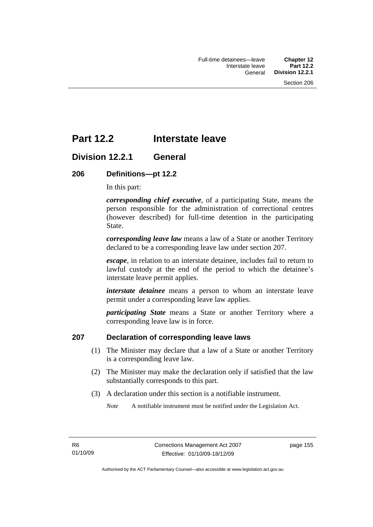# **Part 12.2 Interstate leave**

## **Division 12.2.1 General**

#### **206 Definitions—pt 12.2**

In this part:

*corresponding chief executive*, of a participating State, means the person responsible for the administration of correctional centres (however described) for full-time detention in the participating State.

*corresponding leave law* means a law of a State or another Territory declared to be a corresponding leave law under section 207.

*escape*, in relation to an interstate detainee, includes fail to return to lawful custody at the end of the period to which the detainee's interstate leave permit applies.

*interstate detainee* means a person to whom an interstate leave permit under a corresponding leave law applies.

*participating State* means a State or another Territory where a corresponding leave law is in force.

#### **207 Declaration of corresponding leave laws**

- (1) The Minister may declare that a law of a State or another Territory is a corresponding leave law.
- (2) The Minister may make the declaration only if satisfied that the law substantially corresponds to this part.
- (3) A declaration under this section is a notifiable instrument.

*Note* A notifiable instrument must be notified under the Legislation Act.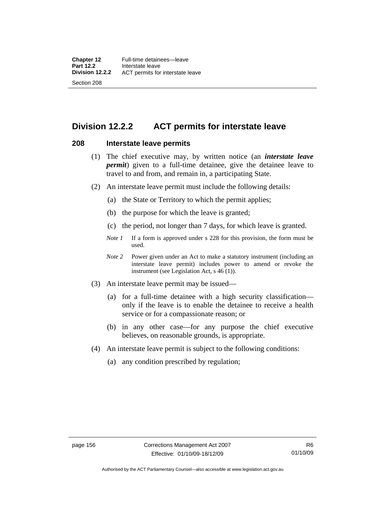# **Division 12.2.2 ACT permits for interstate leave**

#### **208 Interstate leave permits**

- (1) The chief executive may, by written notice (an *interstate leave permit*) given to a full-time detainee, give the detainee leave to travel to and from, and remain in, a participating State.
- (2) An interstate leave permit must include the following details:
	- (a) the State or Territory to which the permit applies;
	- (b) the purpose for which the leave is granted;
	- (c) the period, not longer than 7 days, for which leave is granted.
	- *Note 1* If a form is approved under s 228 for this provision, the form must be used.
	- *Note 2* Power given under an Act to make a statutory instrument (including an interstate leave permit) includes power to amend or revoke the instrument (see Legislation Act, s 46 (1)).
- (3) An interstate leave permit may be issued—
	- (a) for a full-time detainee with a high security classification only if the leave is to enable the detainee to receive a health service or for a compassionate reason; or
	- (b) in any other case—for any purpose the chief executive believes, on reasonable grounds, is appropriate.
- (4) An interstate leave permit is subject to the following conditions:
	- (a) any condition prescribed by regulation;

Authorised by the ACT Parliamentary Counsel—also accessible at www.legislation.act.gov.au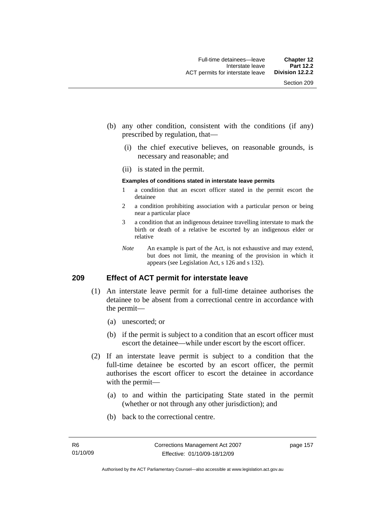- (b) any other condition, consistent with the conditions (if any) prescribed by regulation, that—
	- (i) the chief executive believes, on reasonable grounds, is necessary and reasonable; and
	- (ii) is stated in the permit.

#### **Examples of conditions stated in interstate leave permits**

- 1 a condition that an escort officer stated in the permit escort the detainee
- 2 a condition prohibiting association with a particular person or being near a particular place
- 3 a condition that an indigenous detainee travelling interstate to mark the birth or death of a relative be escorted by an indigenous elder or relative
- *Note* An example is part of the Act, is not exhaustive and may extend, but does not limit, the meaning of the provision in which it appears (see Legislation Act, s 126 and s 132).

#### **209 Effect of ACT permit for interstate leave**

- (1) An interstate leave permit for a full-time detainee authorises the detainee to be absent from a correctional centre in accordance with the permit—
	- (a) unescorted; or
	- (b) if the permit is subject to a condition that an escort officer must escort the detainee—while under escort by the escort officer.
- (2) If an interstate leave permit is subject to a condition that the full-time detainee be escorted by an escort officer, the permit authorises the escort officer to escort the detainee in accordance with the permit—
	- (a) to and within the participating State stated in the permit (whether or not through any other jurisdiction); and
	- (b) back to the correctional centre.

page 157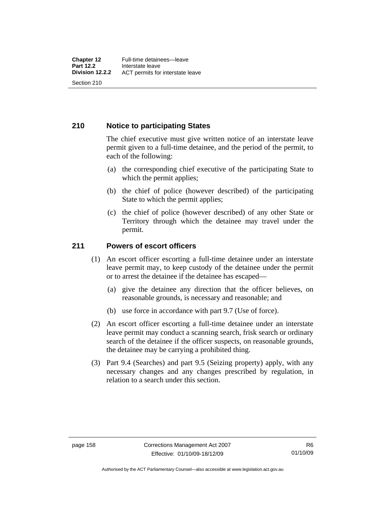#### **210 Notice to participating States**

The chief executive must give written notice of an interstate leave permit given to a full-time detainee, and the period of the permit, to each of the following:

- (a) the corresponding chief executive of the participating State to which the permit applies;
- (b) the chief of police (however described) of the participating State to which the permit applies;
- (c) the chief of police (however described) of any other State or Territory through which the detainee may travel under the permit.

#### **211 Powers of escort officers**

- (1) An escort officer escorting a full-time detainee under an interstate leave permit may, to keep custody of the detainee under the permit or to arrest the detainee if the detainee has escaped—
	- (a) give the detainee any direction that the officer believes, on reasonable grounds, is necessary and reasonable; and
	- (b) use force in accordance with part 9.7 (Use of force).
- (2) An escort officer escorting a full-time detainee under an interstate leave permit may conduct a scanning search, frisk search or ordinary search of the detainee if the officer suspects, on reasonable grounds, the detainee may be carrying a prohibited thing.
- (3) Part 9.4 (Searches) and part 9.5 (Seizing property) apply, with any necessary changes and any changes prescribed by regulation, in relation to a search under this section.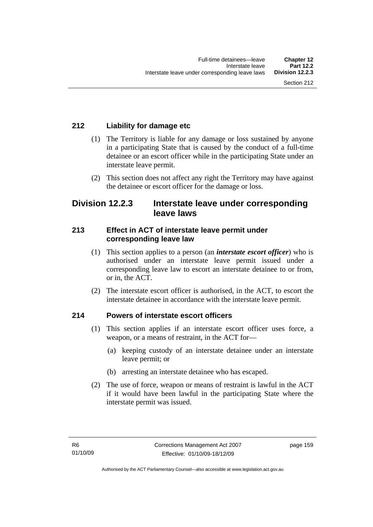## **212 Liability for damage etc**

- (1) The Territory is liable for any damage or loss sustained by anyone in a participating State that is caused by the conduct of a full-time detainee or an escort officer while in the participating State under an interstate leave permit.
- (2) This section does not affect any right the Territory may have against the detainee or escort officer for the damage or loss.

## **Division 12.2.3 Interstate leave under corresponding leave laws**

#### **213 Effect in ACT of interstate leave permit under corresponding leave law**

- (1) This section applies to a person (an *interstate escort officer*) who is authorised under an interstate leave permit issued under a corresponding leave law to escort an interstate detainee to or from, or in, the ACT.
- (2) The interstate escort officer is authorised, in the ACT, to escort the interstate detainee in accordance with the interstate leave permit.

## **214 Powers of interstate escort officers**

- (1) This section applies if an interstate escort officer uses force, a weapon, or a means of restraint, in the ACT for—
	- (a) keeping custody of an interstate detainee under an interstate leave permit; or
	- (b) arresting an interstate detainee who has escaped.
- (2) The use of force, weapon or means of restraint is lawful in the ACT if it would have been lawful in the participating State where the interstate permit was issued.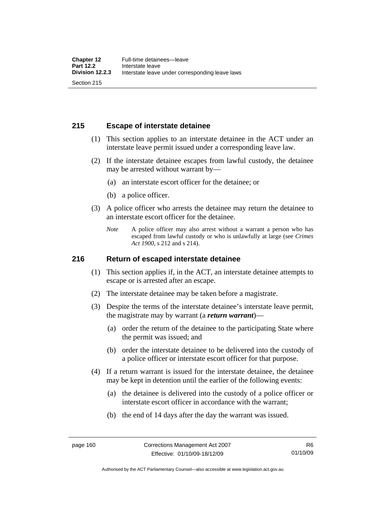## **215 Escape of interstate detainee**

- (1) This section applies to an interstate detainee in the ACT under an interstate leave permit issued under a corresponding leave law.
- (2) If the interstate detainee escapes from lawful custody, the detainee may be arrested without warrant by—
	- (a) an interstate escort officer for the detainee; or
	- (b) a police officer.
- (3) A police officer who arrests the detainee may return the detainee to an interstate escort officer for the detainee.
	- *Note* A police officer may also arrest without a warrant a person who has escaped from lawful custody or who is unlawfully at large (see *Crimes Act 1900*, s 212 and s 214).

#### **216 Return of escaped interstate detainee**

- (1) This section applies if, in the ACT, an interstate detainee attempts to escape or is arrested after an escape.
- (2) The interstate detainee may be taken before a magistrate.
- (3) Despite the terms of the interstate detainee's interstate leave permit, the magistrate may by warrant (a *return warrant*)—
	- (a) order the return of the detainee to the participating State where the permit was issued; and
	- (b) order the interstate detainee to be delivered into the custody of a police officer or interstate escort officer for that purpose.
- (4) If a return warrant is issued for the interstate detainee, the detainee may be kept in detention until the earlier of the following events:
	- (a) the detainee is delivered into the custody of a police officer or interstate escort officer in accordance with the warrant;
	- (b) the end of 14 days after the day the warrant was issued.

Authorised by the ACT Parliamentary Counsel—also accessible at www.legislation.act.gov.au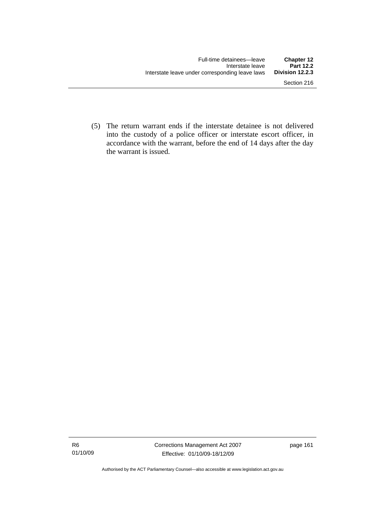(5) The return warrant ends if the interstate detainee is not delivered into the custody of a police officer or interstate escort officer, in accordance with the warrant, before the end of 14 days after the day the warrant is issued.

Authorised by the ACT Parliamentary Counsel—also accessible at www.legislation.act.gov.au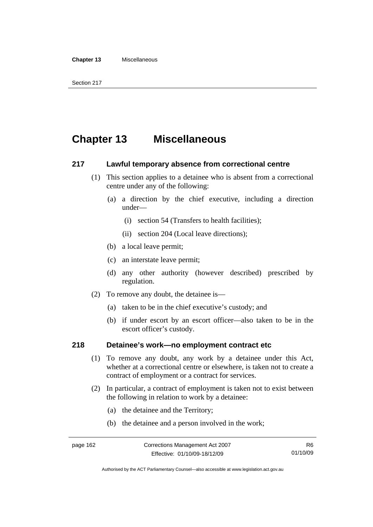# **Chapter 13 Miscellaneous**

#### **217 Lawful temporary absence from correctional centre**

- (1) This section applies to a detainee who is absent from a correctional centre under any of the following:
	- (a) a direction by the chief executive, including a direction under—
		- (i) section 54 (Transfers to health facilities);
		- (ii) section 204 (Local leave directions);
	- (b) a local leave permit;
	- (c) an interstate leave permit;
	- (d) any other authority (however described) prescribed by regulation.
- (2) To remove any doubt, the detainee is—
	- (a) taken to be in the chief executive's custody; and
	- (b) if under escort by an escort officer—also taken to be in the escort officer's custody.

#### **218 Detainee's work—no employment contract etc**

- (1) To remove any doubt, any work by a detainee under this Act, whether at a correctional centre or elsewhere, is taken not to create a contract of employment or a contract for services.
- (2) In particular, a contract of employment is taken not to exist between the following in relation to work by a detainee:
	- (a) the detainee and the Territory;
	- (b) the detainee and a person involved in the work;

Authorised by the ACT Parliamentary Counsel—also accessible at www.legislation.act.gov.au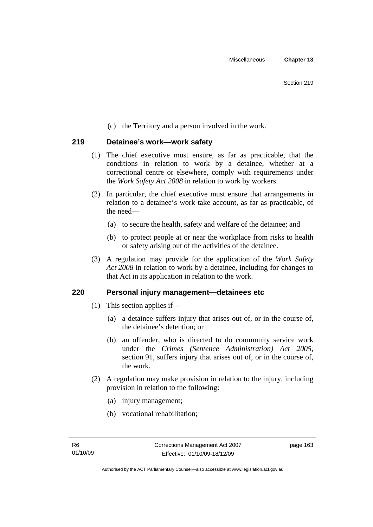(c) the Territory and a person involved in the work.

## **219 Detainee's work—work safety**

- (1) The chief executive must ensure, as far as practicable, that the conditions in relation to work by a detainee, whether at a correctional centre or elsewhere, comply with requirements under the *Work Safety Act 2008* in relation to work by workers.
- (2) In particular, the chief executive must ensure that arrangements in relation to a detainee's work take account, as far as practicable, of the need—
	- (a) to secure the health, safety and welfare of the detainee; and
	- (b) to protect people at or near the workplace from risks to health or safety arising out of the activities of the detainee.
- (3) A regulation may provide for the application of the *Work Safety Act 2008* in relation to work by a detainee, including for changes to that Act in its application in relation to the work.

## **220 Personal injury management—detainees etc**

- (1) This section applies if—
	- (a) a detainee suffers injury that arises out of, or in the course of, the detainee's detention; or
	- (b) an offender, who is directed to do community service work under the *Crimes (Sentence Administration) Act 2005*, section 91, suffers injury that arises out of, or in the course of, the work.
- (2) A regulation may make provision in relation to the injury, including provision in relation to the following:
	- (a) injury management;
	- (b) vocational rehabilitation;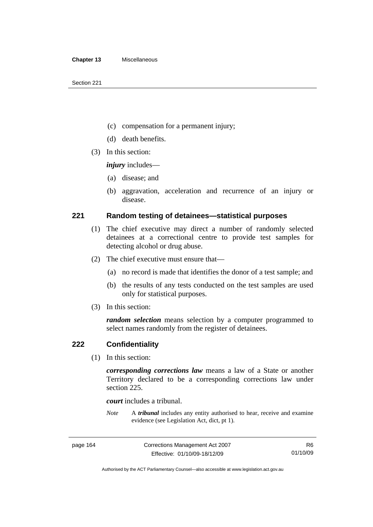- (c) compensation for a permanent injury;
- (d) death benefits.
- (3) In this section:

*injury* includes—

- (a) disease; and
- (b) aggravation, acceleration and recurrence of an injury or disease.

#### **221 Random testing of detainees—statistical purposes**

- (1) The chief executive may direct a number of randomly selected detainees at a correctional centre to provide test samples for detecting alcohol or drug abuse.
- (2) The chief executive must ensure that—
	- (a) no record is made that identifies the donor of a test sample; and
	- (b) the results of any tests conducted on the test samples are used only for statistical purposes.
- (3) In this section:

*random selection* means selection by a computer programmed to select names randomly from the register of detainees.

#### **222 Confidentiality**

(1) In this section:

*corresponding corrections law* means a law of a State or another Territory declared to be a corresponding corrections law under section 225.

*court* includes a tribunal.

*Note* A *tribunal* includes any entity authorised to hear, receive and examine evidence (see Legislation Act, dict, pt 1).

Authorised by the ACT Parliamentary Counsel—also accessible at www.legislation.act.gov.au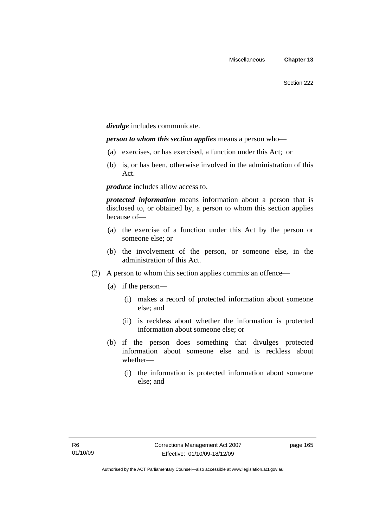*divulge* includes communicate.

*person to whom this section applies* means a person who—

- (a) exercises, or has exercised, a function under this Act; or
- (b) is, or has been, otherwise involved in the administration of this Act.

*produce* includes allow access to.

*protected information* means information about a person that is disclosed to, or obtained by, a person to whom this section applies because of—

- (a) the exercise of a function under this Act by the person or someone else; or
- (b) the involvement of the person, or someone else, in the administration of this Act.
- (2) A person to whom this section applies commits an offence—
	- (a) if the person—
		- (i) makes a record of protected information about someone else; and
		- (ii) is reckless about whether the information is protected information about someone else; or
	- (b) if the person does something that divulges protected information about someone else and is reckless about whether—
		- (i) the information is protected information about someone else; and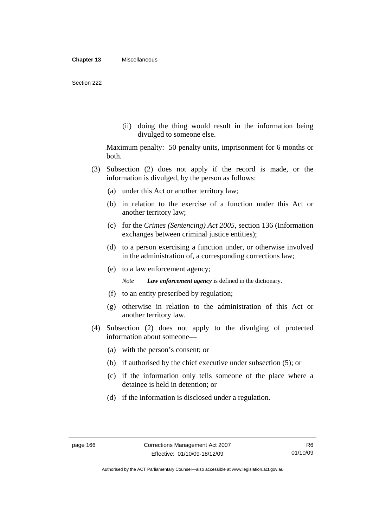(ii) doing the thing would result in the information being divulged to someone else.

Maximum penalty: 50 penalty units, imprisonment for 6 months or both.

- (3) Subsection (2) does not apply if the record is made, or the information is divulged, by the person as follows:
	- (a) under this Act or another territory law;
	- (b) in relation to the exercise of a function under this Act or another territory law;
	- (c) for the *Crimes (Sentencing) Act 2005*, section 136 (Information exchanges between criminal justice entities);
	- (d) to a person exercising a function under, or otherwise involved in the administration of, a corresponding corrections law;
	- (e) to a law enforcement agency;

*Note Law enforcement agency* is defined in the dictionary.

- (f) to an entity prescribed by regulation;
- (g) otherwise in relation to the administration of this Act or another territory law.
- (4) Subsection (2) does not apply to the divulging of protected information about someone—
	- (a) with the person's consent; or
	- (b) if authorised by the chief executive under subsection (5); or
	- (c) if the information only tells someone of the place where a detainee is held in detention; or
	- (d) if the information is disclosed under a regulation.

Authorised by the ACT Parliamentary Counsel—also accessible at www.legislation.act.gov.au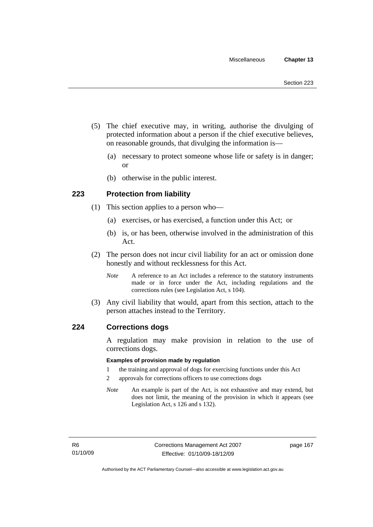- (5) The chief executive may, in writing, authorise the divulging of protected information about a person if the chief executive believes, on reasonable grounds, that divulging the information is—
	- (a) necessary to protect someone whose life or safety is in danger; or
	- (b) otherwise in the public interest.

## **223 Protection from liability**

- (1) This section applies to a person who—
	- (a) exercises, or has exercised, a function under this Act; or
	- (b) is, or has been, otherwise involved in the administration of this Act.
- (2) The person does not incur civil liability for an act or omission done honestly and without recklessness for this Act.
	- *Note* A reference to an Act includes a reference to the statutory instruments made or in force under the Act, including regulations and the corrections rules (see Legislation Act, s 104).
- (3) Any civil liability that would, apart from this section, attach to the person attaches instead to the Territory.

#### **224 Corrections dogs**

A regulation may make provision in relation to the use of corrections dogs.

#### **Examples of provision made by regulation**

- 1 the training and approval of dogs for exercising functions under this Act
- 2 approvals for corrections officers to use corrections dogs
- *Note* An example is part of the Act, is not exhaustive and may extend, but does not limit, the meaning of the provision in which it appears (see Legislation Act, s 126 and s 132).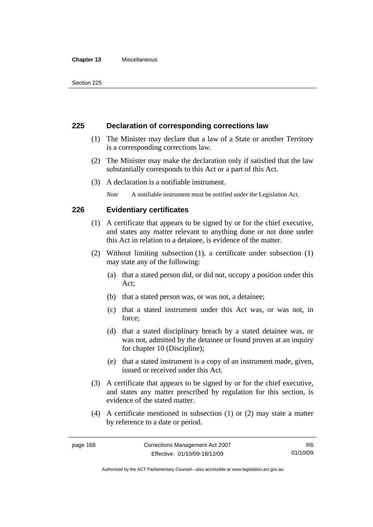#### **Chapter 13** Miscellaneous

## **225 Declaration of corresponding corrections law**

- (1) The Minister may declare that a law of a State or another Territory is a corresponding corrections law.
- (2) The Minister may make the declaration only if satisfied that the law substantially corresponds to this Act or a part of this Act.
- (3) A declaration is a notifiable instrument.

*Note* A notifiable instrument must be notified under the Legislation Act.

## **226 Evidentiary certificates**

- (1) A certificate that appears to be signed by or for the chief executive, and states any matter relevant to anything done or not done under this Act in relation to a detainee, is evidence of the matter.
- (2) Without limiting subsection (1), a certificate under subsection (1) may state any of the following:
	- (a) that a stated person did, or did not, occupy a position under this Act;
	- (b) that a stated person was, or was not, a detainee;
	- (c) that a stated instrument under this Act was, or was not, in force;
	- (d) that a stated disciplinary breach by a stated detainee was, or was not, admitted by the detainee or found proven at an inquiry for chapter 10 (Discipline);
	- (e) that a stated instrument is a copy of an instrument made, given, issued or received under this Act.
- (3) A certificate that appears to be signed by or for the chief executive, and states any matter prescribed by regulation for this section, is evidence of the stated matter.
- (4) A certificate mentioned in subsection (1) or (2) may state a matter by reference to a date or period.

Authorised by the ACT Parliamentary Counsel—also accessible at www.legislation.act.gov.au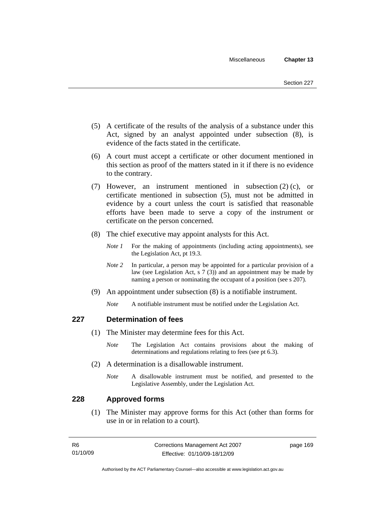- (5) A certificate of the results of the analysis of a substance under this Act, signed by an analyst appointed under subsection (8), is evidence of the facts stated in the certificate.
- (6) A court must accept a certificate or other document mentioned in this section as proof of the matters stated in it if there is no evidence to the contrary.
- (7) However, an instrument mentioned in subsection (2) (c), or certificate mentioned in subsection (5), must not be admitted in evidence by a court unless the court is satisfied that reasonable efforts have been made to serve a copy of the instrument or certificate on the person concerned.
- (8) The chief executive may appoint analysts for this Act.
	- *Note 1* For the making of appointments (including acting appointments), see the Legislation Act, pt 19.3.
	- *Note* 2 In particular, a person may be appointed for a particular provision of a law (see Legislation Act, s 7 (3)) and an appointment may be made by naming a person or nominating the occupant of a position (see s 207).
- (9) An appointment under subsection (8) is a notifiable instrument.

*Note* A notifiable instrument must be notified under the Legislation Act.

## **227 Determination of fees**

- (1) The Minister may determine fees for this Act.
	- *Note* The Legislation Act contains provisions about the making of determinations and regulations relating to fees (see pt 6.3).
- (2) A determination is a disallowable instrument.
	- *Note* A disallowable instrument must be notified, and presented to the Legislative Assembly, under the Legislation Act.

## **228 Approved forms**

 (1) The Minister may approve forms for this Act (other than forms for use in or in relation to a court).

| -R6      | Corrections Management Act 2007 | page 169 |
|----------|---------------------------------|----------|
| 01/10/09 | Effective: 01/10/09-18/12/09    |          |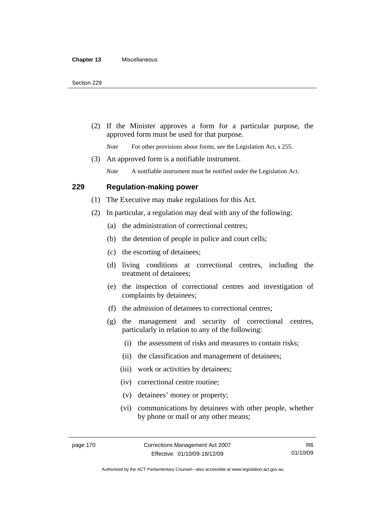(2) If the Minister approves a form for a particular purpose, the approved form must be used for that purpose.

*Note* For other provisions about forms, see the Legislation Act, s 255.

(3) An approved form is a notifiable instrument.

*Note* A notifiable instrument must be notified under the Legislation Act.

#### **229 Regulation-making power**

(1) The Executive may make regulations for this Act.

- (2) In particular, a regulation may deal with any of the following:
	- (a) the administration of correctional centres;
	- (b) the detention of people in police and court cells;
	- (c) the escorting of detainees;
	- (d) living conditions at correctional centres, including the treatment of detainees;
	- (e) the inspection of correctional centres and investigation of complaints by detainees;
	- (f) the admission of detainees to correctional centres;
	- (g) the management and security of correctional centres, particularly in relation to any of the following:
		- (i) the assessment of risks and measures to contain risks;
		- (ii) the classification and management of detainees;
		- (iii) work or activities by detainees;
		- (iv) correctional centre routine;
		- (v) detainees' money or property;
		- (vi) communications by detainees with other people, whether by phone or mail or any other means;

Authorised by the ACT Parliamentary Counsel—also accessible at www.legislation.act.gov.au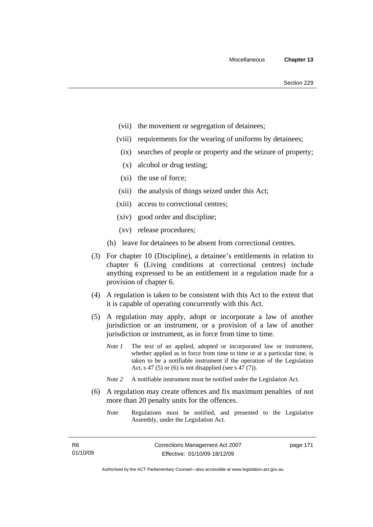- (vii) the movement or segregation of detainees;
- (viii) requirements for the wearing of uniforms by detainees;
- (ix) searches of people or property and the seizure of property;
- (x) alcohol or drug testing;
- (xi) the use of force;
- (xii) the analysis of things seized under this Act;
- (xiii) access to correctional centres;
- (xiv) good order and discipline;
- (xv) release procedures;
- (h) leave for detainees to be absent from correctional centres.
- (3) For chapter 10 (Discipline), a detainee's entitlements in relation to chapter 6 (Living conditions at correctional centres) include anything expressed to be an entitlement in a regulation made for a provision of chapter 6.
- (4) A regulation is taken to be consistent with this Act to the extent that it is capable of operating concurrently with this Act.
- (5) A regulation may apply, adopt or incorporate a law of another jurisdiction or an instrument, or a provision of a law of another jurisdiction or instrument, as in force from time to time.
	- *Note 1* The text of an applied, adopted or incorporated law or instrument, whether applied as in force from time to time or at a particular time, is taken to be a notifiable instrument if the operation of the Legislation Act, s 47 (5) or (6) is not disapplied (see s 47 (7)).
	- *Note 2* A notifiable instrument must be notified under the Legislation Act.
- (6) A regulation may create offences and fix maximum penalties of not more than 20 penalty units for the offences.
	- *Note* Regulations must be notified, and presented to the Legislative Assembly, under the Legislation Act.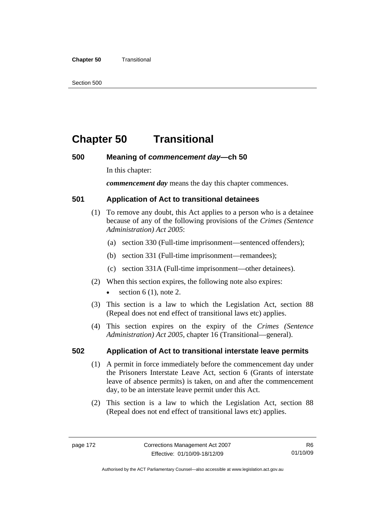#### **Chapter 50 Transitional**

Section 500

# **Chapter 50 Transitional**

## **500 Meaning of** *commencement day***—ch 50**

In this chapter:

*commencement day* means the day this chapter commences.

## **501 Application of Act to transitional detainees**

- (1) To remove any doubt, this Act applies to a person who is a detainee because of any of the following provisions of the *Crimes (Sentence Administration) Act 2005*:
	- (a) section 330 (Full-time imprisonment—sentenced offenders);
	- (b) section 331 (Full-time imprisonment—remandees);
	- (c) section 331A (Full-time imprisonment—other detainees).
- (2) When this section expires, the following note also expires:
	- section  $6(1)$ , note 2.
- (3) This section is a law to which the Legislation Act, section 88 (Repeal does not end effect of transitional laws etc) applies.
- (4) This section expires on the expiry of the *Crimes (Sentence Administration) Act 2005,* chapter 16 (Transitional—general).

## **502 Application of Act to transitional interstate leave permits**

- (1) A permit in force immediately before the commencement day under the Prisoners Interstate Leave Act, section 6 (Grants of interstate leave of absence permits) is taken, on and after the commencement day, to be an interstate leave permit under this Act.
- (2) This section is a law to which the Legislation Act, section 88 (Repeal does not end effect of transitional laws etc) applies.

Authorised by the ACT Parliamentary Counsel—also accessible at www.legislation.act.gov.au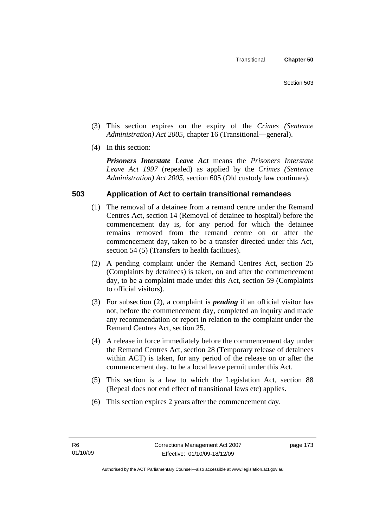- (3) This section expires on the expiry of the *Crimes (Sentence Administration) Act 2005,* chapter 16 (Transitional—general).
- (4) In this section:

*Prisoners Interstate Leave Act* means the *Prisoners Interstate Leave Act 1997* (repealed) as applied by the *Crimes (Sentence Administration) Act 2005*, section 605 (Old custody law continues).

# **503 Application of Act to certain transitional remandees**

- (1) The removal of a detainee from a remand centre under the Remand Centres Act, section 14 (Removal of detainee to hospital) before the commencement day is, for any period for which the detainee remains removed from the remand centre on or after the commencement day, taken to be a transfer directed under this Act, section 54 (5) (Transfers to health facilities).
- (2) A pending complaint under the Remand Centres Act, section 25 (Complaints by detainees) is taken, on and after the commencement day, to be a complaint made under this Act, section 59 (Complaints to official visitors).
- (3) For subsection (2), a complaint is *pending* if an official visitor has not, before the commencement day, completed an inquiry and made any recommendation or report in relation to the complaint under the Remand Centres Act, section 25.
- (4) A release in force immediately before the commencement day under the Remand Centres Act, section 28 (Temporary release of detainees within ACT) is taken, for any period of the release on or after the commencement day, to be a local leave permit under this Act.
- (5) This section is a law to which the Legislation Act, section 88 (Repeal does not end effect of transitional laws etc) applies.
- (6) This section expires 2 years after the commencement day.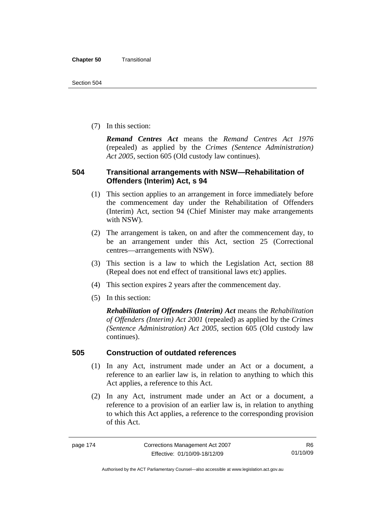(7) In this section:

*Remand Centres Act* means the *Remand Centres Act 1976*  (repealed) as applied by the *Crimes (Sentence Administration) Act 2005*, section 605 (Old custody law continues).

## **504 Transitional arrangements with NSW—Rehabilitation of Offenders (Interim) Act, s 94**

- (1) This section applies to an arrangement in force immediately before the commencement day under the Rehabilitation of Offenders (Interim) Act, section 94 (Chief Minister may make arrangements with NSW).
- (2) The arrangement is taken, on and after the commencement day, to be an arrangement under this Act, section 25 (Correctional centres—arrangements with NSW).
- (3) This section is a law to which the Legislation Act, section 88 (Repeal does not end effect of transitional laws etc) applies.
- (4) This section expires 2 years after the commencement day.
- (5) In this section:

*Rehabilitation of Offenders (Interim) Act* means the *Rehabilitation of Offenders (Interim) Act 2001* (repealed) as applied by the *Crimes (Sentence Administration) Act 2005*, section 605 (Old custody law continues).

## **505 Construction of outdated references**

- (1) In any Act, instrument made under an Act or a document, a reference to an earlier law is, in relation to anything to which this Act applies, a reference to this Act.
- (2) In any Act, instrument made under an Act or a document, a reference to a provision of an earlier law is, in relation to anything to which this Act applies, a reference to the corresponding provision of this Act.

R6 01/10/09

Authorised by the ACT Parliamentary Counsel—also accessible at www.legislation.act.gov.au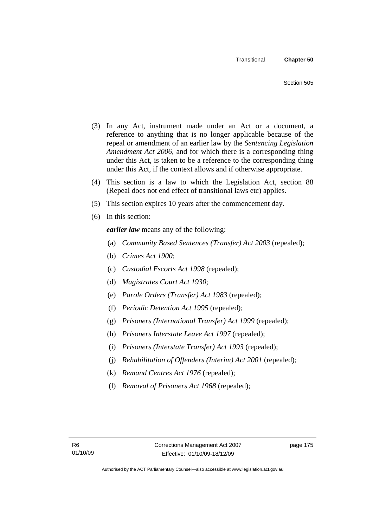- (3) In any Act, instrument made under an Act or a document, a reference to anything that is no longer applicable because of the repeal or amendment of an earlier law by the *Sentencing Legislation Amendment Act 2006*, and for which there is a corresponding thing under this Act, is taken to be a reference to the corresponding thing under this Act, if the context allows and if otherwise appropriate.
- (4) This section is a law to which the Legislation Act, section 88 (Repeal does not end effect of transitional laws etc) applies.
- (5) This section expires 10 years after the commencement day.
- (6) In this section:

*earlier law* means any of the following:

- (a) *Community Based Sentences (Transfer) Act 2003* (repealed);
- (b) *Crimes Act 1900*;
- (c) *Custodial Escorts Act 1998* (repealed);
- (d) *Magistrates Court Act 1930*;
- (e) *Parole Orders (Transfer) Act 1983* (repealed);
- (f) *Periodic Detention Act 1995* (repealed);
- (g) *Prisoners (International Transfer) Act 1999* (repealed);
- (h) *Prisoners Interstate Leave Act 1997* (repealed);
- (i) *Prisoners (Interstate Transfer) Act 1993* (repealed);
- (j) *Rehabilitation of Offenders (Interim) Act 2001* (repealed);
- (k) *Remand Centres Act 1976* (repealed);
- (l) *Removal of Prisoners Act 1968* (repealed);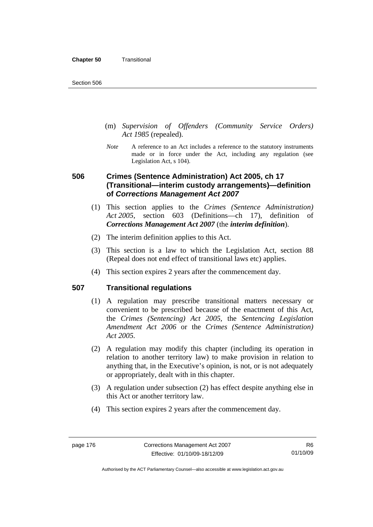- (m) *Supervision of Offenders (Community Service Orders) Act 1985* (repealed).
- *Note* A reference to an Act includes a reference to the statutory instruments made or in force under the Act, including any regulation (see Legislation Act, s 104).

# **506 Crimes (Sentence Administration) Act 2005, ch 17 (Transitional—interim custody arrangements)—definition of** *Corrections Management Act 2007*

- (1) This section applies to the *Crimes (Sentence Administration) Act 2005*, section 603 (Definitions—ch 17), definition of *Corrections Management Act 2007* (the *interim definition*).
- (2) The interim definition applies to this Act.
- (3) This section is a law to which the Legislation Act, section 88 (Repeal does not end effect of transitional laws etc) applies.
- (4) This section expires 2 years after the commencement day.

## **507 Transitional regulations**

- (1) A regulation may prescribe transitional matters necessary or convenient to be prescribed because of the enactment of this Act, the *Crimes (Sentencing) Act 2005*, the *Sentencing Legislation Amendment Act 2006* or the *Crimes (Sentence Administration) Act 2005.*
- (2) A regulation may modify this chapter (including its operation in relation to another territory law) to make provision in relation to anything that, in the Executive's opinion, is not, or is not adequately or appropriately, dealt with in this chapter.
- (3) A regulation under subsection (2) has effect despite anything else in this Act or another territory law.
- (4) This section expires 2 years after the commencement day.

Authorised by the ACT Parliamentary Counsel—also accessible at www.legislation.act.gov.au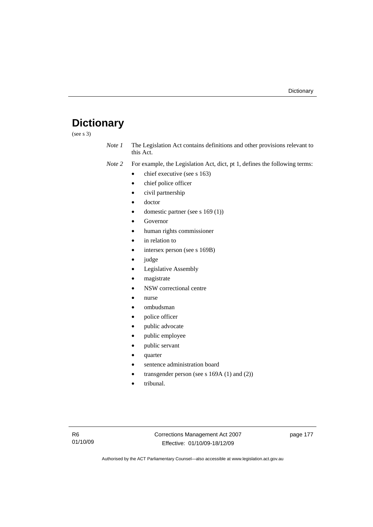# **Dictionary**

(see s 3)

*Note 1* The Legislation Act contains definitions and other provisions relevant to this Act.

*Note 2* For example, the Legislation Act, dict, pt 1, defines the following terms:

- chief executive (see s 163)
- chief police officer
- civil partnership
- doctor
- domestic partner (see s 169 (1))
- **Governor**
- human rights commissioner
- in relation to
- intersex person (see s 169B)
- judge
- Legislative Assembly
- magistrate
- NSW correctional centre
- nurse
- ombudsman
- police officer
- public advocate
- public employee
- public servant
- quarter
- sentence administration board
- transgender person (see s  $169A(1)$  and  $(2)$ )
- tribunal.

page 177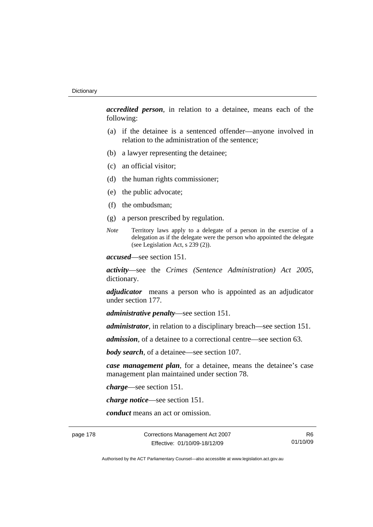*accredited person*, in relation to a detainee, means each of the following:

- (a) if the detainee is a sentenced offender—anyone involved in relation to the administration of the sentence;
- (b) a lawyer representing the detainee;
- (c) an official visitor;
- (d) the human rights commissioner;
- (e) the public advocate;
- (f) the ombudsman;
- (g) a person prescribed by regulation.
- *Note* Territory laws apply to a delegate of a person in the exercise of a delegation as if the delegate were the person who appointed the delegate (see Legislation Act, s 239 (2)).

*accused*—see section 151.

*activity*—see the *Crimes (Sentence Administration) Act 2005*, dictionary.

*adjudicator* means a person who is appointed as an adjudicator under section 177.

*administrative penalty*—see section 151.

*administrator*, in relation to a disciplinary breach—see section 151.

*admission*, of a detainee to a correctional centre—see section 63.

*body search*, of a detainee—see section 107.

*case management plan*, for a detainee, means the detainee's case management plan maintained under section 78.

*charge*—see section 151.

*charge notice*—see section 151.

*conduct* means an act or omission.

page 178 Corrections Management Act 2007 Effective: 01/10/09-18/12/09

R6 01/10/09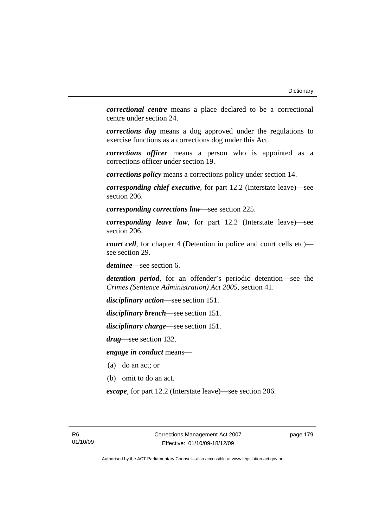*correctional centre* means a place declared to be a correctional centre under section 24.

*corrections dog* means a dog approved under the regulations to exercise functions as a corrections dog under this Act.

*corrections officer* means a person who is appointed as a corrections officer under section 19.

*corrections policy* means a corrections policy under section 14.

*corresponding chief executive*, for part 12.2 (Interstate leave)—see section 206.

*corresponding corrections law*—see section 225.

*corresponding leave law*, for part 12.2 (Interstate leave)—see section 206.

*court cell*, for chapter 4 (Detention in police and court cells etc) see section 29.

*detainee*—see section 6.

*detention period*, for an offender's periodic detention—see the *Crimes (Sentence Administration) Act 2005*, section 41.

*disciplinary action*—see section 151.

*disciplinary breach*—see section 151.

*disciplinary charge*—see section 151.

*drug*—see section 132.

*engage in conduct* means—

- (a) do an act; or
- (b) omit to do an act.

*escape*, for part 12.2 (Interstate leave)—see section 206.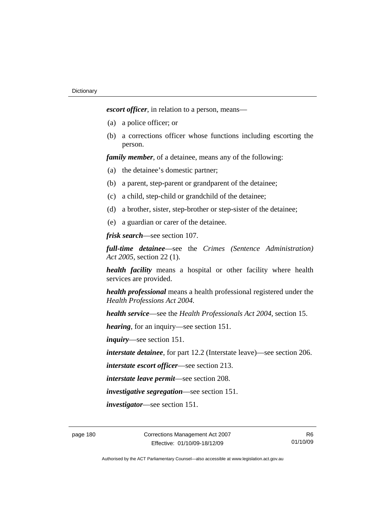*escort officer*, in relation to a person, means—

- (a) a police officer; or
- (b) a corrections officer whose functions including escorting the person.

*family member*, of a detainee, means any of the following:

- (a) the detainee's domestic partner;
- (b) a parent, step-parent or grandparent of the detainee;
- (c) a child, step-child or grandchild of the detainee;
- (d) a brother, sister, step-brother or step-sister of the detainee;
- (e) a guardian or carer of the detainee.

*frisk search*—see section 107.

*full-time detainee*—see the *Crimes (Sentence Administration) Act 2005*, section 22 (1).

*health facility* means a hospital or other facility where health services are provided.

*health professional* means a health professional registered under the *Health Professions Act 2004.*

*health service*—see the *Health Professionals Act 2004*, section 15.

*hearing*, for an inquiry—see section 151.

*inquiry*—see section 151.

*interstate detainee*, for part 12.2 (Interstate leave)—see section 206.

*interstate escort officer*—see section 213.

*interstate leave permit*—see section 208.

*investigative segregation*—see section 151.

*investigator*—see section 151.

R6 01/10/09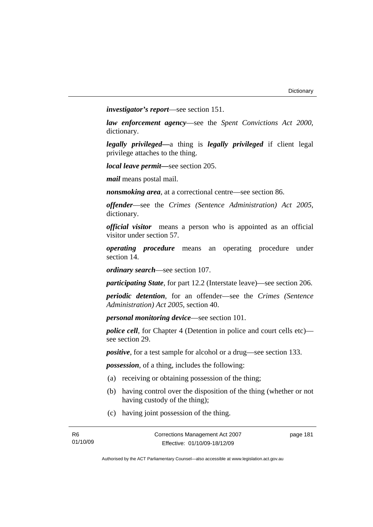*investigator's report*—see section 151.

*law enforcement agency*—see the *Spent Convictions Act 2000*, dictionary.

*legally privileged—*a thing is *legally privileged* if client legal privilege attaches to the thing.

*local leave permit—*see section 205.

*mail* means postal mail.

*nonsmoking area*, at a correctional centre—see section 86.

*offender*—see the *Crimes (Sentence Administration) Act 2005*, dictionary.

*official visitor* means a person who is appointed as an official visitor under section 57.

*operating procedure* means an operating procedure under section 14.

*ordinary search*—see section 107.

*participating State*, for part 12.2 (Interstate leave)—see section 206.

*periodic detention*, for an offender—see the *Crimes (Sentence Administration) Act 2005*, section 40.

*personal monitoring device*—see section 101.

*police cell*, for Chapter 4 (Detention in police and court cells etc) see section 29.

*positive*, for a test sample for alcohol or a drug—see section 133.

*possession*, of a thing, includes the following:

- (a) receiving or obtaining possession of the thing;
- (b) having control over the disposition of the thing (whether or not having custody of the thing);
- (c) having joint possession of the thing.

page 181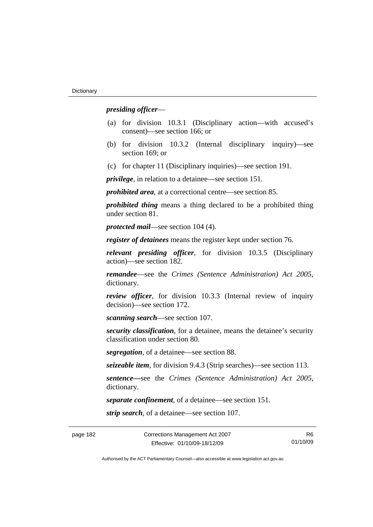#### *presiding officer*—

- (a) for division 10.3.1 (Disciplinary action—with accused's consent)—see section 166; or
- (b) for division 10.3.2 (Internal disciplinary inquiry)—see section 169; or
- (c) for chapter 11 (Disciplinary inquiries)—see section 191.

*privilege*, in relation to a detainee—see section 151.

*prohibited area*, at a correctional centre—see section 85.

*prohibited thing* means a thing declared to be a prohibited thing under section 81.

*protected mail*—see section 104 (4).

*register of detainees* means the register kept under section 76.

*relevant presiding officer*, for division 10.3.5 (Disciplinary action)—see section 182.

*remandee*—see the *Crimes (Sentence Administration) Act 2005*, dictionary.

*review officer*, for division 10.3.3 (Internal review of inquiry decision)—see section 172.

*scanning search*—see section 107.

*security classification*, for a detainee, means the detainee's security classification under section 80.

*segregation*, of a detainee—see section 88.

*seizeable item*, for division 9.4.3 (Strip searches)—see section 113.

*sentence—*see the *Crimes (Sentence Administration) Act 2005*, dictionary.

*separate confinement*, of a detainee—see section 151.

*strip search*, of a detainee—see section 107.

R6 01/10/09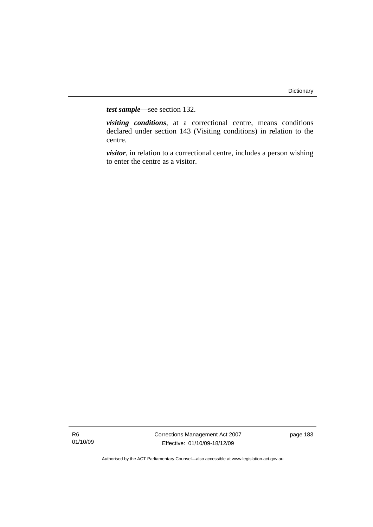*test sample*—see section 132.

*visiting conditions*, at a correctional centre, means conditions declared under section 143 (Visiting conditions) in relation to the centre.

*visitor*, in relation to a correctional centre, includes a person wishing to enter the centre as a visitor.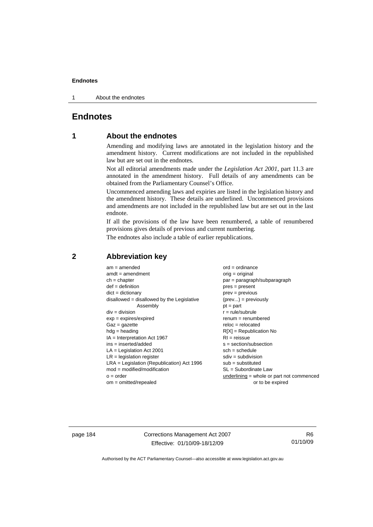1 About the endnotes

## **Endnotes**

## **1 About the endnotes**

Amending and modifying laws are annotated in the legislation history and the amendment history. Current modifications are not included in the republished law but are set out in the endnotes.

Not all editorial amendments made under the *Legislation Act 2001*, part 11.3 are annotated in the amendment history. Full details of any amendments can be obtained from the Parliamentary Counsel's Office.

Uncommenced amending laws and expiries are listed in the legislation history and the amendment history. These details are underlined. Uncommenced provisions and amendments are not included in the republished law but are set out in the last endnote.

If all the provisions of the law have been renumbered, a table of renumbered provisions gives details of previous and current numbering.

The endnotes also include a table of earlier republications.

| $am = amended$                               | $ord = ordinance$                         |
|----------------------------------------------|-------------------------------------------|
| $amdt = amendment$                           | $orig = original$                         |
| $ch = chapter$                               | $par = paragraph/subparagraph$            |
| $def = definition$                           | $pres = present$                          |
| $dict = dictionary$                          | $prev = previous$                         |
| $disallowed = disallowed by the Legislative$ | $(\text{prev}) = \text{previously}$       |
| Assembly                                     | $pt = part$                               |
| $div = division$                             | $r = rule/subrule$                        |
| $exp = expires/expired$                      | $remum = renumbered$                      |
| $Gaz = gazette$                              | $reloc = relocated$                       |
| $hdg =$ heading                              | $R[X]$ = Republication No                 |
| $IA = Interpretation Act 1967$               | $RI = reissue$                            |
| $ins = inserted/added$                       | $s = section/subsection$                  |
| $LA =$ Legislation Act 2001                  | $sch = schedule$                          |
| $LR =$ legislation register                  | $sdiv = subdivision$                      |
| $LRA =$ Legislation (Republication) Act 1996 | $sub = substituted$                       |
| $mod = modified/modification$                | $SL = Subordinate$ Law                    |
| $o = order$                                  | underlining = whole or part not commenced |
| om = omitted/repealed                        | or to be expired                          |
|                                              |                                           |

#### **2 Abbreviation key**

page 184 Corrections Management Act 2007 Effective: 01/10/09-18/12/09

R6 01/10/09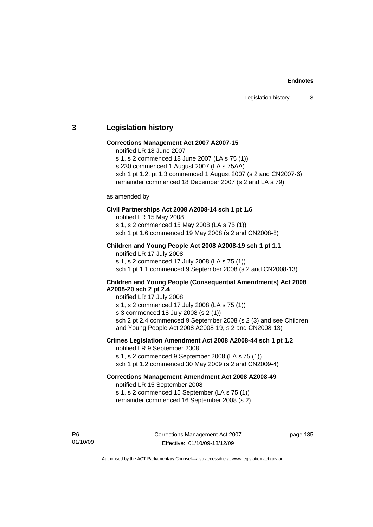#### **3 Legislation history**

#### **Corrections Management Act 2007 A2007-15**

- notified LR 18 June 2007
- s 1, s 2 commenced 18 June 2007 (LA s 75 (1))
- s 230 commenced 1 August 2007 (LA s 75AA)
- sch 1 pt 1.2, pt 1.3 commenced 1 August 2007 (s 2 and CN2007-6) remainder commenced 18 December 2007 (s 2 and LA s 79)

#### as amended by

#### **Civil Partnerships Act 2008 A2008-14 sch 1 pt 1.6**

notified LR 15 May 2008 s 1, s 2 commenced 15 May 2008 (LA s 75 (1)) sch 1 pt 1.6 commenced 19 May 2008 (s 2 and CN2008-8)

#### **Children and Young People Act 2008 A2008-19 sch 1 pt 1.1**

notified LR 17 July 2008 s 1, s 2 commenced 17 July 2008 (LA s 75 (1)) sch 1 pt 1.1 commenced 9 September 2008 (s 2 and CN2008-13)

#### **Children and Young People (Consequential Amendments) Act 2008 A2008-20 sch 2 pt 2.4**

notified LR 17 July 2008

s 1, s 2 commenced 17 July 2008 (LA s 75 (1))

s 3 commenced 18 July 2008 (s 2 (1))

sch 2 pt 2.4 commenced 9 September 2008 (s 2 (3) and see Children and Young People Act 2008 A2008-19, s 2 and CN2008-13)

#### **Crimes Legislation Amendment Act 2008 A2008-44 sch 1 pt 1.2**  notified LR 9 September 2008

s 1, s 2 commenced 9 September 2008 (LA s 75 (1))

sch 1 pt 1.2 commenced 30 May 2009 (s 2 and CN2009-4)

#### **Corrections Management Amendment Act 2008 A2008-49**

notified LR 15 September 2008

s 1, s 2 commenced 15 September (LA s 75 (1)) remainder commenced 16 September 2008 (s 2)

R6 01/10/09 page 185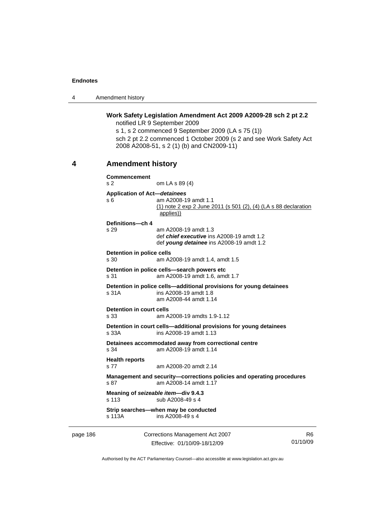4 Amendment history

**Work Safety Legislation Amendment Act 2009 A2009-28 sch 2 pt 2.2**  notified LR 9 September 2009 s 1, s 2 commenced 9 September 2009 (LA s 75 (1)) sch 2 pt 2.2 commenced 1 October 2009 (s 2 and see Work Safety Act 2008 A2008-51, s 2 (1) (b) and CN2009-11) **4 Amendment history Commencement**  s 2 om LA s 89 (4) **Application of Act—***detainees* s 6 am A2008-19 amdt 1.1 (1) note 2 exp 2 June 2011 (s 501 (2), (4) (LA s 88 declaration applies)) **Definitions—ch 4**  s 29 am A2008-19 amdt 1.3 def *chief executive* ins A2008-19 amdt 1.2 def *young detainee* ins A2008-19 amdt 1.2 **Detention in police cells**  s 30 am A2008-19 amdt 1.4, amdt 1.5 **Detention in police cells—search powers etc**  s 31 am A2008-19 amdt 1.6, amdt 1.7 **Detention in police cells—additional provisions for young detainees**  s 31A ins A2008-19 amdt 1.8 am A2008-44 amdt 1.14 **Detention in court cells**  s 33 am A2008-19 amdts 1.9-1.12 **Detention in court cells—additional provisions for young detainees**  s 33A ins A2008-19 amdt 1.13 **Detainees accommodated away from correctional centre**  s 34 am A2008-19 amdt 1.14 **Health reports**  s 77 am A2008-20 amdt 2.14 **Management and security—corrections policies and operating procedures**  s 87 am A2008-14 amdt 1.17 **Meaning of** *seizeable item***—div 9.4.3**  s 113 sub A2008-49 s 4 **Strip searches—when may be conducted**  s 113A ins A2008-49 s 4

page 186 Corrections Management Act 2007 Effective: 01/10/09-18/12/09

R6 01/10/09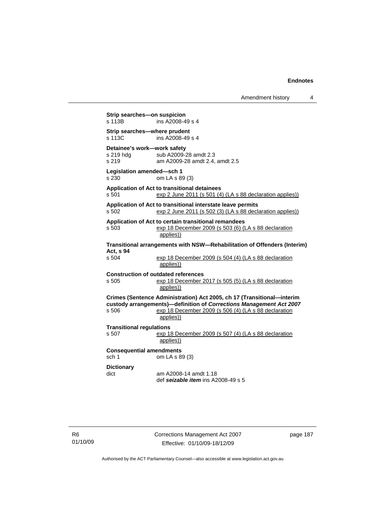Amendment history 4

**Strip searches—on suspicion**<br>s 113B **ins A2008-4**  $ins$  A2008-49 s 4 **Strip searches—where prudent**  s 113C ins A2008-49 s 4 **Detainee's work—work safety**  sub A2009-28 amdt 2.3 s 219 am A2009-28 amdt 2.4, amdt 2.5 **Legislation amended—sch 1**  s 230 om LA s 89 (3) **Application of Act to transitional detainees**  s 501 exp 2 June 2011 (s 501 (4) (LA s 88 declaration applies)) **Application of Act to transitional interstate leave permits**  s 502 exp 2 June 2011 (s 502 (3) (LA s 88 declaration applies)) **Application of Act to certain transitional remandees**  s 503 exp 18 December 2009 (s 503 (6) (LA s 88 declaration applies)) **Transitional arrangements with NSW—Rehabilitation of Offenders (Interim) Act, s 94**  exp 18 December 2009 (s 504 (4) (LA s 88 declaration applies)) **Construction of outdated references**  s 505 exp 18 December 2017 (s 505 (5) (LA s 88 declaration applies)) **Crimes (Sentence Administration) Act 2005, ch 17 (Transitional—interim custody arrangements)—definition of** *Corrections Management Act 2007* s 506 exp 18 December 2009 (s 506 (4) (LA s 88 declaration applies)) **Transitional regulations**  s 507 exp 18 December 2009 (s 507 (4) (LA s 88 declaration applies)) **Consequential amendments**  sch 1 om LA s 89 (3) **Dictionary**  dict am A2008-14 amdt 1.18 def *seizable item* ins A2008-49 s 5

page 187